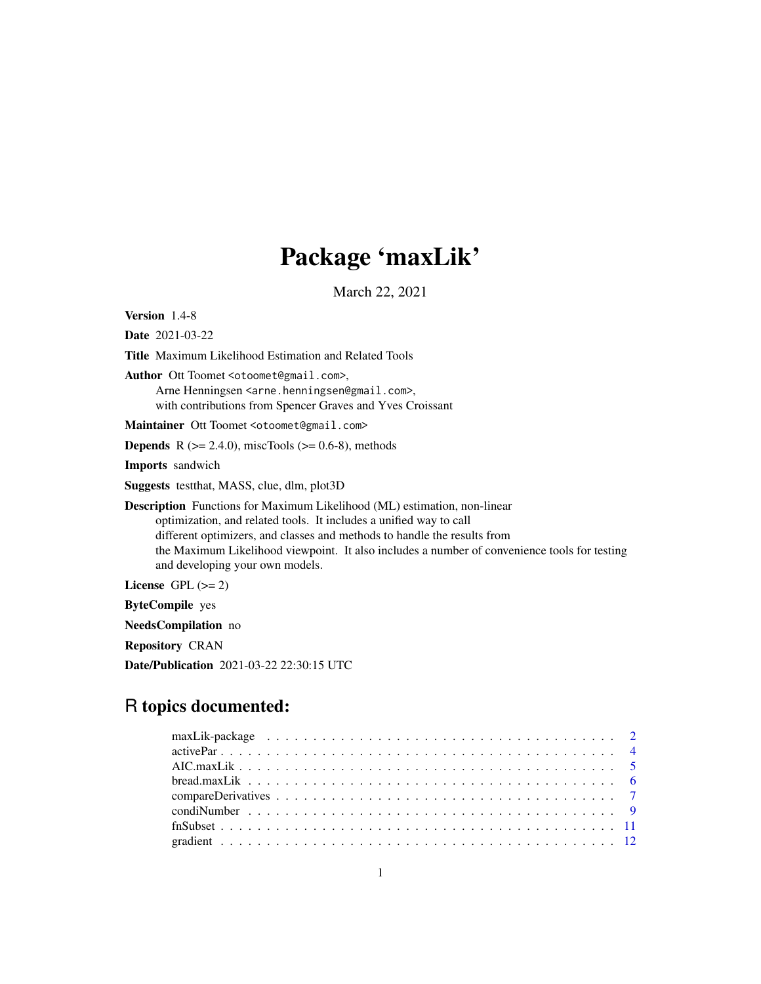# Package 'maxLik'

March 22, 2021

<span id="page-0-0"></span>Version 1.4-8

Date 2021-03-22

Title Maximum Likelihood Estimation and Related Tools

Author Ott Toomet <otoomet@gmail.com>, Arne Henningsen <arne.henningsen@gmail.com>, with contributions from Spencer Graves and Yves Croissant

Maintainer Ott Toomet <otoomet@gmail.com>

**Depends** R  $(>= 2.4.0)$ , miscTools  $(>= 0.6-8)$ , methods

Imports sandwich

Suggests testthat, MASS, clue, dlm, plot3D

Description Functions for Maximum Likelihood (ML) estimation, non-linear optimization, and related tools. It includes a unified way to call different optimizers, and classes and methods to handle the results from the Maximum Likelihood viewpoint. It also includes a number of convenience tools for testing and developing your own models.

License GPL  $(>= 2)$ 

ByteCompile yes

NeedsCompilation no

Repository CRAN

Date/Publication 2021-03-22 22:30:15 UTC

## R topics documented: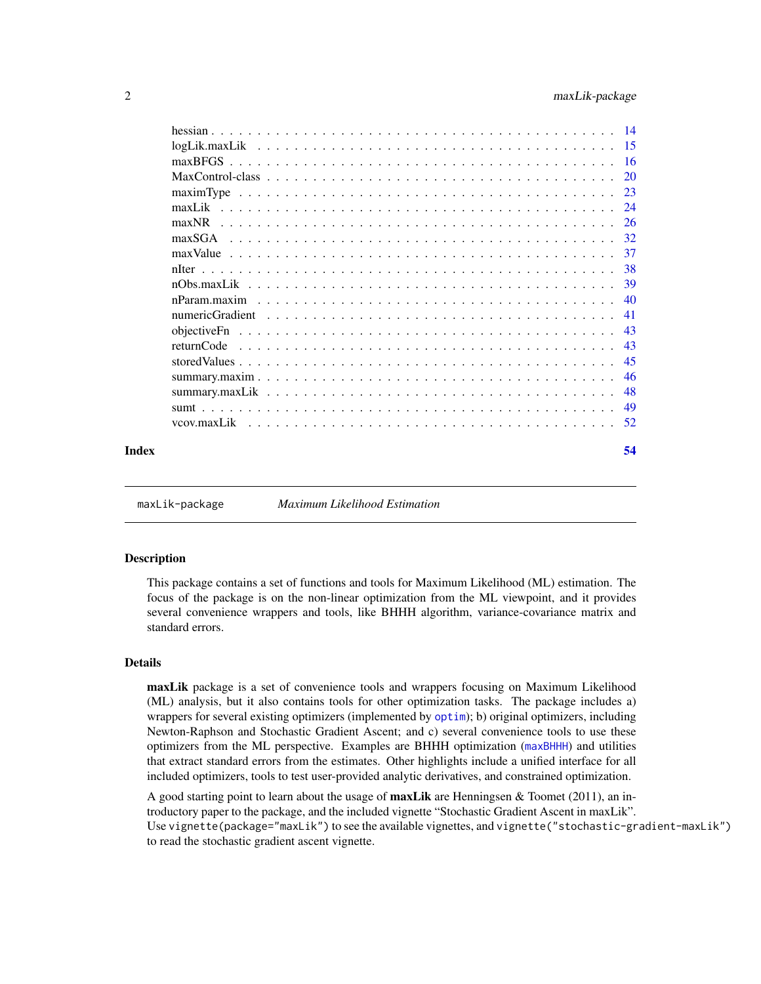<span id="page-1-0"></span>

| Index | 54 |
|-------|----|

<span id="page-1-1"></span>maxLik-package *Maximum Likelihood Estimation*

### Description

This package contains a set of functions and tools for Maximum Likelihood (ML) estimation. The focus of the package is on the non-linear optimization from the ML viewpoint, and it provides several convenience wrappers and tools, like BHHH algorithm, variance-covariance matrix and standard errors.

### Details

maxLik package is a set of convenience tools and wrappers focusing on Maximum Likelihood (ML) analysis, but it also contains tools for other optimization tasks. The package includes a) wrappers for several existing optimizers (implemented by [optim](#page-0-0)); b) original optimizers, including Newton-Raphson and Stochastic Gradient Ascent; and c) several convenience tools to use these optimizers from the ML perspective. Examples are BHHH optimization ([maxBHHH](#page-25-1)) and utilities that extract standard errors from the estimates. Other highlights include a unified interface for all included optimizers, tools to test user-provided analytic derivatives, and constrained optimization.

A good starting point to learn about the usage of **maxLik** are Henningsen & Toomet (2011), an introductory paper to the package, and the included vignette "Stochastic Gradient Ascent in maxLik". Use vignette(package="maxLik") to see the available vignettes, and vignette("stochastic-gradient-maxLik") to read the stochastic gradient ascent vignette.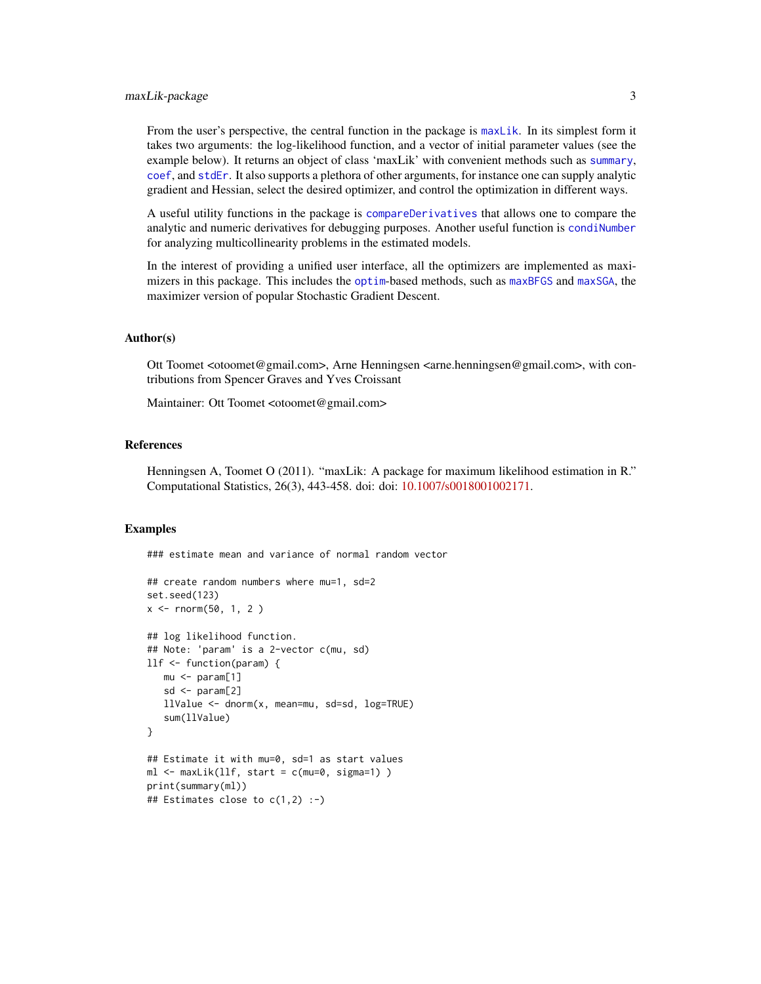### <span id="page-2-0"></span>maxLik-package 3

From the user's perspective, the central function in the package is [maxLik](#page-23-1). In its simplest form it takes two arguments: the log-likelihood function, and a vector of initial parameter values (see the example below). It returns an object of class 'maxLik' with convenient methods such as [summary](#page-47-1), [coef](#page-4-1), and [stdEr](#page-4-1). It also supports a plethora of other arguments, for instance one can supply analytic gradient and Hessian, select the desired optimizer, and control the optimization in different ways.

A useful utility functions in the package is [compareDerivatives](#page-6-1) that allows one to compare the analytic and numeric derivatives for debugging purposes. Another useful function is [condiNumber](#page-8-1) for analyzing multicollinearity problems in the estimated models.

In the interest of providing a unified user interface, all the optimizers are implemented as maximizers in this package. This includes the [optim](#page-0-0)-based methods, such as [maxBFGS](#page-15-1) and [maxSGA](#page-31-1), the maximizer version of popular Stochastic Gradient Descent.

### Author(s)

Ott Toomet <otoomet@gmail.com>, Arne Henningsen <arne.henningsen@gmail.com>, with contributions from Spencer Graves and Yves Croissant

Maintainer: Ott Toomet <otoomet@gmail.com>

### References

Henningsen A, Toomet O (2011). "maxLik: A package for maximum likelihood estimation in R." Computational Statistics, 26(3), 443-458. doi: doi: [10.1007/s0018001002171.](https://doi.org/10.1007/s00180-010-0217-1)

#### Examples

### estimate mean and variance of normal random vector

```
## create random numbers where mu=1, sd=2
set.seed(123)
x \le - rnorm(50, 1, 2)
## log likelihood function.
## Note: 'param' is a 2-vector c(mu, sd)
llf <- function(param) {
   mu <- param[1]
   sd <- param[2]
   llValue <- dnorm(x, mean=mu, sd=sd, log=TRUE)
   sum(llValue)
}
## Estimate it with mu=0, sd=1 as start values
ml <- maxLik(llf, start = c(mu=0, sigma=1) )
print(summary(ml))
## Estimates close to c(1,2) :-)
```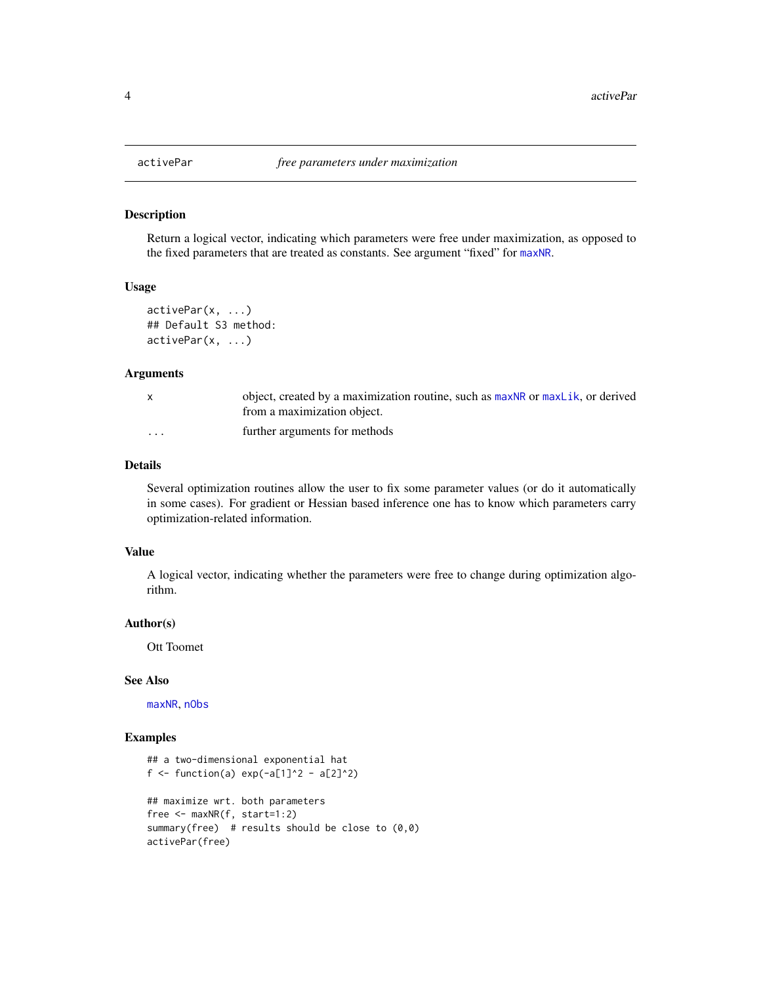#### Description

Return a logical vector, indicating which parameters were free under maximization, as opposed to the fixed parameters that are treated as constants. See argument "fixed" for [maxNR](#page-25-2).

### Usage

```
activePar(x, ...)
## Default S3 method:
activePar(x, ...)
```
#### Arguments

|                         | object, created by a maximization routine, such as maxNR or maxLik, or derived<br>from a maximization object. |
|-------------------------|---------------------------------------------------------------------------------------------------------------|
| $\cdot$ $\cdot$ $\cdot$ | further arguments for methods                                                                                 |

### Details

Several optimization routines allow the user to fix some parameter values (or do it automatically in some cases). For gradient or Hessian based inference one has to know which parameters carry optimization-related information.

#### Value

A logical vector, indicating whether the parameters were free to change during optimization algorithm.

#### Author(s)

Ott Toomet

### See Also

[maxNR](#page-25-2), [nObs](#page-0-0)

```
## a two-dimensional exponential hat
f <- function(a) exp(-a[1]^2 - a[2]^2)## maximize wrt. both parameters
free <- maxNR(f, start=1:2)
summary(free) # results should be close to (0,0)activePar(free)
```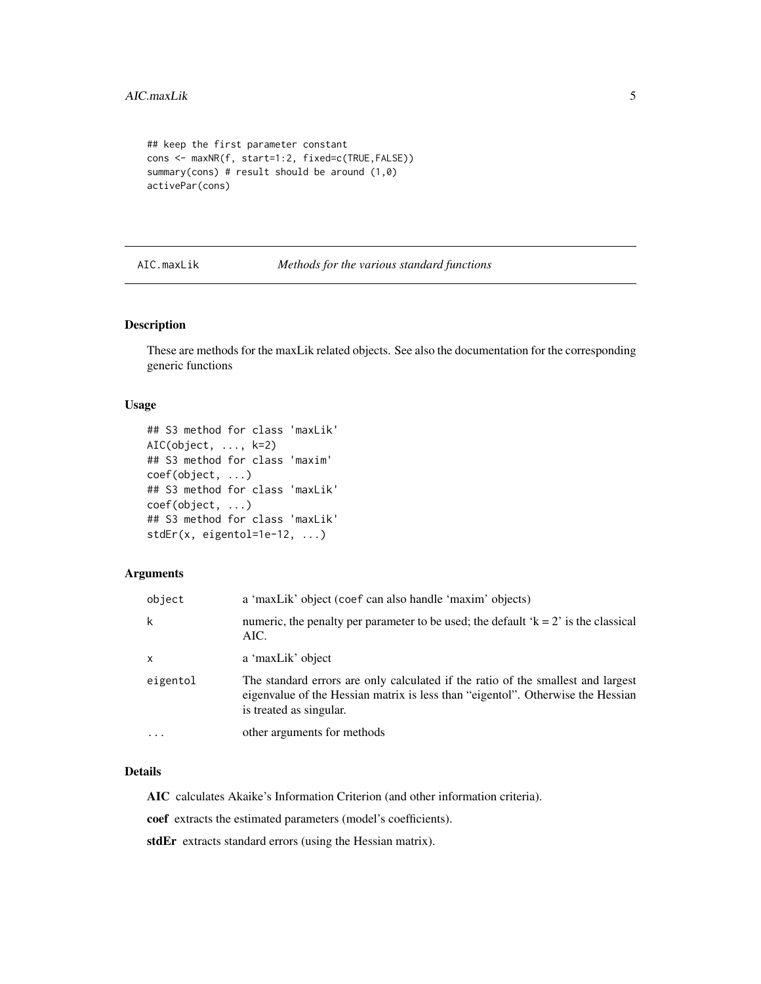```
## keep the first parameter constant
cons <- maxNR(f, start=1:2, fixed=c(TRUE,FALSE))
summary(cons) # result should be around (1,0)
activePar(cons)
```
<span id="page-4-2"></span>AIC.maxLik *Methods for the various standard functions*

#### <span id="page-4-1"></span>Description

These are methods for the maxLik related objects. See also the documentation for the corresponding generic functions

### Usage

```
## S3 method for class 'maxLik'
AIC(object, ..., k=2)
## S3 method for class 'maxim'
coef(object, ...)
## S3 method for class 'maxLik'
coef(object, ...)
## S3 method for class 'maxLik'
stdEr(x, eigentol=1e-12, ...)
```
### Arguments

| object   | a 'maxLik' object (coef can also handle 'maxim' objects)                                                                                                                                       |
|----------|------------------------------------------------------------------------------------------------------------------------------------------------------------------------------------------------|
| k        | numeric, the penalty per parameter to be used; the default $k = 2$ is the classical<br>AIC.                                                                                                    |
| x        | a 'maxLik' object                                                                                                                                                                              |
| eigentol | The standard errors are only calculated if the ratio of the smallest and largest<br>eigenvalue of the Hessian matrix is less than "eigentol". Otherwise the Hessian<br>is treated as singular. |
| $\cdots$ | other arguments for methods                                                                                                                                                                    |

### Details

AIC calculates Akaike's Information Criterion (and other information criteria).

coef extracts the estimated parameters (model's coefficients).

stdEr extracts standard errors (using the Hessian matrix).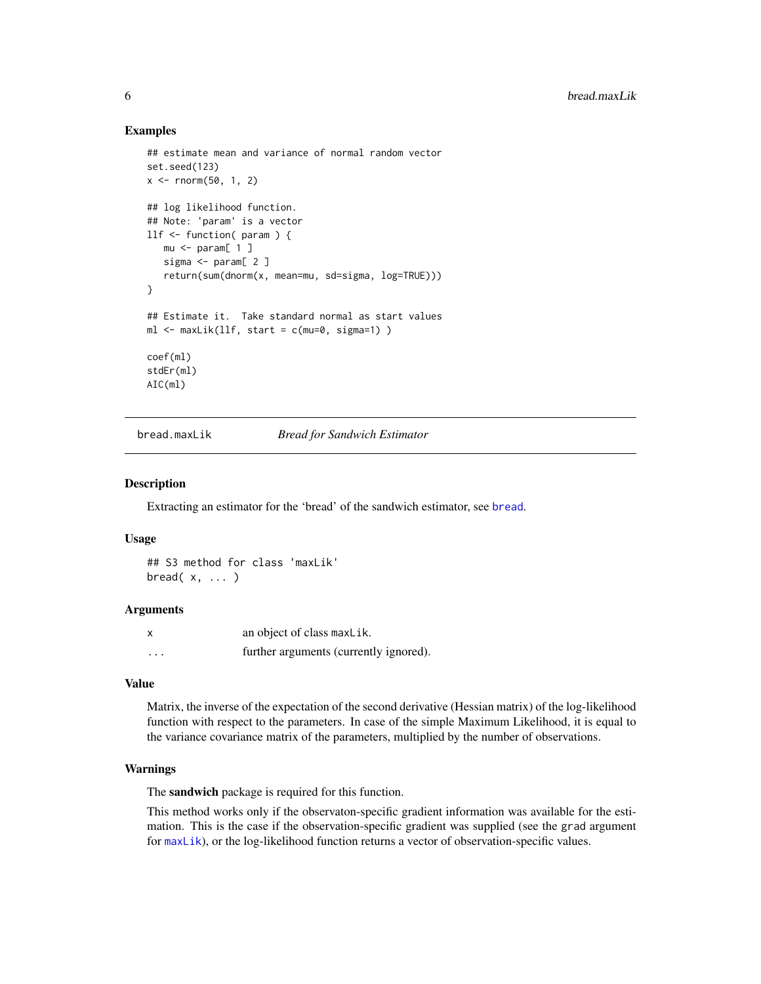### Examples

```
## estimate mean and variance of normal random vector
set.seed(123)
x \le - rnorm(50, 1, 2)
## log likelihood function.
## Note: 'param' is a vector
llf <- function( param ) {
  mu < - param[1]sigma <- param[ 2 ]
   return(sum(dnorm(x, mean=mu, sd=sigma, log=TRUE)))
}
## Estimate it. Take standard normal as start values
ml <- maxLik(llf, start = c(mu=0, sigma=1) )
coef(ml)
stdEr(ml)
AIC(ml)
```
bread.maxLik *Bread for Sandwich Estimator*

#### Description

Extracting an estimator for the 'bread' of the sandwich estimator, see [bread](#page-0-0).

### Usage

```
## S3 method for class 'maxLik'
bread(x, \ldots)
```
#### Arguments

|         | an object of class maxLik.             |
|---------|----------------------------------------|
| $\cdot$ | further arguments (currently ignored). |

### Value

Matrix, the inverse of the expectation of the second derivative (Hessian matrix) of the log-likelihood function with respect to the parameters. In case of the simple Maximum Likelihood, it is equal to the variance covariance matrix of the parameters, multiplied by the number of observations.

### Warnings

The sandwich package is required for this function.

This method works only if the observaton-specific gradient information was available for the estimation. This is the case if the observation-specific gradient was supplied (see the grad argument for [maxLik](#page-23-1)), or the log-likelihood function returns a vector of observation-specific values.

<span id="page-5-0"></span>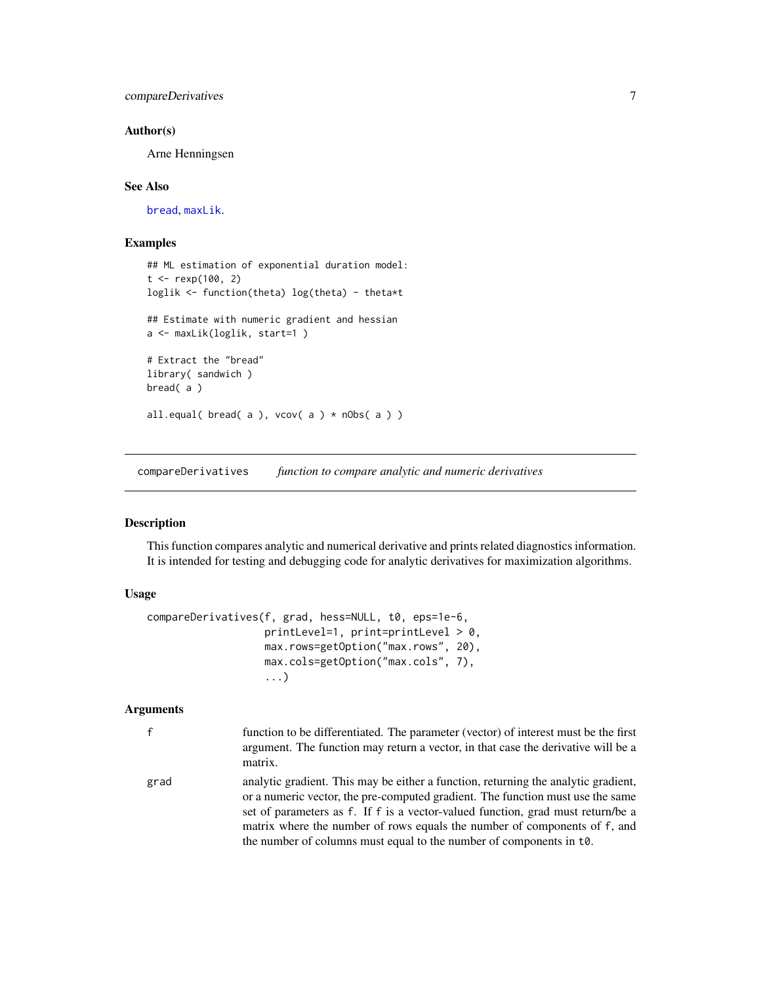### <span id="page-6-0"></span>compareDerivatives 7

### Author(s)

Arne Henningsen

### See Also

[bread](#page-0-0), [maxLik](#page-23-1).

### Examples

```
## ML estimation of exponential duration model:
t < - rexp(100, 2)
loglik <- function(theta) log(theta) - theta*t
## Estimate with numeric gradient and hessian
a <- maxLik(loglik, start=1 )
# Extract the "bread"
library( sandwich )
bread( a )
all.equal( bread( a ), vcov(a) * nObs(a) )
```
<span id="page-6-1"></span>compareDerivatives *function to compare analytic and numeric derivatives*

### Description

This function compares analytic and numerical derivative and prints related diagnostics information. It is intended for testing and debugging code for analytic derivatives for maximization algorithms.

### Usage

```
compareDerivatives(f, grad, hess=NULL, t0, eps=1e-6,
                   printLevel=1, print=printLevel > 0,
                   max.rows=getOption("max.rows", 20),
                   max.cols=getOption("max.cols", 7),
                   ...)
```
### Arguments

| $\mathsf{f}$ | function to be differentiated. The parameter (vector) of interest must be the first<br>argument. The function may return a vector, in that case the derivative will be a<br>matrix.                                                                                                                                                                                                                          |
|--------------|--------------------------------------------------------------------------------------------------------------------------------------------------------------------------------------------------------------------------------------------------------------------------------------------------------------------------------------------------------------------------------------------------------------|
| grad         | analytic gradient. This may be either a function, returning the analytic gradient,<br>or a numeric vector, the pre-computed gradient. The function must use the same<br>set of parameters as f. If f is a vector-valued function, grad must return/be a<br>matrix where the number of rows equals the number of components of f, and<br>the number of columns must equal to the number of components in t.0. |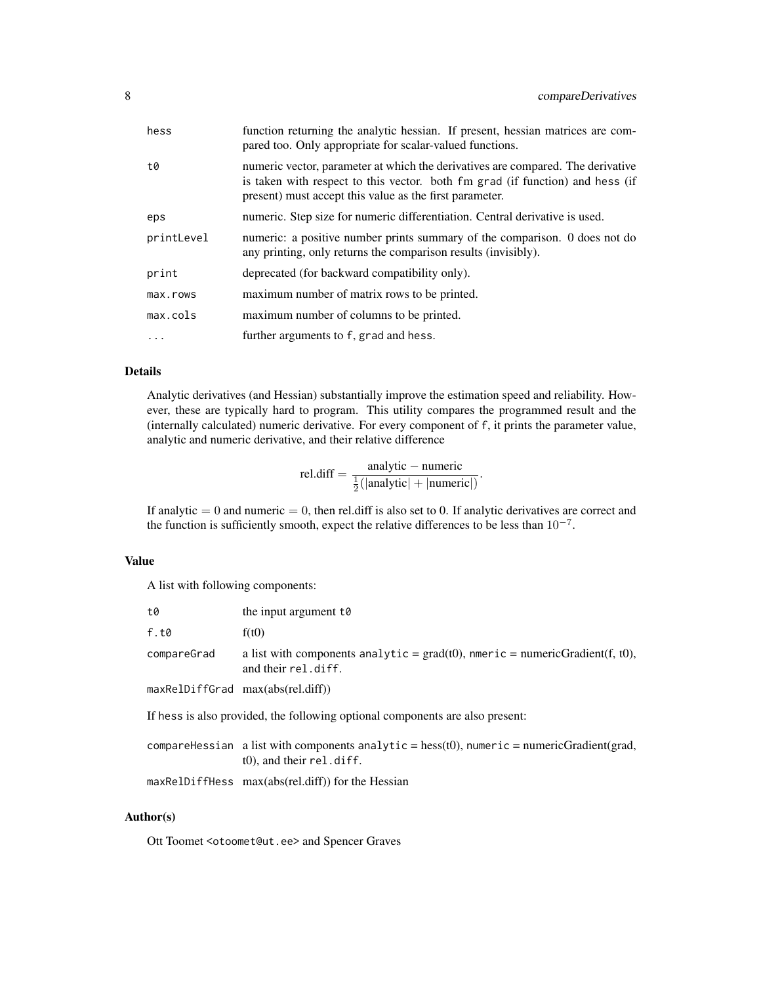| hess       | function returning the analytic hessian. If present, hessian matrices are com-<br>pared too. Only appropriate for scalar-valued functions.                                                                                  |
|------------|-----------------------------------------------------------------------------------------------------------------------------------------------------------------------------------------------------------------------------|
| t0         | numeric vector, parameter at which the derivatives are compared. The derivative<br>is taken with respect to this vector. both fm grad (if function) and hess (if<br>present) must accept this value as the first parameter. |
| eps        | numeric. Step size for numeric differentiation. Central derivative is used.                                                                                                                                                 |
| printLevel | numeric: a positive number prints summary of the comparison. 0 does not do<br>any printing, only returns the comparison results (invisibly).                                                                                |
| print      | deprecated (for backward compatibility only).                                                                                                                                                                               |
| max.rows   | maximum number of matrix rows to be printed.                                                                                                                                                                                |
| max.cols   | maximum number of columns to be printed.                                                                                                                                                                                    |
|            | further arguments to f, grad and hess.                                                                                                                                                                                      |

### Details

Analytic derivatives (and Hessian) substantially improve the estimation speed and reliability. However, these are typically hard to program. This utility compares the programmed result and the (internally calculated) numeric derivative. For every component of f, it prints the parameter value, analytic and numeric derivative, and their relative difference

$$
rel.diff = \frac{analytic - numeric}{\frac{1}{2}(|analytic| + |numeric|)}.
$$

If analytic  $= 0$  and numeric  $= 0$ , then rel.diff is also set to 0. If analytic derivatives are correct and the function is sufficiently smooth, expect the relative differences to be less than  $10^{-7}$ .

### Value

A list with following components:

| t0          | the input argument $t\theta$                                                                                               |
|-------------|----------------------------------------------------------------------------------------------------------------------------|
| f.t0        | f(t0)                                                                                                                      |
| compareGrad | a list with components analytic = $\text{grad}(t0)$ , nmeric = numericGradient(f, t0),<br>and their rel.diff.              |
|             | maxRelDiffGrad max(abs(rel.diff))                                                                                          |
|             | If hess is also provided, the following optional components are also present:                                              |
|             | compareHessian a list with components analytic = hess(t0), numeric = numericGradient(grad,<br>$(0)$ , and their rel. diff. |
|             | maxRelDiffHess max(abs(rel.diff)) for the Hessian                                                                          |
|             |                                                                                                                            |

### Author(s)

Ott Toomet <otoomet@ut.ee> and Spencer Graves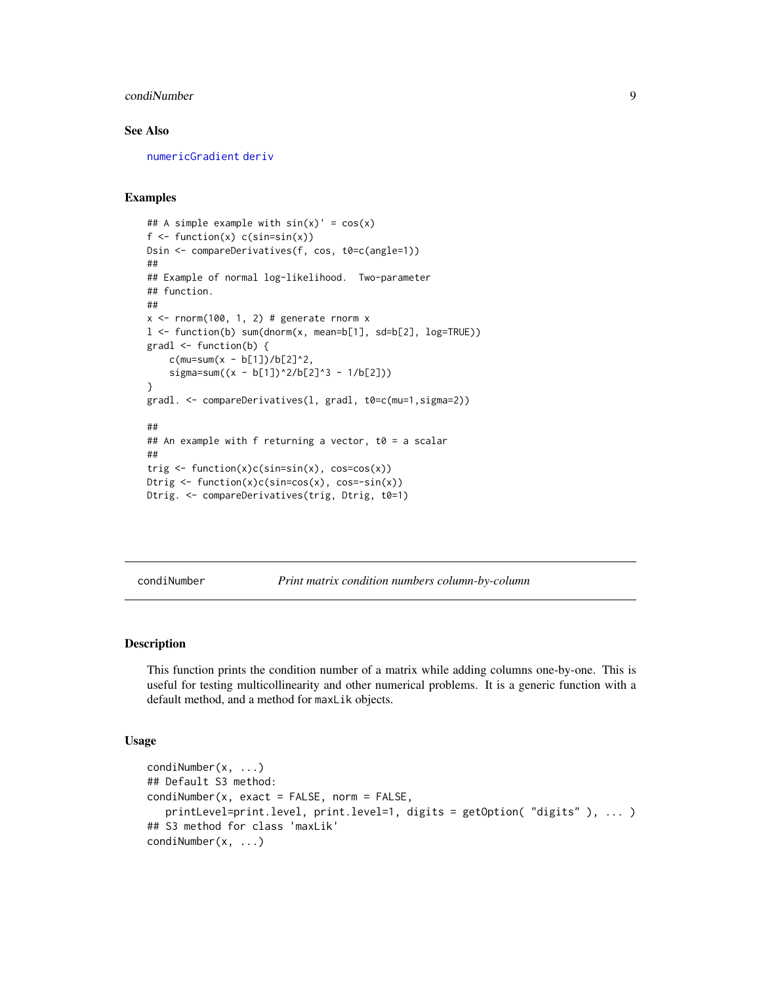### <span id="page-8-0"></span>condiNumber 9

### See Also

[numericGradient](#page-40-1) [deriv](#page-0-0)

### Examples

```
## A simple example with sin(x)' = cos(x)f \leftarrow function(x) c(sin=sin(x))Dsin <- compareDerivatives(f, cos, t0=c(angle=1))
##
## Example of normal log-likelihood. Two-parameter
## function.
##
x \le rnorm(100, 1, 2) # generate rnorm xl \le function(b) sum(dnorm(x, mean=b[1], sd=b[2], log=TRUE))
gradl <- function(b) {
    c(mu=sum(x - b[1])/b[2]^2,sigma=sum((x - b[1])^2/6[2]^3 - 1/b[2]))
}
gradl. <- compareDerivatives(l, gradl, t0=c(mu=1,sigma=2))
##
## An example with f returning a vector, t0 = a scalar
##
trig \leftarrow function(x)c(sin=sin(x), cos=cos(x))
Dtrig \leftarrow function(x)c(sin=cos(x), cos=-sin(x))
Dtrig. <- compareDerivatives(trig, Dtrig, t0=1)
```
<span id="page-8-1"></span>condiNumber *Print matrix condition numbers column-by-column*

### Description

This function prints the condition number of a matrix while adding columns one-by-one. This is useful for testing multicollinearity and other numerical problems. It is a generic function with a default method, and a method for maxLik objects.

### Usage

```
condiNumber(x, ...)
## Default S3 method:
condiNumber(x, exact = FALSE, norm = FALSE,
   printLevel=print.level, print.level=1, digits = getOption( "digits" ), ... )
## S3 method for class 'maxLik'
condiNumber(x, ...)
```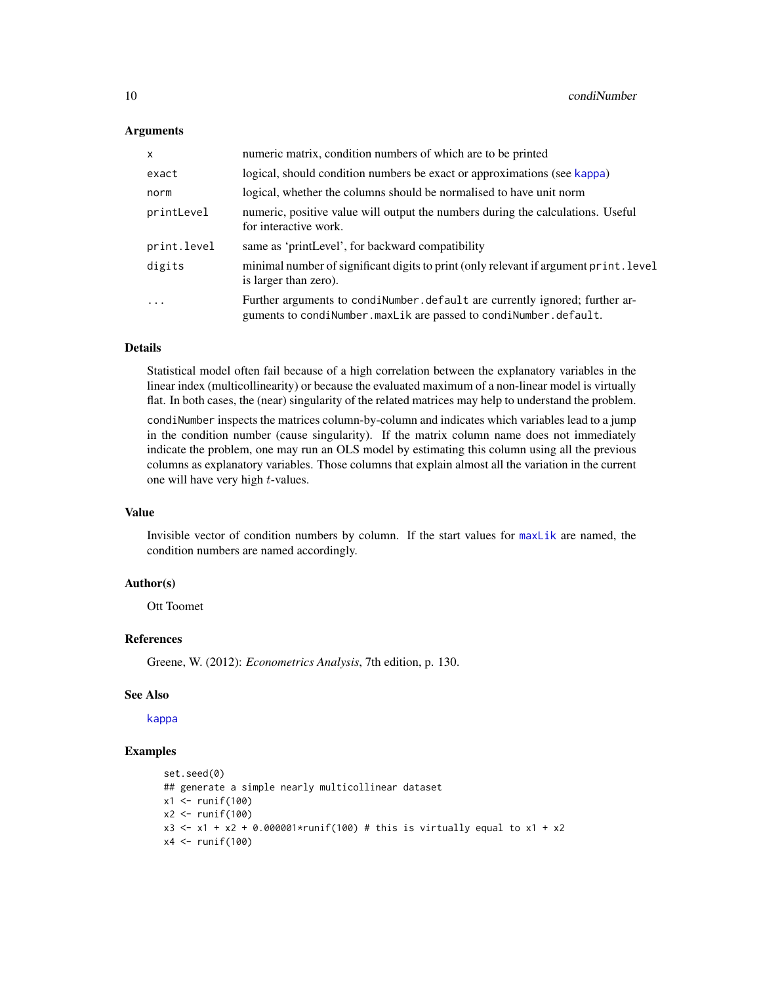### <span id="page-9-0"></span>Arguments

| $\mathsf{x}$ | numeric matrix, condition numbers of which are to be printed                                                                                     |
|--------------|--------------------------------------------------------------------------------------------------------------------------------------------------|
| exact        | logical, should condition numbers be exact or approximations (see kappa)                                                                         |
| norm         | logical, whether the columns should be normalised to have unit norm                                                                              |
| printLevel   | numeric, positive value will output the numbers during the calculations. Useful<br>for interactive work.                                         |
| print.level  | same as 'printLevel', for backward compatibility                                                                                                 |
| digits       | minimal number of significant digits to print (only relevant if argument print. level<br>is larger than zero).                                   |
| $\cdots$     | Further arguments to condiNumber. default are currently ignored; further ar-<br>guments to condiNumber.maxLik are passed to condiNumber.default. |

#### Details

Statistical model often fail because of a high correlation between the explanatory variables in the linear index (multicollinearity) or because the evaluated maximum of a non-linear model is virtually flat. In both cases, the (near) singularity of the related matrices may help to understand the problem.

condiNumber inspects the matrices column-by-column and indicates which variables lead to a jump in the condition number (cause singularity). If the matrix column name does not immediately indicate the problem, one may run an OLS model by estimating this column using all the previous columns as explanatory variables. Those columns that explain almost all the variation in the current one will have very high t-values.

#### Value

Invisible vector of condition numbers by column. If the start values for [maxLik](#page-23-1) are named, the condition numbers are named accordingly.

### Author(s)

Ott Toomet

#### References

Greene, W. (2012): *Econometrics Analysis*, 7th edition, p. 130.

### See Also

[kappa](#page-0-0)

```
set.seed(0)
## generate a simple nearly multicollinear dataset
x1 <- runif(100)
x2 <- runif(100)
x3 \le -x1 + x2 + 0.000001 * runif(100) # this is virtually equal to x1 + x2x4 \leftarrow runif(100)
```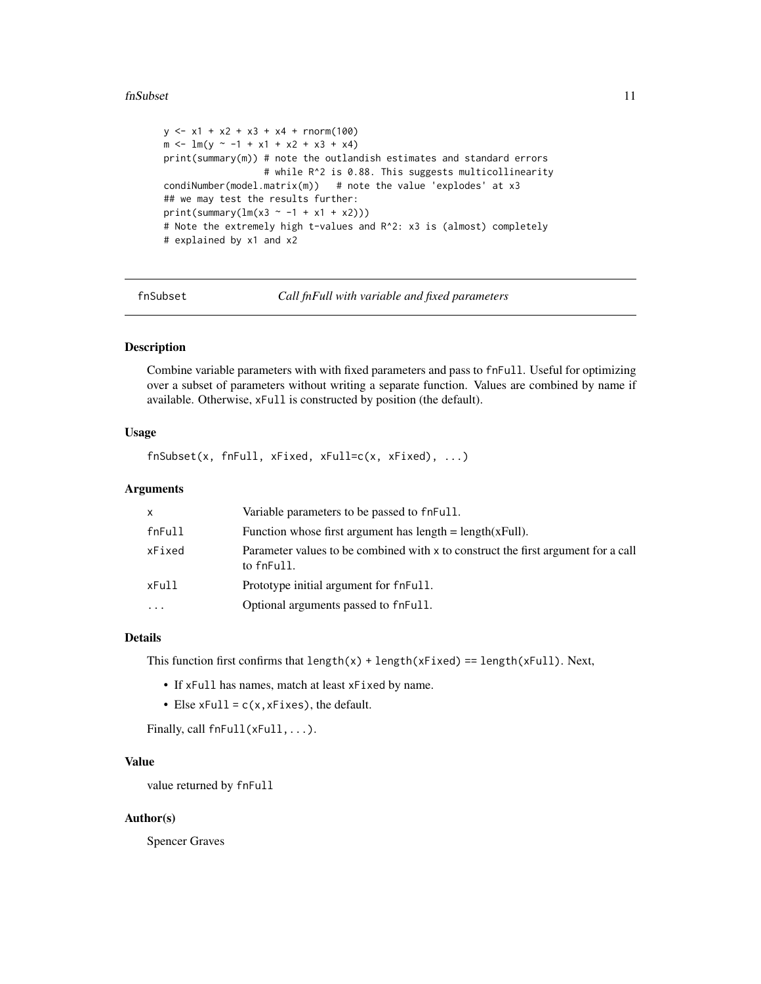#### <span id="page-10-0"></span>fnSubset 11

```
y \le -x1 + x2 + x3 + x4 + \text{rnorm}(100)m \le -1 m(y \sim -1 + x1 + x2 + x3 + x4)print(summary(m)) # note the outlandish estimates and standard errors
                  # while R^2 is 0.88. This suggests multicollinearity
condiNumber(model.matrix(m)) # note the value 'explodes' at x3
## we may test the results further:
print(summary(lm(x3 \sim -1 + x1 + x2)))
# Note the extremely high t-values and R^2: x3 is (almost) completely
# explained by x1 and x2
```
fnSubset *Call fnFull with variable and fixed parameters*

### Description

Combine variable parameters with with fixed parameters and pass to fnFull. Useful for optimizing over a subset of parameters without writing a separate function. Values are combined by name if available. Otherwise, xFull is constructed by position (the default).

### Usage

fnSubset(x, fnFull, xFixed, xFull=c(x, xFixed), ...)

### Arguments

| x      | Variable parameters to be passed to fneull.                                                     |
|--------|-------------------------------------------------------------------------------------------------|
| fnFull | Function whose first argument has $length = length(xFull)$ .                                    |
| xFixed | Parameter values to be combined with x to construct the first argument for a call<br>to fnFull. |
| xFull  | Prototype initial argument for fnFull.                                                          |
| .      | Optional arguments passed to fneull.                                                            |
|        |                                                                                                 |

### Details

This function first confirms that  $length(x) + length(xFixed) == length(xFull)$ . Next,

- If xFull has names, match at least xFixed by name.
- Else  $xFull = c(x, xFixed)$ , the default.

Finally, call fnFull(xFull,...).

### Value

value returned by fnFull

### Author(s)

Spencer Graves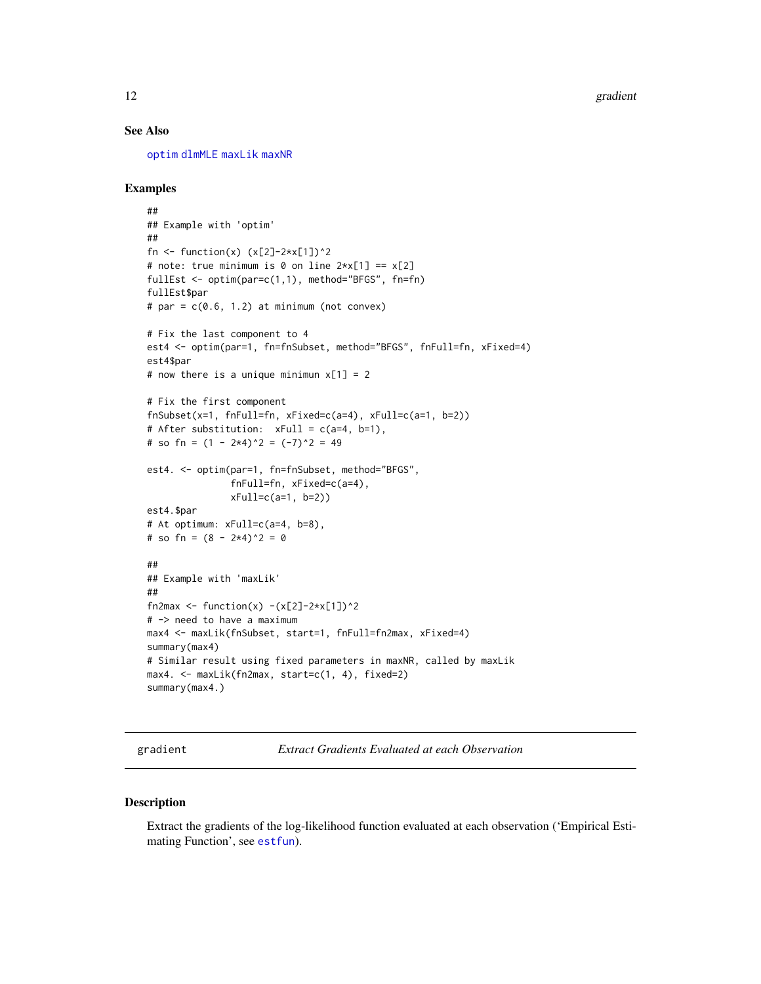### <span id="page-11-0"></span>See Also

[optim](#page-0-0) [dlmMLE](#page-0-0) [maxLik](#page-23-1) [maxNR](#page-25-2)

### Examples

```
##
## Example with 'optim'
##
fn \le function(x) (x[2]-2*x[1])^2
# note: true minimum is 0 on line 2*x[1] == x[2]fullEst <- optim(par=c(1,1), method="BFGS", fn=fn)
fullEst$par
# par = c(0.6, 1.2) at minimum (not convex)
# Fix the last component to 4
est4 <- optim(par=1, fn=fnSubset, method="BFGS", fnFull=fn, xFixed=4)
est4$par
# now there is a unique minimun x[1] = 2# Fix the first component
fnSubset(x=1, fnFull=fn, xFixed=c(a=4), xFull=c(a=1, b=2))
# After substitution: xFull = c(a=4, b=1),
# so fn = (1 - 2 \times 4)^2 = (-7)^2 = 49
est4. <- optim(par=1, fn=fnSubset, method="BFGS",
               fnFull=fn, xFixed=c(a=4),
               xFull=c(a=1, b=2))
est4.$par
# At optimum: xFull=c(a=4, b=8),
# so fn = (8 - 2*4)^2 = 0##
## Example with 'maxLik'
##
fn2max <- function(x) -(x[2]-2*x[1])^2# -> need to have a maximum
max4 <- maxLik(fnSubset, start=1, fnFull=fn2max, xFixed=4)
summary(max4)
# Similar result using fixed parameters in maxNR, called by maxLik
max4. <- maxLik(fn2max, start=c(1, 4), fixed=2)
summary(max4.)
```
<span id="page-11-1"></span>gradient *Extract Gradients Evaluated at each Observation*

#### Description

Extract the gradients of the log-likelihood function evaluated at each observation ('Empirical Estimating Function', see [estfun](#page-0-0)).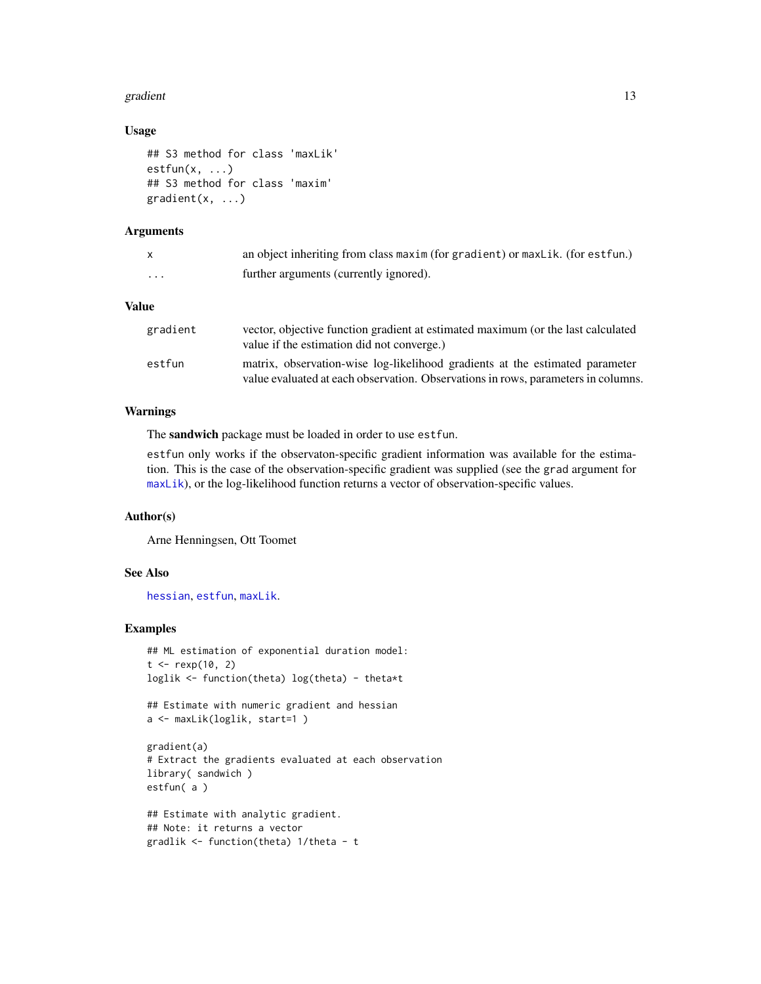#### <span id="page-12-0"></span>gradient 13

### Usage

```
## S3 method for class 'maxLik'
estfun(x, \ldots)## S3 method for class 'maxim'
gradient(x, ...)
```
### **Arguments**

| X            | an object inheriting from class maxim (for gradient) or max Lik. (for est fun.)                                                |
|--------------|--------------------------------------------------------------------------------------------------------------------------------|
| .            | further arguments (currently ignored).                                                                                         |
| <b>Value</b> |                                                                                                                                |
| gradient     | vector, objective function gradient at estimated maximum (or the last calculated<br>value if the estimation did not converge.) |
| estfun       | matrix, observation-wise log-likelihood gradients at the estimated parameter                                                   |

value evaluated at each observation. Observations in rows, parameters in columns.

#### Warnings

The sandwich package must be loaded in order to use estfun.

estfun only works if the observaton-specific gradient information was available for the estimation. This is the case of the observation-specific gradient was supplied (see the grad argument for [maxLik](#page-23-1)), or the log-likelihood function returns a vector of observation-specific values.

#### Author(s)

Arne Henningsen, Ott Toomet

### See Also

[hessian](#page-13-1), [estfun](#page-0-0), [maxLik](#page-23-1).

#### Examples

```
## ML estimation of exponential duration model:
t < - rexp(10, 2)
loglik <- function(theta) log(theta) - theta*t
```
## Estimate with numeric gradient and hessian a <- maxLik(loglik, start=1 )

```
gradient(a)
# Extract the gradients evaluated at each observation
library( sandwich )
estfun( a )
```

```
## Estimate with analytic gradient.
## Note: it returns a vector
gradlik <- function(theta) 1/theta - t
```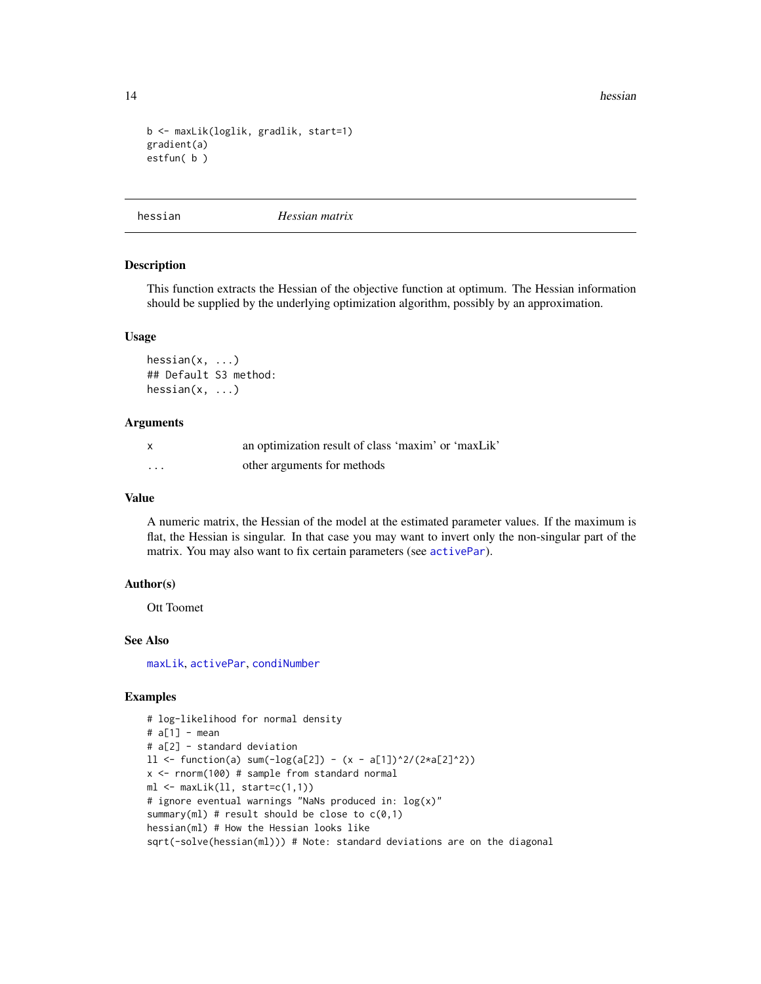14 hessian between the state of the state of the state of the state of the state of the state of the state of the state of the state of the state of the state of the state of the state of the state of the state of the stat

```
b <- maxLik(loglik, gradlik, start=1)
gradient(a)
estfun( b )
```
<span id="page-13-1"></span>hessian *Hessian matrix*

#### Description

This function extracts the Hessian of the objective function at optimum. The Hessian information should be supplied by the underlying optimization algorithm, possibly by an approximation.

#### Usage

hessian(x, ...) ## Default S3 method: hessian(x, ...)

#### Arguments

| $\mathsf{x}$ | an optimization result of class 'maxim' or 'maxLik' |
|--------------|-----------------------------------------------------|
| $\cdots$     | other arguments for methods                         |

#### Value

A numeric matrix, the Hessian of the model at the estimated parameter values. If the maximum is flat, the Hessian is singular. In that case you may want to invert only the non-singular part of the matrix. You may also want to fix certain parameters (see [activePar](#page-3-1)).

### Author(s)

Ott Toomet

#### See Also

[maxLik](#page-23-1), [activePar](#page-3-1), [condiNumber](#page-8-1)

```
# log-likelihood for normal density
# a[1] - mean
# a[2] - standard deviation
11 \leftarrow function(a) sum(-log(a[2]) - (x - a[1])^2/(2*a[2]^2))x <- rnorm(100) # sample from standard normal
ml \leftarrow \text{maxLik}(ll, start=c(1,1))# ignore eventual warnings "NaNs produced in: log(x)"
summary(ml) # result should be close to c(0,1)hessian(ml) # How the Hessian looks like
sqrt(-solve(hessian(ml))) # Note: standard deviations are on the diagonal
```
<span id="page-13-0"></span>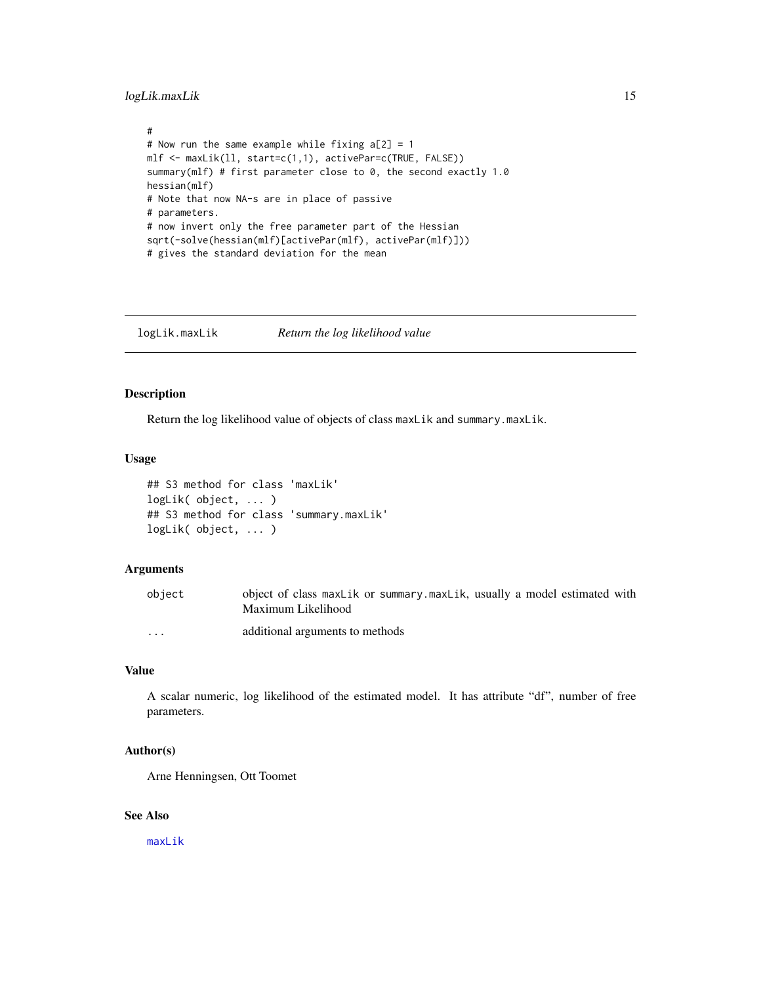### <span id="page-14-0"></span>logLik.maxLik 15

```
#
# Now run the same example while fixing a[2] = 1mlf <- maxLik(ll, start=c(1,1), activePar=c(TRUE, FALSE))
summary(mlf) # first parameter close to 0, the second exactly 1.0
hessian(mlf)
# Note that now NA-s are in place of passive
# parameters.
# now invert only the free parameter part of the Hessian
sqrt(-solve(hessian(mlf)[activePar(mlf), activePar(mlf)]))
# gives the standard deviation for the mean
```
<span id="page-14-1"></span>logLik.maxLik *Return the log likelihood value*

### Description

Return the log likelihood value of objects of class maxLik and summary.maxLik.

### Usage

```
## S3 method for class 'maxLik'
logLik( object, ... )
## S3 method for class 'summary.maxLik'
logLik( object, ... )
```
### Arguments

| object  | object of class maxlik or summary maxlik, usually a model estimated with<br>Maximum Likelihood |
|---------|------------------------------------------------------------------------------------------------|
| $\cdot$ | additional arguments to methods                                                                |

### Value

A scalar numeric, log likelihood of the estimated model. It has attribute "df", number of free parameters.

### Author(s)

Arne Henningsen, Ott Toomet

### See Also

[maxLik](#page-23-1)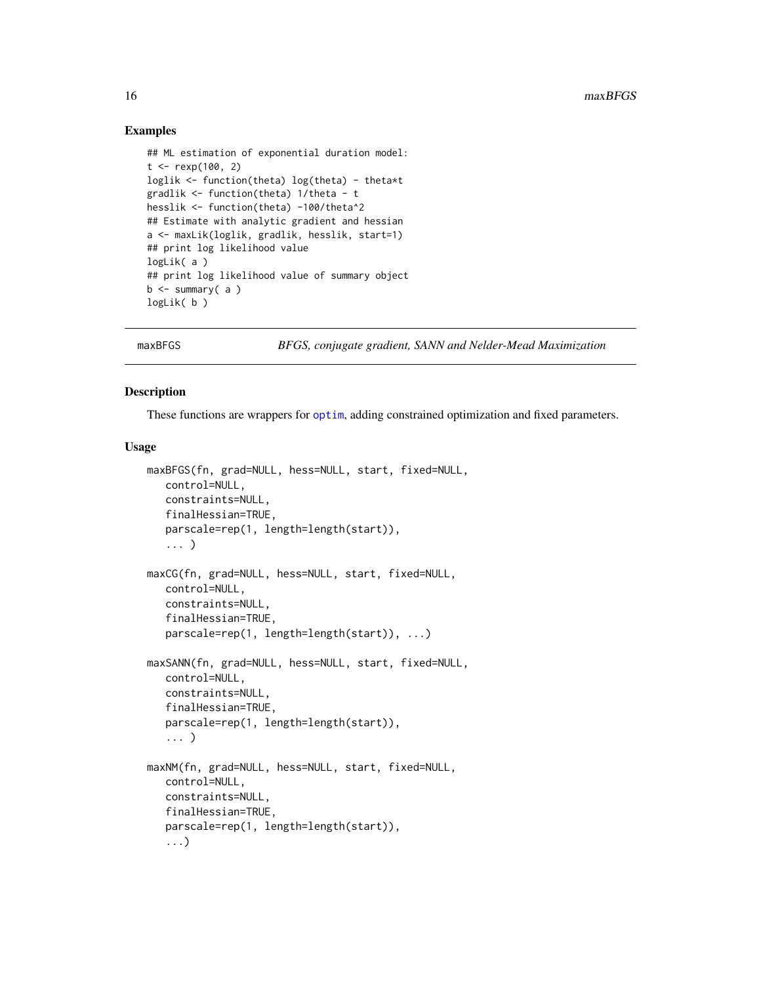### Examples

```
## ML estimation of exponential duration model:
t < - rexp(100, 2)
loglik <- function(theta) log(theta) - theta*t
gradlik <- function(theta) 1/theta - t
hesslik <- function(theta) -100/theta^2
## Estimate with analytic gradient and hessian
a <- maxLik(loglik, gradlik, hesslik, start=1)
## print log likelihood value
logLik( a )
## print log likelihood value of summary object
b <- summary( a )
logLik( b )
```
<span id="page-15-1"></span>

maxBFGS *BFGS, conjugate gradient, SANN and Nelder-Mead Maximization*

### <span id="page-15-2"></span>Description

These functions are wrappers for [optim](#page-0-0), adding constrained optimization and fixed parameters.

#### Usage

```
maxBFGS(fn, grad=NULL, hess=NULL, start, fixed=NULL,
   control=NULL,
   constraints=NULL,
   finalHessian=TRUE,
   parscale=rep(1, length=length(start)),
   ... )
maxCG(fn, grad=NULL, hess=NULL, start, fixed=NULL,
  control=NULL,
   constraints=NULL,
   finalHessian=TRUE,
   parscale=rep(1, length=length(start)), ...)
maxSANN(fn, grad=NULL, hess=NULL, start, fixed=NULL,
   control=NULL,
   constraints=NULL,
   finalHessian=TRUE,
   parscale=rep(1, length=length(start)),
   ... )
maxNM(fn, grad=NULL, hess=NULL, start, fixed=NULL,
   control=NULL,
   constraints=NULL,
   finalHessian=TRUE,
   parscale=rep(1, length=length(start)),
   ...)
```
<span id="page-15-0"></span>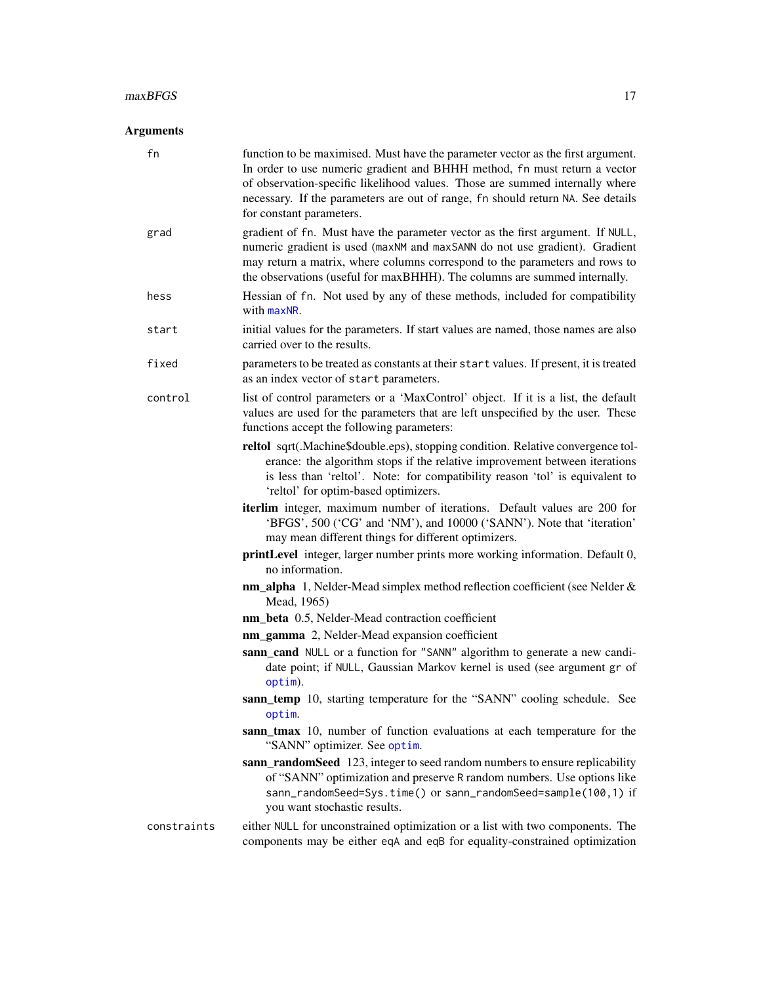### <span id="page-16-0"></span>maxBFGS 17

### Arguments

| fn          | function to be maximised. Must have the parameter vector as the first argument.<br>In order to use numeric gradient and BHHH method, fn must return a vector<br>of observation-specific likelihood values. Those are summed internally where<br>necessary. If the parameters are out of range, fn should return NA. See details<br>for constant parameters. |
|-------------|-------------------------------------------------------------------------------------------------------------------------------------------------------------------------------------------------------------------------------------------------------------------------------------------------------------------------------------------------------------|
| grad        | gradient of fn. Must have the parameter vector as the first argument. If NULL,<br>numeric gradient is used (maxNM and maxSANN do not use gradient). Gradient<br>may return a matrix, where columns correspond to the parameters and rows to<br>the observations (useful for maxBHHH). The columns are summed internally.                                    |
| hess        | Hessian of fn. Not used by any of these methods, included for compatibility<br>with maxNR.                                                                                                                                                                                                                                                                  |
| start       | initial values for the parameters. If start values are named, those names are also<br>carried over to the results.                                                                                                                                                                                                                                          |
| fixed       | parameters to be treated as constants at their start values. If present, it is treated<br>as an index vector of start parameters.                                                                                                                                                                                                                           |
| control     | list of control parameters or a 'MaxControl' object. If it is a list, the default<br>values are used for the parameters that are left unspecified by the user. These<br>functions accept the following parameters:                                                                                                                                          |
|             | reltol sqrt(.Machine\$double.eps), stopping condition. Relative convergence tol-<br>erance: the algorithm stops if the relative improvement between iterations<br>is less than 'reltol'. Note: for compatibility reason 'tol' is equivalent to<br>'reltol' for optim-based optimizers.                                                                      |
|             | iterlim integer, maximum number of iterations. Default values are 200 for<br>'BFGS', 500 ('CG' and 'NM'), and 10000 ('SANN'). Note that 'iteration'<br>may mean different things for different optimizers.                                                                                                                                                  |
|             | printLevel integer, larger number prints more working information. Default 0,<br>no information.                                                                                                                                                                                                                                                            |
|             | nm_alpha 1, Nelder-Mead simplex method reflection coefficient (see Nelder &<br>Mead, 1965)                                                                                                                                                                                                                                                                  |
|             | nm_beta 0.5, Nelder-Mead contraction coefficient                                                                                                                                                                                                                                                                                                            |
|             | nm_gamma 2, Nelder-Mead expansion coefficient                                                                                                                                                                                                                                                                                                               |
|             | sann_cand NULL or a function for "SANN" algorithm to generate a new candi-<br>date point; if NULL, Gaussian Markov kernel is used (see argument gr of<br>optim).                                                                                                                                                                                            |
|             | sann_temp 10, starting temperature for the "SANN" cooling schedule. See<br>optim.                                                                                                                                                                                                                                                                           |
|             | sann_tmax 10, number of function evaluations at each temperature for the<br>"SANN" optimizer. See optim.                                                                                                                                                                                                                                                    |
|             | sann_randomSeed 123, integer to seed random numbers to ensure replicability<br>of "SANN" optimization and preserve R random numbers. Use options like<br>sann_randomSeed=Sys.time() or sann_randomSeed=sample(100,1) if<br>you want stochastic results.                                                                                                     |
| constraints | either NULL for unconstrained optimization or a list with two components. The<br>components may be either eqA and eqB for equality-constrained optimization                                                                                                                                                                                                 |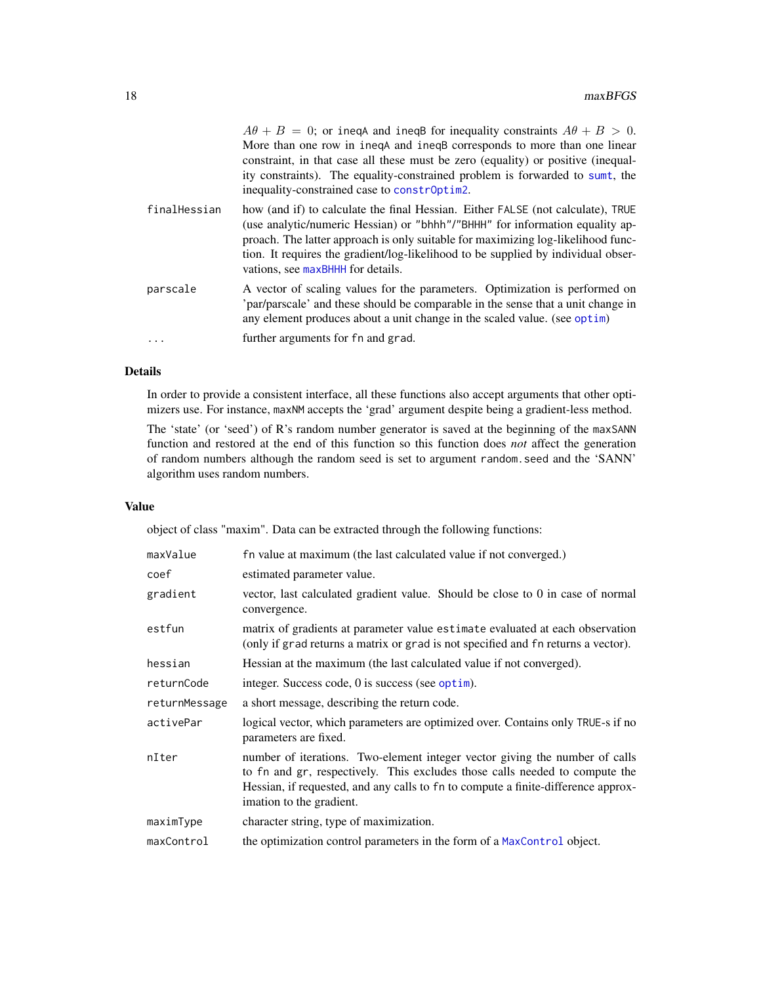<span id="page-17-0"></span>

|              | $A\theta + B = 0$ ; or inequal and inequality constraints $A\theta + B > 0$ .<br>More than one row in ineqA and ineqB corresponds to more than one linear<br>constraint, in that case all these must be zero (equality) or positive (inequal-<br>ity constraints). The equality-constrained problem is forwarded to sumt, the<br>inequality-constrained case to constroptim2. |
|--------------|-------------------------------------------------------------------------------------------------------------------------------------------------------------------------------------------------------------------------------------------------------------------------------------------------------------------------------------------------------------------------------|
| finalHessian | how (and if) to calculate the final Hessian. Either FALSE (not calculate), TRUE<br>(use analytic/numeric Hessian) or "bhhh"/"BHHH" for information equality ap-<br>proach. The latter approach is only suitable for maximizing log-likelihood func-<br>tion. It requires the gradient/log-likelihood to be supplied by individual obser-<br>vations, see maxBHHH for details. |
| parscale     | A vector of scaling values for the parameters. Optimization is performed on<br>'par/parscale' and these should be comparable in the sense that a unit change in<br>any element produces about a unit change in the scaled value. (see optim)                                                                                                                                  |
| .            | further arguments for fn and grad.                                                                                                                                                                                                                                                                                                                                            |

### Details

In order to provide a consistent interface, all these functions also accept arguments that other optimizers use. For instance, maxNM accepts the 'grad' argument despite being a gradient-less method.

The 'state' (or 'seed') of R's random number generator is saved at the beginning of the maxSANN function and restored at the end of this function so this function does *not* affect the generation of random numbers although the random seed is set to argument random.seed and the 'SANN' algorithm uses random numbers.

### Value

object of class "maxim". Data can be extracted through the following functions:

| maxValue      | fn value at maximum (the last calculated value if not converged.)                                                                                                                                                                                                           |
|---------------|-----------------------------------------------------------------------------------------------------------------------------------------------------------------------------------------------------------------------------------------------------------------------------|
| coef          | estimated parameter value.                                                                                                                                                                                                                                                  |
| gradient      | vector, last calculated gradient value. Should be close to 0 in case of normal<br>convergence.                                                                                                                                                                              |
| estfun        | matrix of gradients at parameter value estimate evaluated at each observation<br>(only if grad returns a matrix or grad is not specified and fn returns a vector).                                                                                                          |
| hessian       | Hessian at the maximum (the last calculated value if not converged).                                                                                                                                                                                                        |
| returnCode    | integer. Success code, 0 is success (see optim).                                                                                                                                                                                                                            |
| returnMessage | a short message, describing the return code.                                                                                                                                                                                                                                |
| activePar     | logical vector, which parameters are optimized over. Contains only TRUE-s if no<br>parameters are fixed.                                                                                                                                                                    |
| nIter         | number of iterations. Two-element integer vector giving the number of calls<br>to fn and gr, respectively. This excludes those calls needed to compute the<br>Hessian, if requested, and any calls to fn to compute a finite-difference approx-<br>imation to the gradient. |
| maximType     | character string, type of maximization.                                                                                                                                                                                                                                     |
| maxControl    | the optimization control parameters in the form of a MaxControl object.                                                                                                                                                                                                     |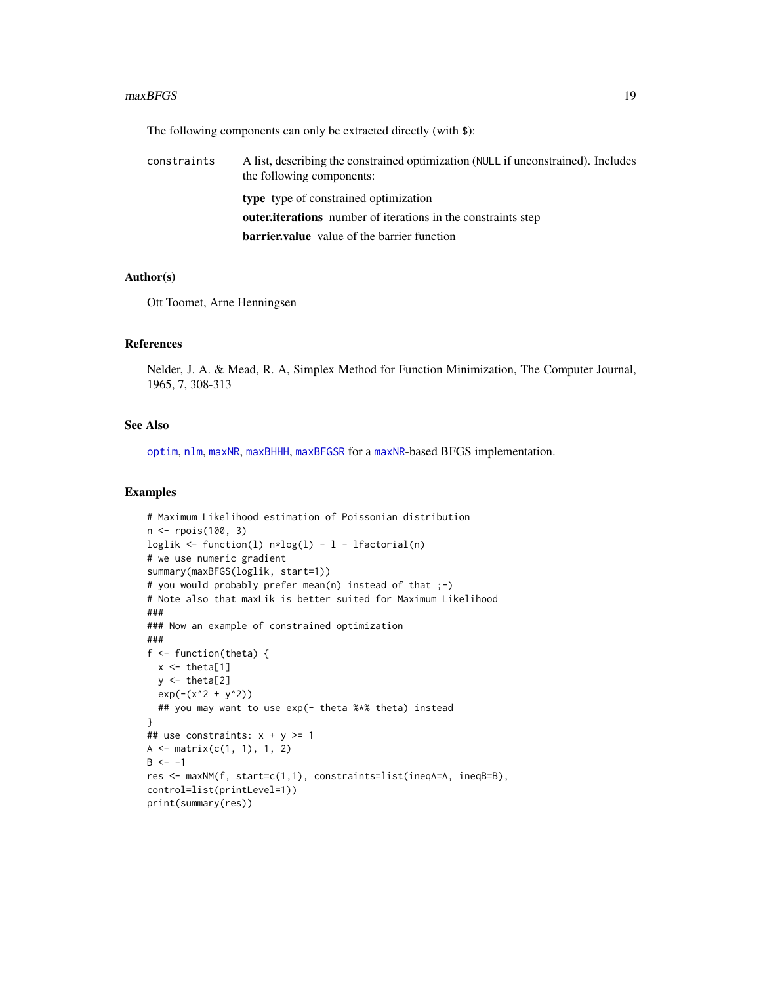#### <span id="page-18-0"></span> $maxBFGS$  19

The following components can only be extracted directly (with \$):

| constraints | A list, describing the constrained optimization (NULL if unconstrained). Includes<br>the following components: |
|-------------|----------------------------------------------------------------------------------------------------------------|
|             | type type of constrained optimization                                                                          |
|             | <b>outer, iterations</b> number of iterations in the constraints step                                          |
|             | <b>barrier, value</b> value of the barrier function                                                            |

#### Author(s)

Ott Toomet, Arne Henningsen

#### References

Nelder, J. A. & Mead, R. A, Simplex Method for Function Minimization, The Computer Journal, 1965, 7, 308-313

### See Also

[optim](#page-0-0), [nlm](#page-0-0), [maxNR](#page-25-2), [maxBHHH](#page-25-1), [maxBFGSR](#page-25-1) for a [maxNR](#page-25-2)-based BFGS implementation.

```
# Maximum Likelihood estimation of Poissonian distribution
n <- rpois(100, 3)
loglik <- function(l) n * log(1) - 1 - 1 factorial(n)
# we use numeric gradient
summary(maxBFGS(loglik, start=1))
# you would probably prefer mean(n) instead of that ;-)
# Note also that maxLik is better suited for Maximum Likelihood
###
### Now an example of constrained optimization
###
f <- function(theta) {
 x \leftarrow \text{theta}[1]y \leftarrow \text{theta}[2]exp(-(x^2 + y^2))## you may want to use exp(- theta %*% theta) instead
}
## use constraints: x + y \ge 1A \leftarrow matrix(c(1, 1), 1, 2)B < - -1res <- maxNM(f, start=c(1,1), constraints=list(ineqA=A, ineqB=B),
control=list(printLevel=1))
print(summary(res))
```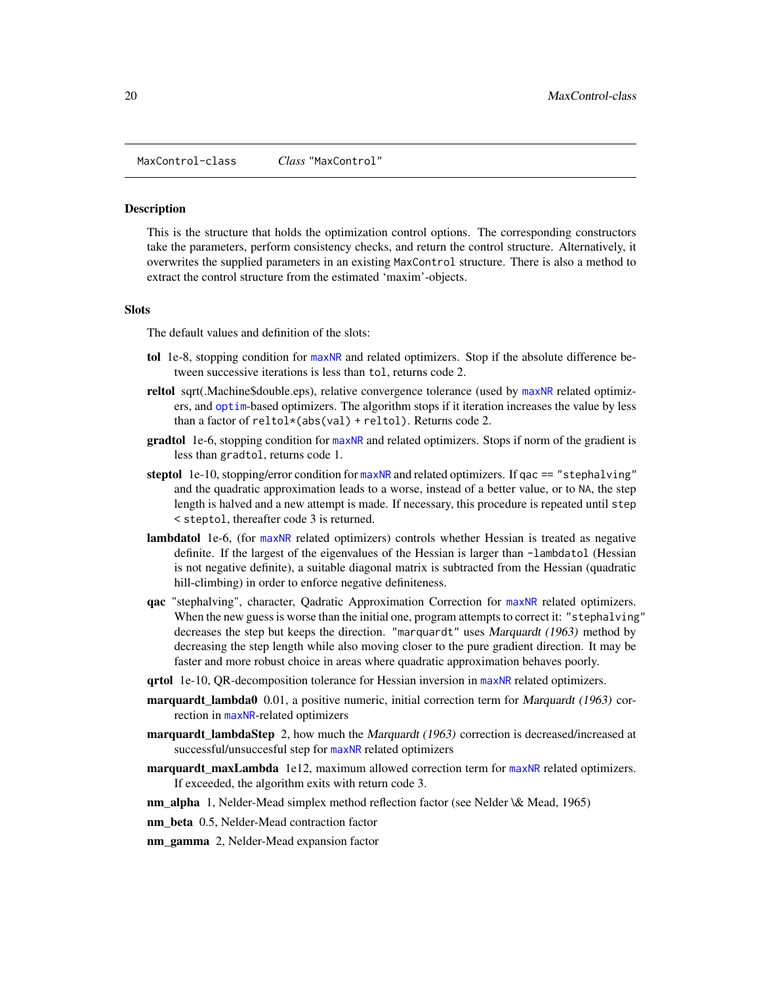<span id="page-19-1"></span><span id="page-19-0"></span>MaxControl-class *Class* "MaxControl"

#### <span id="page-19-2"></span>**Description**

This is the structure that holds the optimization control options. The corresponding constructors take the parameters, perform consistency checks, and return the control structure. Alternatively, it overwrites the supplied parameters in an existing MaxControl structure. There is also a method to extract the control structure from the estimated 'maxim'-objects.

### Slots

The default values and definition of the slots:

- tol 1e-8, stopping condition for [maxNR](#page-25-2) and related optimizers. Stop if the absolute difference between successive iterations is less than tol, returns code 2.
- reltol sqrt(.Machine\$double.eps), relative convergence tolerance (used by [maxNR](#page-25-2) related optimizers, and [optim](#page-0-0)-based optimizers. The algorithm stops if it iteration increases the value by less than a factor of reltol\*(abs(val) + reltol). Returns code 2.
- gradtol 1e-6, stopping condition for [maxNR](#page-25-2) and related optimizers. Stops if norm of the gradient is less than gradtol, returns code 1.
- steptol 1e-10, stopping/error condition for [maxNR](#page-25-2) and related optimizers. If  $qac == "stephalving"$ and the quadratic approximation leads to a worse, instead of a better value, or to NA, the step length is halved and a new attempt is made. If necessary, this procedure is repeated until step < steptol, thereafter code 3 is returned.
- lambdatol 1e-6, (for [maxNR](#page-25-2) related optimizers) controls whether Hessian is treated as negative definite. If the largest of the eigenvalues of the Hessian is larger than -lambdatol (Hessian is not negative definite), a suitable diagonal matrix is subtracted from the Hessian (quadratic hill-climbing) in order to enforce negative definiteness.
- qac "stephalving", character, Qadratic Approximation Correction for [maxNR](#page-25-2) related optimizers. When the new guess is worse than the initial one, program attempts to correct it: "stephalving" decreases the step but keeps the direction. "marquardt" uses Marquardt (1963) method by decreasing the step length while also moving closer to the pure gradient direction. It may be faster and more robust choice in areas where quadratic approximation behaves poorly.
- qrtol 1e-10, QR-decomposition tolerance for Hessian inversion in [maxNR](#page-25-2) related optimizers.
- **marquardt\_lambda0** 0.01, a positive numeric, initial correction term for *Marquardt* (1963) correction in [maxNR](#page-25-2)-related optimizers
- **marquardt lambdaStep** 2, how much the *Marquardt (1963)* correction is decreased/increased at successful/unsuccesful step for [maxNR](#page-25-2) related optimizers
- marquardt\_maxLambda 1e12, maximum allowed correction term for [maxNR](#page-25-2) related optimizers. If exceeded, the algorithm exits with return code 3.
- nm\_alpha 1, Nelder-Mead simplex method reflection factor (see Nelder \& Mead, 1965)
- nm\_beta 0.5, Nelder-Mead contraction factor
- nm\_gamma 2, Nelder-Mead expansion factor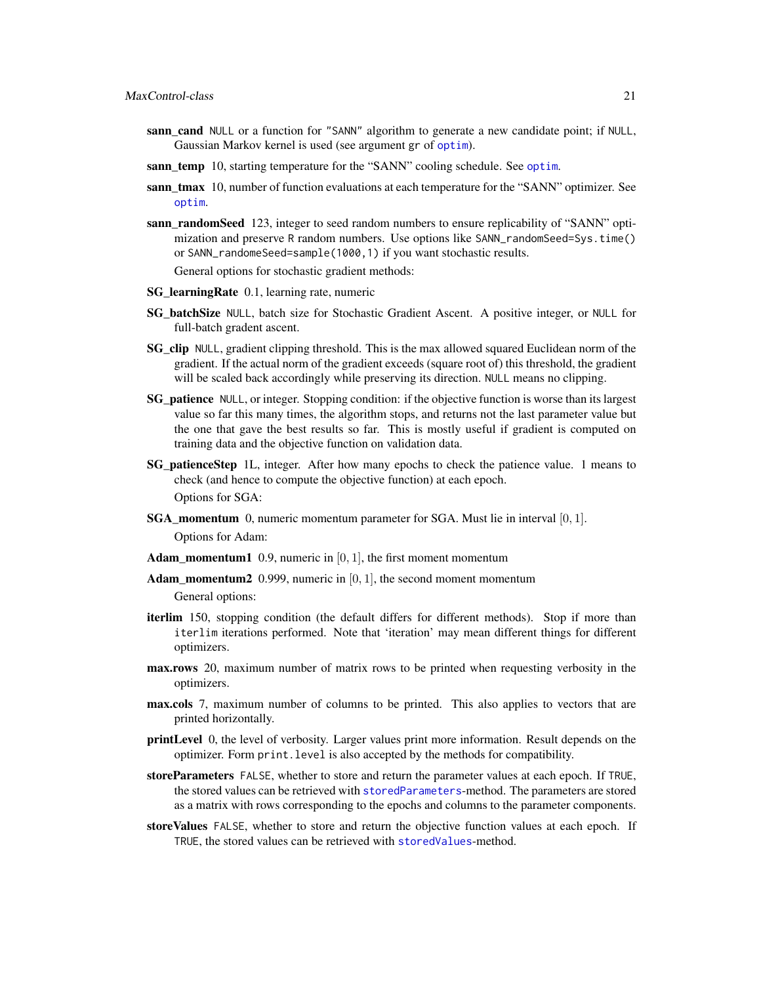- <span id="page-20-0"></span>sann\_cand NULL or a function for "SANN" algorithm to generate a new candidate point; if NULL, Gaussian Markov kernel is used (see argument gr of [optim](#page-0-0)).
- sann temp 10, starting temperature for the "SANN" cooling schedule. See [optim](#page-0-0).
- sann tmax 10, number of function evaluations at each temperature for the "SANN" optimizer. See [optim](#page-0-0).
- sann\_randomSeed 123, integer to seed random numbers to ensure replicability of "SANN" optimization and preserve R random numbers. Use options like SANN\_randomSeed=Sys.time() or SANN\_randomeSeed=sample(1000,1) if you want stochastic results. General options for stochastic gradient methods:
- SG\_learningRate 0.1, learning rate, numeric
- SG\_batchSize NULL, batch size for Stochastic Gradient Ascent. A positive integer, or NULL for full-batch gradent ascent.
- **SG\_clip** NULL, gradient clipping threshold. This is the max allowed squared Euclidean norm of the gradient. If the actual norm of the gradient exceeds (square root of) this threshold, the gradient will be scaled back accordingly while preserving its direction. NULL means no clipping.
- **SG** patience NULL, or integer. Stopping condition: if the objective function is worse than its largest value so far this many times, the algorithm stops, and returns not the last parameter value but the one that gave the best results so far. This is mostly useful if gradient is computed on training data and the objective function on validation data.
- SG\_patienceStep 1L, integer. After how many epochs to check the patience value. 1 means to check (and hence to compute the objective function) at each epoch. Options for SGA:
- **SGA\_momentum** 0, numeric momentum parameter for SGA. Must lie in interval  $[0, 1]$ . Options for Adam:
- **Adam\_momentum1** 0.9, numeric in  $[0, 1]$ , the first moment momentum
- **Adam\_momentum2** 0.999, numeric in  $[0, 1]$ , the second moment momentum

General options:

- iterlim 150, stopping condition (the default differs for different methods). Stop if more than iterlim iterations performed. Note that 'iteration' may mean different things for different optimizers.
- max.rows 20, maximum number of matrix rows to be printed when requesting verbosity in the optimizers.
- max.cols 7, maximum number of columns to be printed. This also applies to vectors that are printed horizontally.
- printLevel 0, the level of verbosity. Larger values print more information. Result depends on the optimizer. Form print.level is also accepted by the methods for compatibility.
- storeParameters FALSE, whether to store and return the parameter values at each epoch. If TRUE, the stored values can be retrieved with [storedParameters](#page-44-1)-method. The parameters are stored as a matrix with rows corresponding to the epochs and columns to the parameter components.
- storeValues FALSE, whether to store and return the objective function values at each epoch. If TRUE, the stored values can be retrieved with [storedValues](#page-44-2)-method.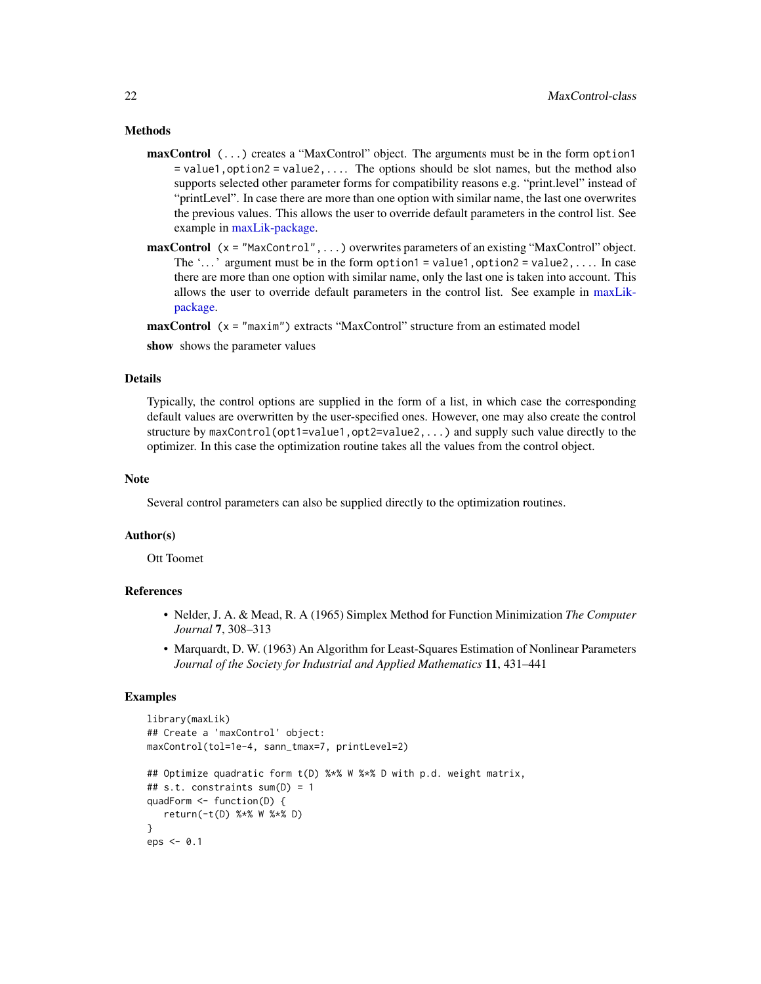### <span id="page-21-0"></span>Methods

- maxControl (...) creates a "MaxControl" object. The arguments must be in the form option1  $=$  value1, option2 = value2,.... The options should be slot names, but the method also supports selected other parameter forms for compatibility reasons e.g. "print.level" instead of "printLevel". In case there are more than one option with similar name, the last one overwrites the previous values. This allows the user to override default parameters in the control list. See example in [maxLik-package.](#page-1-1)
- maxControl (x = "MaxControl",...) overwrites parameters of an existing "MaxControl" object. The  $'...'$  argument must be in the form option1 = value1, option2 = value2,... In case there are more than one option with similar name, only the last one is taken into account. This allows the user to override default parameters in the control list. See example in [maxLik](#page-1-1)[package.](#page-1-1)

maxControl (x = "maxim") extracts "MaxControl" structure from an estimated model

show shows the parameter values

### Details

Typically, the control options are supplied in the form of a list, in which case the corresponding default values are overwritten by the user-specified ones. However, one may also create the control structure by maxControl(opt1=value1,opt2=value2,...) and supply such value directly to the optimizer. In this case the optimization routine takes all the values from the control object.

### Note

Several control parameters can also be supplied directly to the optimization routines.

### Author(s)

Ott Toomet

### References

- Nelder, J. A. & Mead, R. A (1965) Simplex Method for Function Minimization *The Computer Journal* 7, 308–313
- Marquardt, D. W. (1963) An Algorithm for Least-Squares Estimation of Nonlinear Parameters *Journal of the Society for Industrial and Applied Mathematics* 11, 431–441

```
library(maxLik)
## Create a 'maxControl' object:
maxControl(tol=1e-4, sann_tmax=7, printLevel=2)
## Optimize quadratic form t(D) %*% W %*% D with p.d. weight matrix,
## s.t. constraints sum(D) = 1
quadForm <- function(D) {
  return(-t(D) %*% W %*% D)
}
eps <- 0.1
```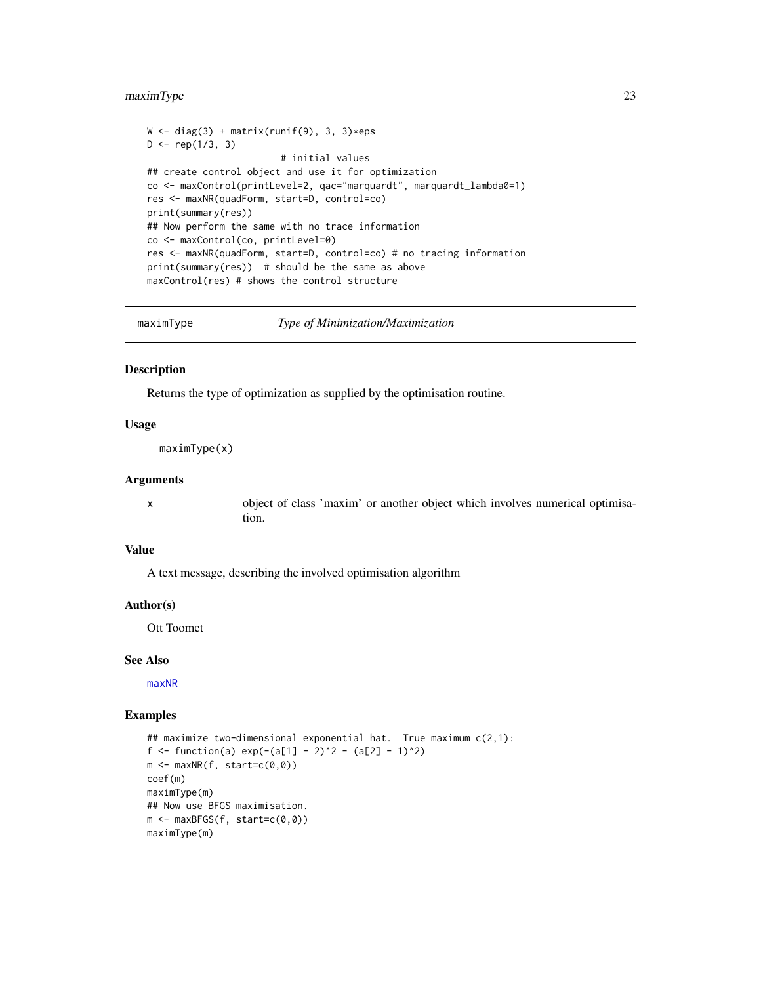### <span id="page-22-0"></span>maximType 23

```
W \leftarrow diag(3) + matrix(runif(9), 3, 3)*epsD \leq - rep(1/3, 3)# initial values
## create control object and use it for optimization
co <- maxControl(printLevel=2, qac="marquardt", marquardt_lambda0=1)
res <- maxNR(quadForm, start=D, control=co)
print(summary(res))
## Now perform the same with no trace information
co <- maxControl(co, printLevel=0)
res <- maxNR(quadForm, start=D, control=co) # no tracing information
print(summary(res)) # should be the same as above
maxControl(res) # shows the control structure
```
<span id="page-22-1"></span>

maximType *Type of Minimization/Maximization*

#### Description

Returns the type of optimization as supplied by the optimisation routine.

### Usage

maximType(x)

### Arguments

x object of class 'maxim' or another object which involves numerical optimisation.

### Value

A text message, describing the involved optimisation algorithm

#### Author(s)

Ott Toomet

#### See Also

[maxNR](#page-25-2)

```
## maximize two-dimensional exponential hat. True maximum c(2,1):
f <- function(a) exp(-(a[1] - 2)^2 - (a[2] - 1)^2)m \leftarrow maxNR(f, start=c(0,0))coef(m)
maximType(m)
## Now use BFGS maximisation.
m <- maxBFGS(f, start=c(0,0))
maximType(m)
```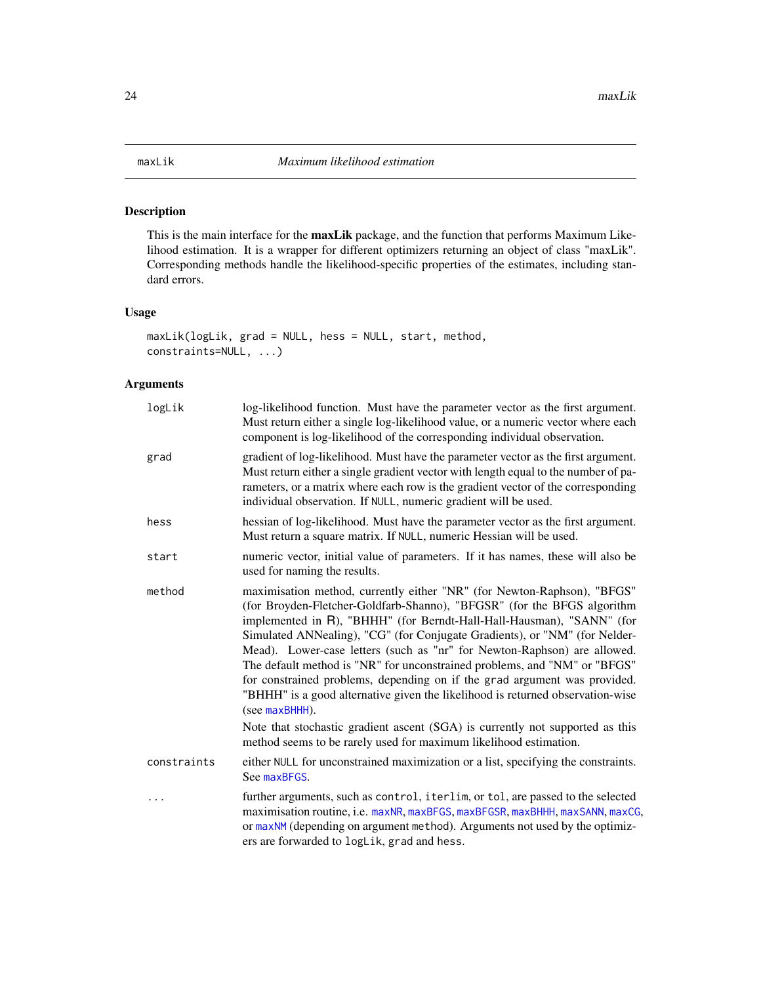### <span id="page-23-1"></span><span id="page-23-0"></span>Description

This is the main interface for the maxLik package, and the function that performs Maximum Likelihood estimation. It is a wrapper for different optimizers returning an object of class "maxLik". Corresponding methods handle the likelihood-specific properties of the estimates, including standard errors.

### Usage

```
maxLik(logLik, grad = NULL, hess = NULL, start, method,
constraints=NULL, ...)
```
### Arguments

| logLik      | log-likelihood function. Must have the parameter vector as the first argument.<br>Must return either a single log-likelihood value, or a numeric vector where each<br>component is log-likelihood of the corresponding individual observation.                                                                                                                                                                                                                                                                                                                                                                                                      |
|-------------|-----------------------------------------------------------------------------------------------------------------------------------------------------------------------------------------------------------------------------------------------------------------------------------------------------------------------------------------------------------------------------------------------------------------------------------------------------------------------------------------------------------------------------------------------------------------------------------------------------------------------------------------------------|
| grad        | gradient of log-likelihood. Must have the parameter vector as the first argument.<br>Must return either a single gradient vector with length equal to the number of pa-<br>rameters, or a matrix where each row is the gradient vector of the corresponding<br>individual observation. If NULL, numeric gradient will be used.                                                                                                                                                                                                                                                                                                                      |
| hess        | hessian of log-likelihood. Must have the parameter vector as the first argument.<br>Must return a square matrix. If NULL, numeric Hessian will be used.                                                                                                                                                                                                                                                                                                                                                                                                                                                                                             |
| start       | numeric vector, initial value of parameters. If it has names, these will also be<br>used for naming the results.                                                                                                                                                                                                                                                                                                                                                                                                                                                                                                                                    |
| method      | maximisation method, currently either "NR" (for Newton-Raphson), "BFGS"<br>(for Broyden-Fletcher-Goldfarb-Shanno), "BFGSR" (for the BFGS algorithm<br>implemented in R), "BHHH" (for Berndt-Hall-Hall-Hausman), "SANN" (for<br>Simulated ANNealing), "CG" (for Conjugate Gradients), or "NM" (for Nelder-<br>Mead). Lower-case letters (such as "nr" for Newton-Raphson) are allowed.<br>The default method is "NR" for unconstrained problems, and "NM" or "BFGS"<br>for constrained problems, depending on if the grad argument was provided.<br>"BHHH" is a good alternative given the likelihood is returned observation-wise<br>(see maxBHHH). |
|             | Note that stochastic gradient ascent (SGA) is currently not supported as this<br>method seems to be rarely used for maximum likelihood estimation.                                                                                                                                                                                                                                                                                                                                                                                                                                                                                                  |
| constraints | either NULL for unconstrained maximization or a list, specifying the constraints.<br>See maxBFGS.                                                                                                                                                                                                                                                                                                                                                                                                                                                                                                                                                   |
|             | further arguments, such as control, iterlim, or tol, are passed to the selected<br>maximisation routine, i.e. maxNR, maxBFGS, maxBFGSR, maxBHHH, maxSANN, maxCG,<br>or maxNM (depending on argument method). Arguments not used by the optimiz-<br>ers are forwarded to logLik, grad and hess.                                                                                                                                                                                                                                                                                                                                                      |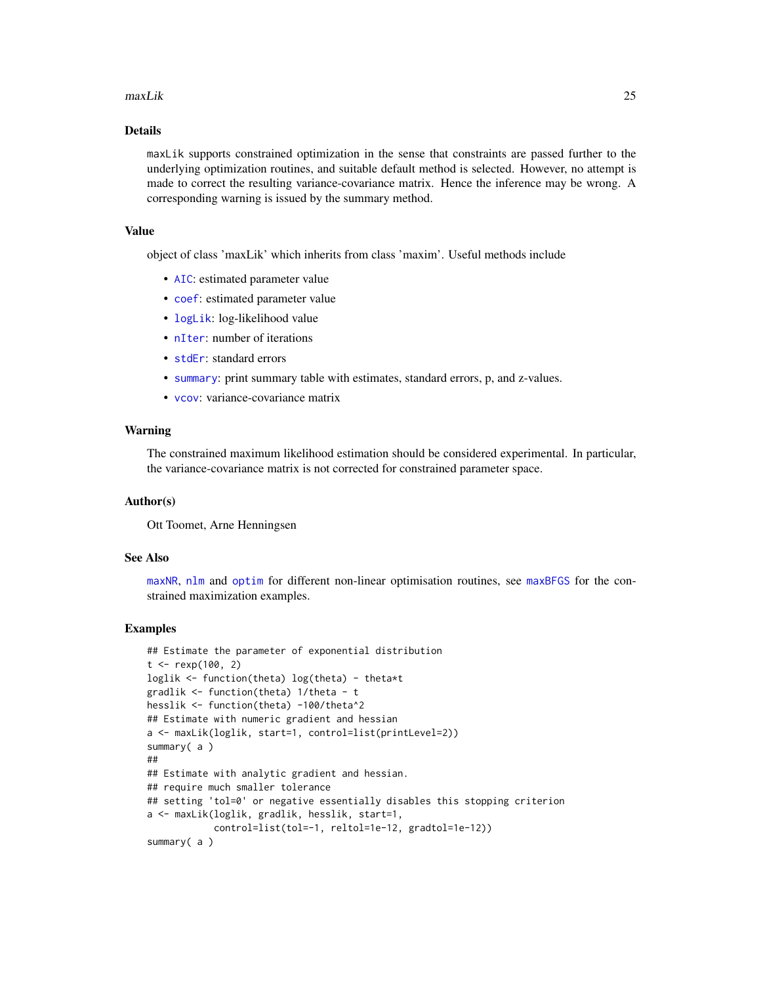#### <span id="page-24-0"></span>maxLik 25

### Details

maxLik supports constrained optimization in the sense that constraints are passed further to the underlying optimization routines, and suitable default method is selected. However, no attempt is made to correct the resulting variance-covariance matrix. Hence the inference may be wrong. A corresponding warning is issued by the summary method.

### Value

object of class 'maxLik' which inherits from class 'maxim'. Useful methods include

- [AIC](#page-4-2): estimated parameter value
- [coef](#page-4-1): estimated parameter value
- [logLik](#page-14-1): log-likelihood value
- [nIter](#page-37-1): number of iterations
- [stdEr](#page-4-1): standard errors
- [summary](#page-47-1): print summary table with estimates, standard errors, p, and z-values.
- [vcov](#page-51-1): variance-covariance matrix

### Warning

The constrained maximum likelihood estimation should be considered experimental. In particular, the variance-covariance matrix is not corrected for constrained parameter space.

#### Author(s)

Ott Toomet, Arne Henningsen

### See Also

[maxNR](#page-25-2), [nlm](#page-0-0) and [optim](#page-0-0) for different non-linear optimisation routines, see [maxBFGS](#page-15-1) for the constrained maximization examples.

```
## Estimate the parameter of exponential distribution
t < - rexp(100, 2)
loglik <- function(theta) log(theta) - theta*t
gradlik <- function(theta) 1/theta - t
hesslik <- function(theta) -100/theta^2
## Estimate with numeric gradient and hessian
a <- maxLik(loglik, start=1, control=list(printLevel=2))
summary(a)
##
## Estimate with analytic gradient and hessian.
## require much smaller tolerance
## setting 'tol=0' or negative essentially disables this stopping criterion
a <- maxLik(loglik, gradlik, hesslik, start=1,
            control=list(tol=-1, reltol=1e-12, gradtol=1e-12))
summary( a )
```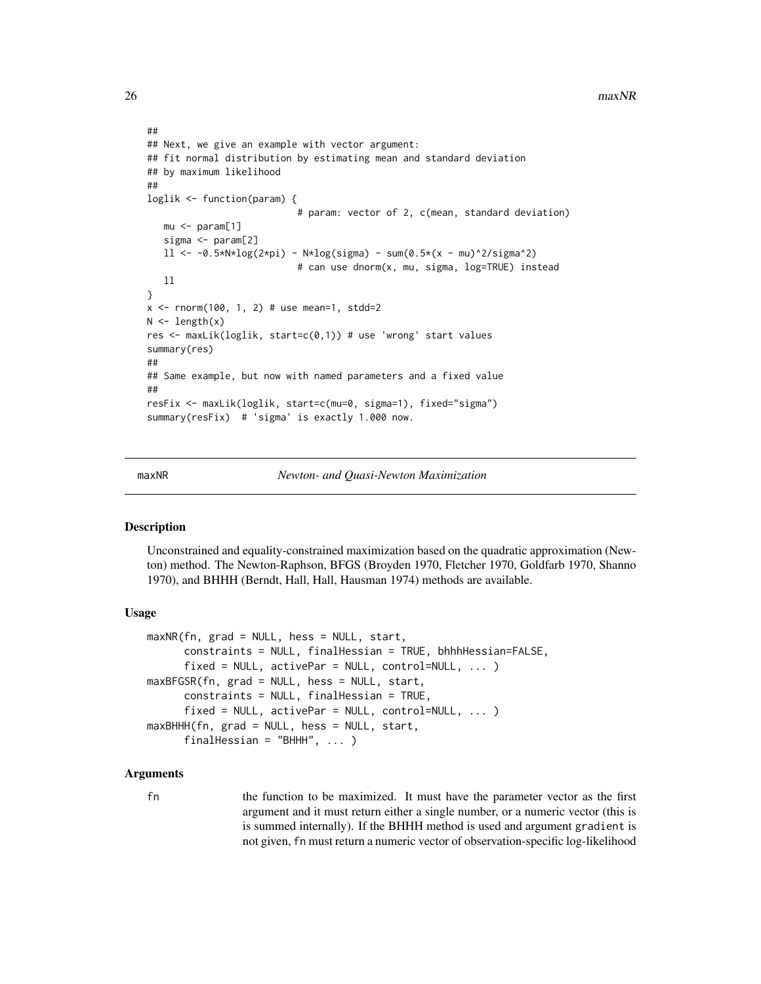```
##
## Next, we give an example with vector argument:
## fit normal distribution by estimating mean and standard deviation
## by maximum likelihood
##
loglik <- function(param) {
                           # param: vector of 2, c(mean, standard deviation)
  mu < - param[1]sigma <- param[2]
  ll <- -0.5*N*log(2*pi) - N*log(sigma) - sum(0.5*(x - mu)^2/sigma^2)
                           # can use dnorm(x, mu, sigma, log=TRUE) instead
  ll
}
x \le - rnorm(100, 1, 2) # use mean=1, stdd=2
N \leftarrow length(x)res <- maxLik(loglik, start=c(0,1)) # use 'wrong' start values
summary(res)
##
## Same example, but now with named parameters and a fixed value
##
resFix <- maxLik(loglik, start=c(mu=0, sigma=1), fixed="sigma")
summary(resFix) # 'sigma' is exactly 1.000 now.
```
<span id="page-25-2"></span>

maxNR *Newton- and Quasi-Newton Maximization*

### <span id="page-25-1"></span>Description

Unconstrained and equality-constrained maximization based on the quadratic approximation (Newton) method. The Newton-Raphson, BFGS (Broyden 1970, Fletcher 1970, Goldfarb 1970, Shanno 1970), and BHHH (Berndt, Hall, Hall, Hausman 1974) methods are available.

### Usage

```
maxNR(fn, grad = NULL, hess = NULL, start,
     constraints = NULL, finalHessian = TRUE, bhhhHessian=FALSE,
     fixed = NULL, activePar = NULL, control=NULL, ... )
maxBFGSR(fn, grad = NULL, hess = NULL, start,
     constraints = NULL, finalHessian = TRUE,
      fixed = NULL, activePar = NULL, control=NULL, ... )
maxBHHH(fn, grad = NULL, hess = NULL, start,
     finalHessian = "BHHH", ... )
```
#### Arguments

fn the function to be maximized. It must have the parameter vector as the first argument and it must return either a single number, or a numeric vector (this is is summed internally). If the BHHH method is used and argument gradient is not given, fn must return a numeric vector of observation-specific log-likelihood

<span id="page-25-0"></span>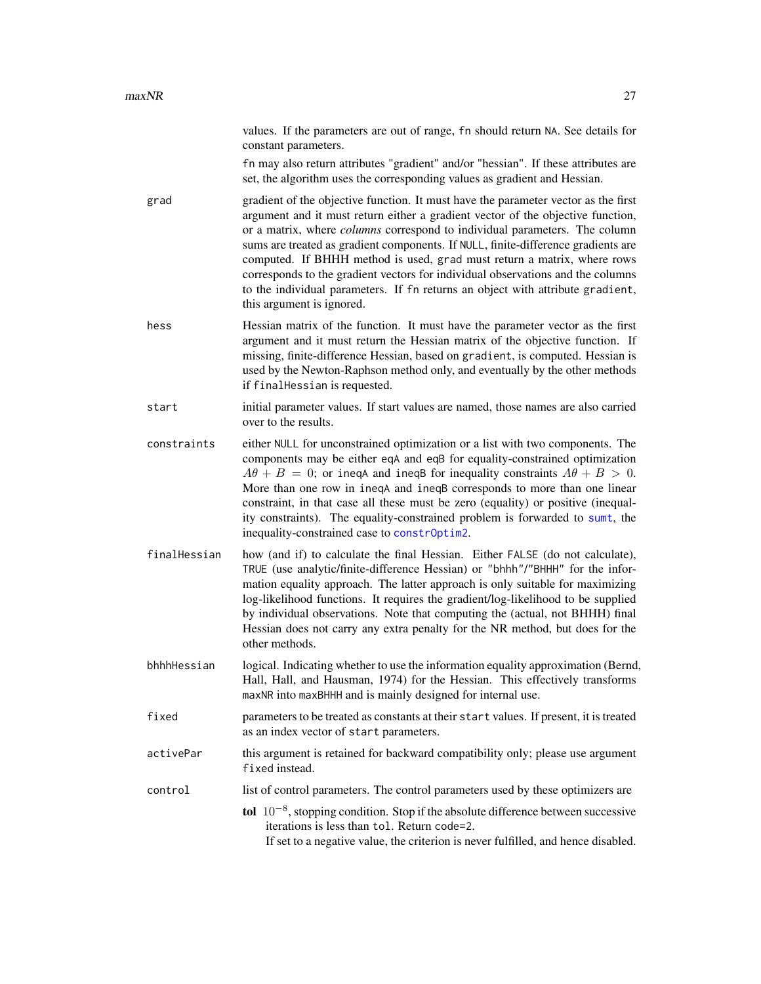values. If the parameters are out of range, fn should return NA. See details for constant parameters.

fn may also return attributes "gradient" and/or "hessian". If these attributes are set, the algorithm uses the corresponding values as gradient and Hessian.

- <span id="page-26-0"></span>grad gradient of the objective function. It must have the parameter vector as the first argument and it must return either a gradient vector of the objective function, or a matrix, where *columns* correspond to individual parameters. The column sums are treated as gradient components. If NULL, finite-difference gradients are computed. If BHHH method is used, grad must return a matrix, where rows corresponds to the gradient vectors for individual observations and the columns to the individual parameters. If fn returns an object with attribute gradient, this argument is ignored.
- hess **Hessian matrix of the function.** It must have the parameter vector as the first argument and it must return the Hessian matrix of the objective function. If missing, finite-difference Hessian, based on gradient, is computed. Hessian is used by the Newton-Raphson method only, and eventually by the other methods if finalHessian is requested.

start initial parameter values. If start values are named, those names are also carried over to the results.

- constraints either NULL for unconstrained optimization or a list with two components. The components may be either eqA and eqB for equality-constrained optimization  $A\theta + B = 0$ ; or inega and inegal for inequality constraints  $A\theta + B > 0$ . More than one row in ineqA and ineqB corresponds to more than one linear constraint, in that case all these must be zero (equality) or positive (inequality constraints). The equality-constrained problem is forwarded to [sumt](#page-48-1), the inequality-constrained case to [constrOptim2](#page-0-0).
- finalHessian how (and if) to calculate the final Hessian. Either FALSE (do not calculate), TRUE (use analytic/finite-difference Hessian) or "bhhh"/"BHHH" for the information equality approach. The latter approach is only suitable for maximizing log-likelihood functions. It requires the gradient/log-likelihood to be supplied by individual observations. Note that computing the (actual, not BHHH) final Hessian does not carry any extra penalty for the NR method, but does for the other methods.
- bhhhHessian logical. Indicating whether to use the information equality approximation (Bernd, Hall, Hall, and Hausman, 1974) for the Hessian. This effectively transforms maxNR into maxBHHH and is mainly designed for internal use.
- fixed parameters to be treated as constants at their start values. If present, it is treated as an index vector of start parameters.
- activePar this argument is retained for backward compatibility only; please use argument fixed instead.
- control list of control parameters. The control parameters used by these optimizers are

tol 10<sup>-8</sup>, stopping condition. Stop if the absolute difference between successive iterations is less than tol. Return code=2. If set to a negative value, the criterion is never fulfilled, and hence disabled.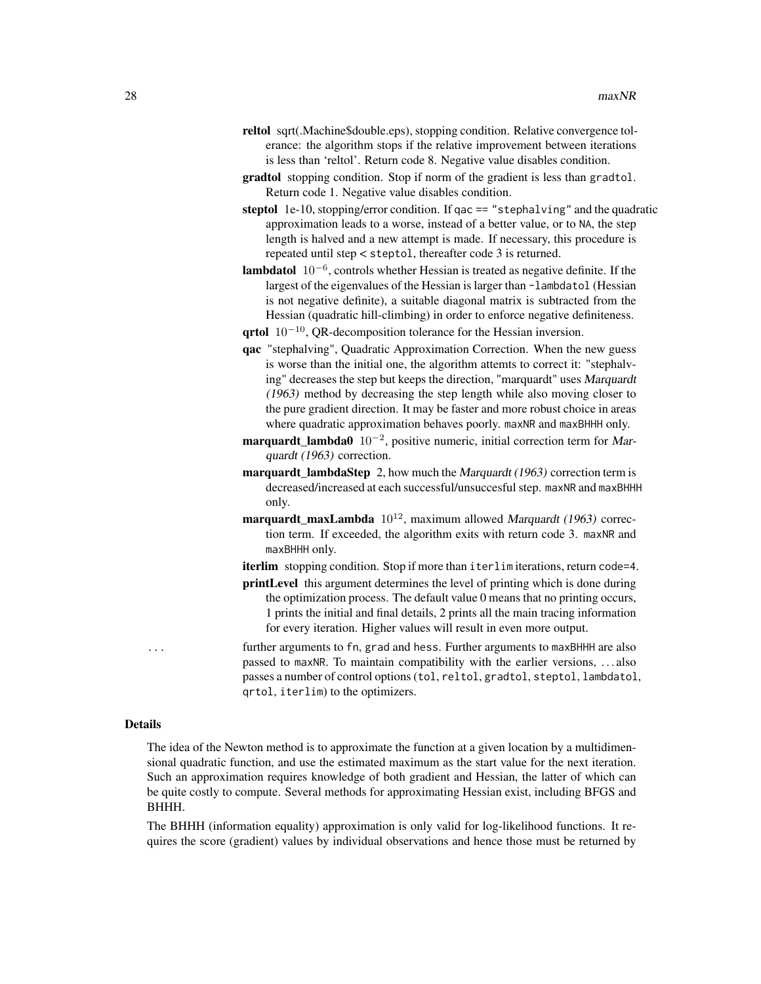- reltol sqrt(.Machine\$double.eps), stopping condition. Relative convergence tolerance: the algorithm stops if the relative improvement between iterations is less than 'reltol'. Return code 8. Negative value disables condition.
- gradtol stopping condition. Stop if norm of the gradient is less than gradtol. Return code 1. Negative value disables condition.
- steptol 1e-10, stopping/error condition. If  $qac == "stephalving"$  and the quadratic approximation leads to a worse, instead of a better value, or to NA, the step length is halved and a new attempt is made. If necessary, this procedure is repeated until step < steptol, thereafter code 3 is returned.
- **lambdatol**  $10^{-6}$ , controls whether Hessian is treated as negative definite. If the largest of the eigenvalues of the Hessian is larger than -lambdatol (Hessian is not negative definite), a suitable diagonal matrix is subtracted from the Hessian (quadratic hill-climbing) in order to enforce negative definiteness.
- qrtol  $10^{-10}$ , QR-decomposition tolerance for the Hessian inversion.
- qac "stephalving", Quadratic Approximation Correction. When the new guess is worse than the initial one, the algorithm attemts to correct it: "stephalving" decreases the step but keeps the direction, "marquardt" uses Marquardt (1963) method by decreasing the step length while also moving closer to the pure gradient direction. It may be faster and more robust choice in areas where quadratic approximation behaves poorly. maxNR and maxBHHH only.
- marquardt\_lambda0  $10^{-2}$ , positive numeric, initial correction term for Marquardt (1963) correction.
- marquardt\_lambdaStep 2, how much the Marquardt (1963) correction term is decreased/increased at each successful/unsuccesful step. maxNR and maxBHHH only.
- marquardt\_maxLambda  $10^{12}$ , maximum allowed Marquardt (1963) correction term. If exceeded, the algorithm exits with return code 3. maxNR and maxBHHH only.

iterlim stopping condition. Stop if more than iterlim iterations, return code=4.

printLevel this argument determines the level of printing which is done during the optimization process. The default value 0 means that no printing occurs, 1 prints the initial and final details, 2 prints all the main tracing information for every iteration. Higher values will result in even more output.

further arguments to fn, grad and hess. Further arguments to maxBHHH are also passed to maxNR. To maintain compatibility with the earlier versions, . . . also passes a number of control options (tol, reltol, gradtol, steptol, lambdatol, qrtol, iterlim) to the optimizers.

#### Details

The idea of the Newton method is to approximate the function at a given location by a multidimensional quadratic function, and use the estimated maximum as the start value for the next iteration. Such an approximation requires knowledge of both gradient and Hessian, the latter of which can be quite costly to compute. Several methods for approximating Hessian exist, including BFGS and BHHH.

The BHHH (information equality) approximation is only valid for log-likelihood functions. It requires the score (gradient) values by individual observations and hence those must be returned by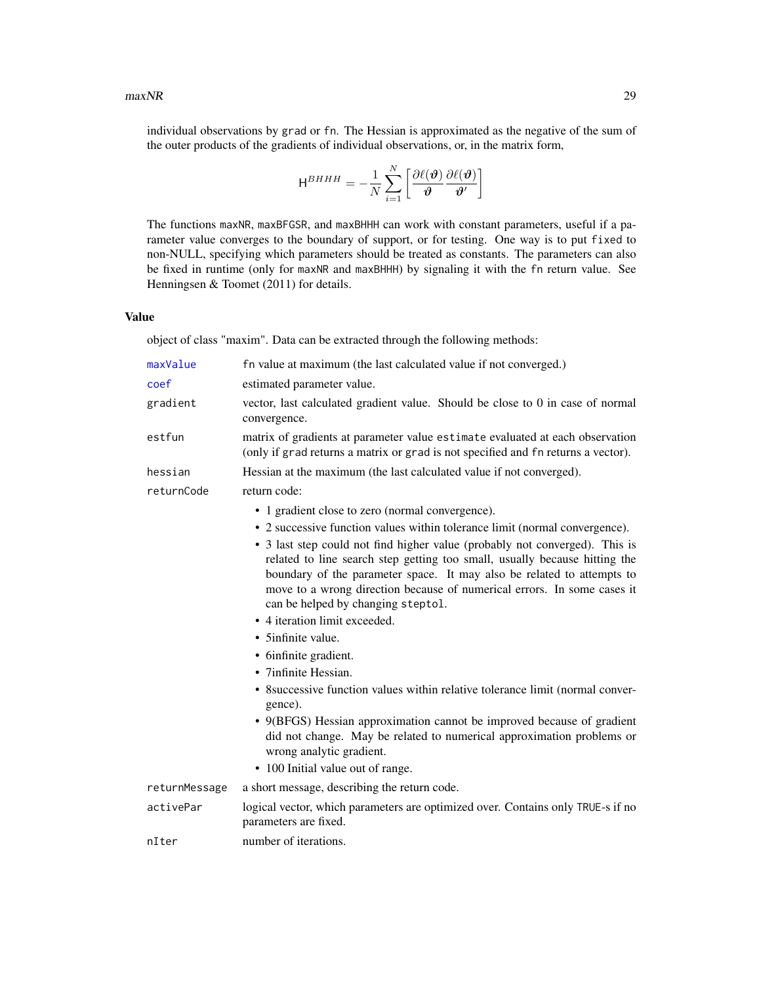<span id="page-28-0"></span>individual observations by grad or fn. The Hessian is approximated as the negative of the sum of the outer products of the gradients of individual observations, or, in the matrix form,

$$
\mathsf{H}^{BHHH} = -\frac{1}{N}\sum_{i=1}^{N}\left[\frac{\partial\ell(\boldsymbol{\vartheta})}{\boldsymbol{\vartheta}}\frac{\partial\ell(\boldsymbol{\vartheta})}{\boldsymbol{\vartheta}'}\right]
$$

The functions maxNR, maxBFGSR, and maxBHHH can work with constant parameters, useful if a parameter value converges to the boundary of support, or for testing. One way is to put fixed to non-NULL, specifying which parameters should be treated as constants. The parameters can also be fixed in runtime (only for maxNR and maxBHHH) by signaling it with the fn return value. See Henningsen & Toomet (2011) for details.

### Value

object of class "maxim". Data can be extracted through the following methods:

| maxValue      | fn value at maximum (the last calculated value if not converged.)                                                                                                                                                                                                                                                                                    |
|---------------|------------------------------------------------------------------------------------------------------------------------------------------------------------------------------------------------------------------------------------------------------------------------------------------------------------------------------------------------------|
| coef          | estimated parameter value.                                                                                                                                                                                                                                                                                                                           |
| gradient      | vector, last calculated gradient value. Should be close to 0 in case of normal<br>convergence.                                                                                                                                                                                                                                                       |
| estfun        | matrix of gradients at parameter value estimate evaluated at each observation<br>(only if grad returns a matrix or grad is not specified and fn returns a vector).                                                                                                                                                                                   |
| hessian       | Hessian at the maximum (the last calculated value if not converged).                                                                                                                                                                                                                                                                                 |
| returnCode    | return code:                                                                                                                                                                                                                                                                                                                                         |
|               | • 1 gradient close to zero (normal convergence).                                                                                                                                                                                                                                                                                                     |
|               | • 2 successive function values within tolerance limit (normal convergence).                                                                                                                                                                                                                                                                          |
|               | • 3 last step could not find higher value (probably not converged). This is<br>related to line search step getting too small, usually because hitting the<br>boundary of the parameter space. It may also be related to attempts to<br>move to a wrong direction because of numerical errors. In some cases it<br>can be helped by changing steptol. |
|               | • 4 iteration limit exceeded.                                                                                                                                                                                                                                                                                                                        |
|               | • 5infinite value.                                                                                                                                                                                                                                                                                                                                   |
|               | • 6infinite gradient.                                                                                                                                                                                                                                                                                                                                |
|               | • 7infinite Hessian.                                                                                                                                                                                                                                                                                                                                 |
|               | • 8 successive function values within relative tolerance limit (normal conver-<br>gence).                                                                                                                                                                                                                                                            |
|               | • 9(BFGS) Hessian approximation cannot be improved because of gradient<br>did not change. May be related to numerical approximation problems or<br>wrong analytic gradient.                                                                                                                                                                          |
|               | • 100 Initial value out of range.                                                                                                                                                                                                                                                                                                                    |
| returnMessage | a short message, describing the return code.                                                                                                                                                                                                                                                                                                         |
| activePar     | logical vector, which parameters are optimized over. Contains only TRUE-s if no<br>parameters are fixed.                                                                                                                                                                                                                                             |
| nIter         | number of iterations.                                                                                                                                                                                                                                                                                                                                |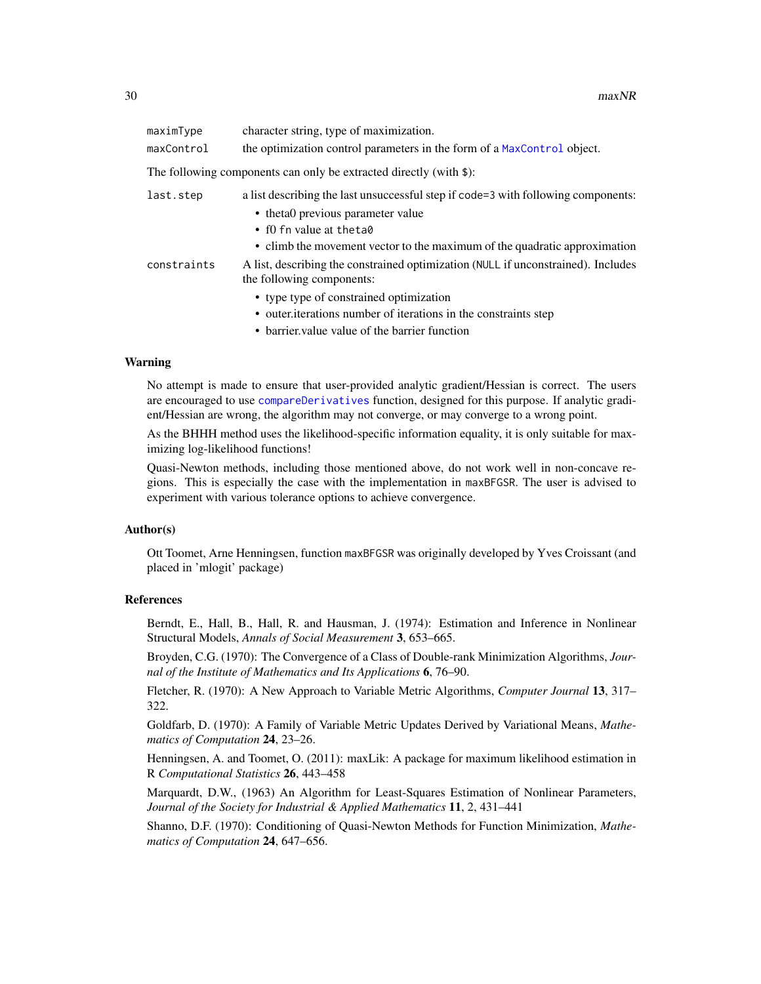<span id="page-29-0"></span>

| maximType   | character string, type of maximization.                                                                        |
|-------------|----------------------------------------------------------------------------------------------------------------|
| maxControl  | the optimization control parameters in the form of a MaxControl object.                                        |
|             | The following components can only be extracted directly (with \$):                                             |
| last.step   | a list describing the last unsuccessful step if code=3 with following components:                              |
|             | • theta0 previous parameter value                                                                              |
|             | • f0 fn value at the ta0                                                                                       |
|             | • climb the movement vector to the maximum of the quadratic approximation                                      |
| constraints | A list, describing the constrained optimization (NULL if unconstrained). Includes<br>the following components: |
|             | • type type of constrained optimization                                                                        |
|             | • outer iterations number of iterations in the constraints step                                                |
|             | $-1$ . The state of $-1$ , $-1$ , $-1$ , $-1$ , $-1$ , $-1$ , $-1$                                             |

• barrier. value value of the barrier function

### Warning

No attempt is made to ensure that user-provided analytic gradient/Hessian is correct. The users are encouraged to use [compareDerivatives](#page-6-1) function, designed for this purpose. If analytic gradient/Hessian are wrong, the algorithm may not converge, or may converge to a wrong point.

As the BHHH method uses the likelihood-specific information equality, it is only suitable for maximizing log-likelihood functions!

Quasi-Newton methods, including those mentioned above, do not work well in non-concave regions. This is especially the case with the implementation in maxBFGSR. The user is advised to experiment with various tolerance options to achieve convergence.

#### Author(s)

Ott Toomet, Arne Henningsen, function maxBFGSR was originally developed by Yves Croissant (and placed in 'mlogit' package)

### References

Berndt, E., Hall, B., Hall, R. and Hausman, J. (1974): Estimation and Inference in Nonlinear Structural Models, *Annals of Social Measurement* 3, 653–665.

Broyden, C.G. (1970): The Convergence of a Class of Double-rank Minimization Algorithms, *Journal of the Institute of Mathematics and Its Applications* 6, 76–90.

Fletcher, R. (1970): A New Approach to Variable Metric Algorithms, *Computer Journal* 13, 317– 322.

Goldfarb, D. (1970): A Family of Variable Metric Updates Derived by Variational Means, *Mathematics of Computation* 24, 23–26.

Henningsen, A. and Toomet, O. (2011): maxLik: A package for maximum likelihood estimation in R *Computational Statistics* 26, 443–458

Marquardt, D.W., (1963) An Algorithm for Least-Squares Estimation of Nonlinear Parameters, *Journal of the Society for Industrial & Applied Mathematics* 11, 2, 431–441

Shanno, D.F. (1970): Conditioning of Quasi-Newton Methods for Function Minimization, *Mathematics of Computation* 24, 647–656.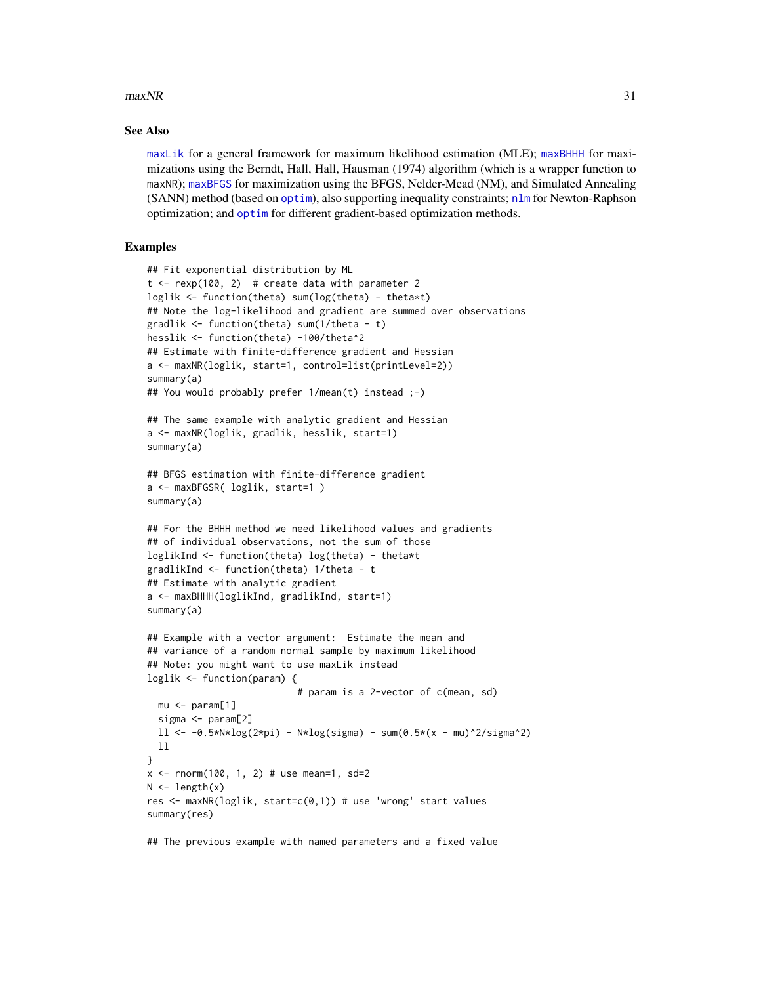#### <span id="page-30-0"></span> $maxNR$  31

### See Also

[maxLik](#page-23-1) for a general framework for maximum likelihood estimation (MLE); [maxBHHH](#page-25-1) for maximizations using the Berndt, Hall, Hall, Hausman (1974) algorithm (which is a wrapper function to maxNR); [maxBFGS](#page-15-1) for maximization using the BFGS, Nelder-Mead (NM), and Simulated Annealing (SANN) method (based on [optim](#page-0-0)), also supporting inequality constraints; [nlm](#page-0-0) for Newton-Raphson optimization; and [optim](#page-0-0) for different gradient-based optimization methods.

### Examples

```
## Fit exponential distribution by ML
t < - rexp(100, 2) # create data with parameter 2
loglik <- function(theta) sum(log(theta) - theta*t)
## Note the log-likelihood and gradient are summed over observations
gradlik <- function(theta) sum(1/theta - t)
hesslik <- function(theta) -100/theta^2
## Estimate with finite-difference gradient and Hessian
a <- maxNR(loglik, start=1, control=list(printLevel=2))
summary(a)
## You would probably prefer 1/mean(t) instead ;-)
## The same example with analytic gradient and Hessian
a <- maxNR(loglik, gradlik, hesslik, start=1)
summary(a)
## BFGS estimation with finite-difference gradient
a <- maxBFGSR( loglik, start=1 )
summary(a)
## For the BHHH method we need likelihood values and gradients
## of individual observations, not the sum of those
loglikInd <- function(theta) log(theta) - theta*t
gradlikInd <- function(theta) 1/theta - t
## Estimate with analytic gradient
a <- maxBHHH(loglikInd, gradlikInd, start=1)
summary(a)
## Example with a vector argument: Estimate the mean and
## variance of a random normal sample by maximum likelihood
## Note: you might want to use maxLik instead
loglik <- function(param) {
                           # param is a 2-vector of c(mean, sd)
  mu <- param[1]
  sigma <- param[2]
  11 < -0.5*N*log(2*pi) - N*log(sigma) - sum(0.5*(x - mu)^2/sigma^2)ll
}
x \le - rnorm(100, 1, 2) # use mean=1, sd=2
N \leftarrow length(x)res <- maxNR(loglik, start=c(0,1)) # use 'wrong' start values
summary(res)
```
## The previous example with named parameters and a fixed value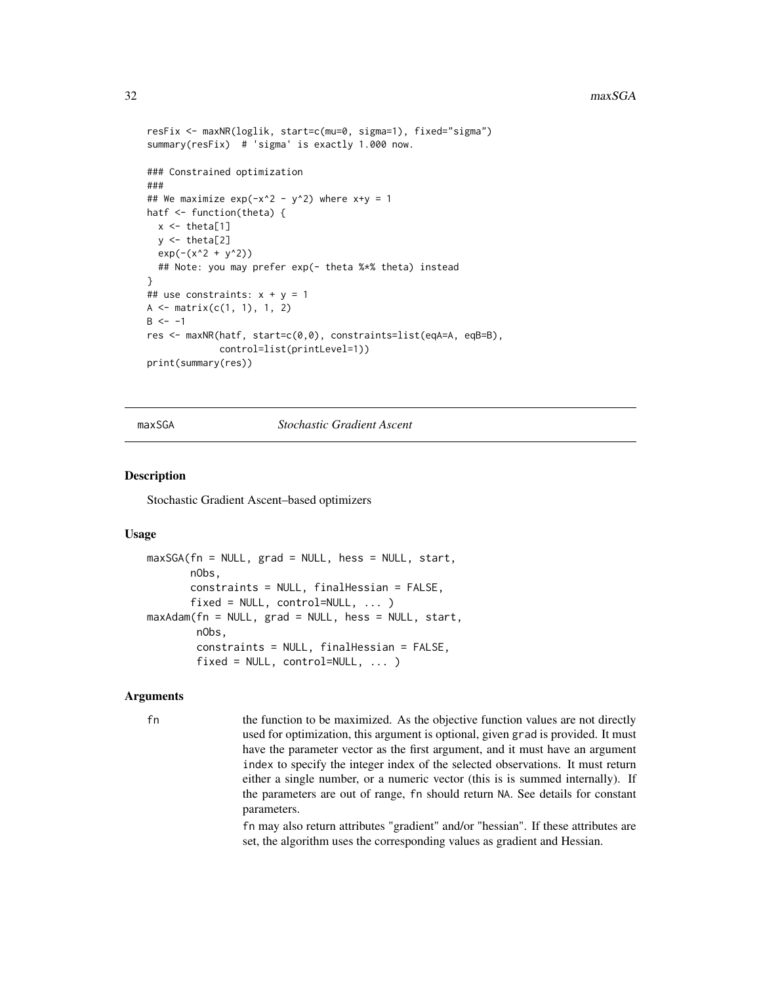```
resFix <- maxNR(loglik, start=c(mu=0, sigma=1), fixed="sigma")
summary(resFix) # 'sigma' is exactly 1.000 now.
### Constrained optimization
###
## We maximize exp(-x^2 - y^2) where x+y = 1hatf <- function(theta) {
  x \leftarrow \text{theta}[1]y \leftarrow \text{theta}[2]exp(-(x^2 + y^2))## Note: you may prefer exp(- theta %*% theta) instead
}
## use constraints: x + y = 1A \leftarrow matrix(c(1, 1), 1, 2)B < - -1res <- maxNR(hatf, start=c(0,0), constraints=list(eqA=A, eqB=B),
              control=list(printLevel=1))
print(summary(res))
```
### maxSGA *Stochastic Gradient Ascent*

#### Description

Stochastic Gradient Ascent–based optimizers

#### Usage

```
maxSGA(fn = NULL, grad = NULL, hess = NULL, start,
       nObs,
       constraints = NULL, finalHessian = FALSE,
       fixed = NULL, control=NULL, ... )
maxAdam(fn = NULL, grad = NULL, hess = NULL, start,
       nObs,
       constraints = NULL, finalHessian = FALSE,
       fixed = NULL, control=NULL, ... )
```
### Arguments

fn the function to be maximized. As the objective function values are not directly used for optimization, this argument is optional, given grad is provided. It must have the parameter vector as the first argument, and it must have an argument index to specify the integer index of the selected observations. It must return either a single number, or a numeric vector (this is is summed internally). If the parameters are out of range, fn should return NA. See details for constant parameters.

> fn may also return attributes "gradient" and/or "hessian". If these attributes are set, the algorithm uses the corresponding values as gradient and Hessian.

<span id="page-31-0"></span>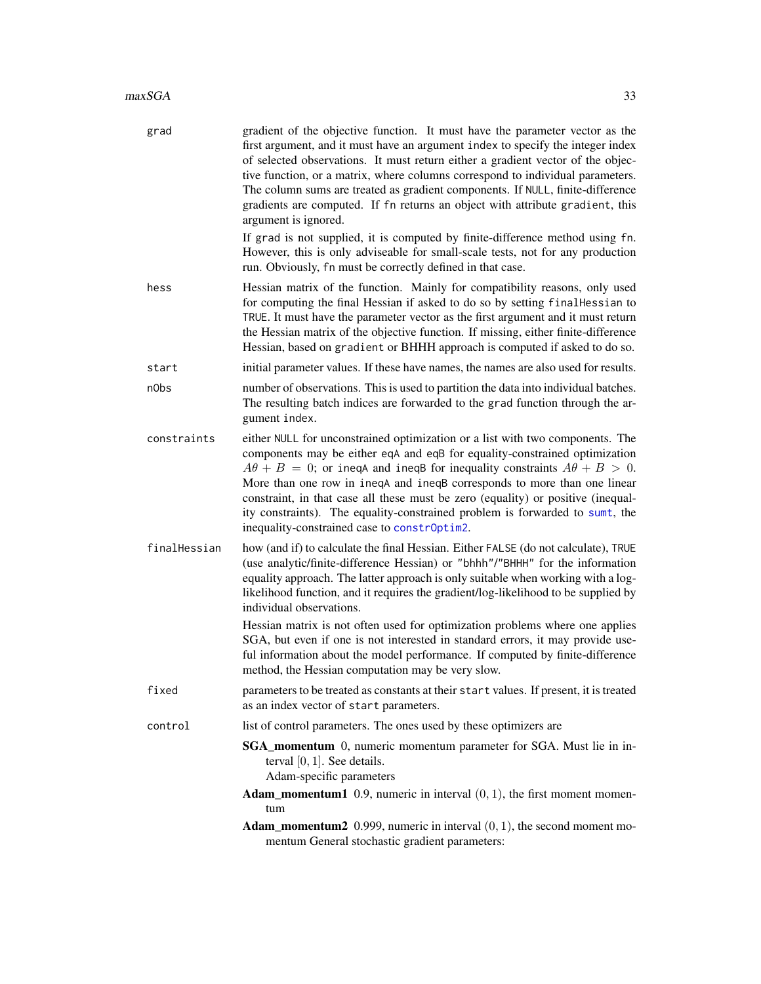<span id="page-32-0"></span>

| grad         | gradient of the objective function. It must have the parameter vector as the<br>first argument, and it must have an argument index to specify the integer index<br>of selected observations. It must return either a gradient vector of the objec-<br>tive function, or a matrix, where columns correspond to individual parameters.<br>The column sums are treated as gradient components. If NULL, finite-difference<br>gradients are computed. If fn returns an object with attribute gradient, this<br>argument is ignored.<br>If grad is not supplied, it is computed by finite-difference method using fn.<br>However, this is only adviseable for small-scale tests, not for any production<br>run. Obviously, fn must be correctly defined in that case. |
|--------------|------------------------------------------------------------------------------------------------------------------------------------------------------------------------------------------------------------------------------------------------------------------------------------------------------------------------------------------------------------------------------------------------------------------------------------------------------------------------------------------------------------------------------------------------------------------------------------------------------------------------------------------------------------------------------------------------------------------------------------------------------------------|
| hess         | Hessian matrix of the function. Mainly for compatibility reasons, only used<br>for computing the final Hessian if asked to do so by setting final Hessian to<br>TRUE. It must have the parameter vector as the first argument and it must return<br>the Hessian matrix of the objective function. If missing, either finite-difference<br>Hessian, based on gradient or BHHH approach is computed if asked to do so.                                                                                                                                                                                                                                                                                                                                             |
| start        | initial parameter values. If these have names, the names are also used for results.                                                                                                                                                                                                                                                                                                                                                                                                                                                                                                                                                                                                                                                                              |
| n0bs         | number of observations. This is used to partition the data into individual batches.<br>The resulting batch indices are forwarded to the grad function through the ar-<br>gument index.                                                                                                                                                                                                                                                                                                                                                                                                                                                                                                                                                                           |
| constraints  | either NULL for unconstrained optimization or a list with two components. The<br>components may be either eqA and eqB for equality-constrained optimization<br>$A\theta + B = 0$ ; or ineqA and ineqB for inequality constraints $A\theta + B > 0$ .<br>More than one row in ineqA and ineqB corresponds to more than one linear<br>constraint, in that case all these must be zero (equality) or positive (inequal-<br>ity constraints). The equality-constrained problem is forwarded to sumt, the<br>inequality-constrained case to constrOptim2.                                                                                                                                                                                                             |
| finalHessian | how (and if) to calculate the final Hessian. Either FALSE (do not calculate), TRUE<br>(use analytic/finite-difference Hessian) or "bhhh"/"BHHH" for the information<br>equality approach. The latter approach is only suitable when working with a log-<br>likelihood function, and it requires the gradient/log-likelihood to be supplied by<br>individual observations.                                                                                                                                                                                                                                                                                                                                                                                        |
|              | Hessian matrix is not often used for optimization problems where one applies<br>SGA, but even if one is not interested in standard errors, it may provide use-<br>ful information about the model performance. If computed by finite-difference<br>method, the Hessian computation may be very slow.                                                                                                                                                                                                                                                                                                                                                                                                                                                             |
| fixed        | parameters to be treated as constants at their start values. If present, it is treated<br>as an index vector of start parameters.                                                                                                                                                                                                                                                                                                                                                                                                                                                                                                                                                                                                                                |
| control      | list of control parameters. The ones used by these optimizers are                                                                                                                                                                                                                                                                                                                                                                                                                                                                                                                                                                                                                                                                                                |
|              | <b>SGA_momentum</b> 0, numeric momentum parameter for SGA. Must lie in in-<br>terval $[0, 1]$ . See details.<br>Adam-specific parameters                                                                                                                                                                                                                                                                                                                                                                                                                                                                                                                                                                                                                         |
|              | <b>Adam_momentum1</b> 0.9, numeric in interval $(0, 1)$ , the first moment momen-<br>tum                                                                                                                                                                                                                                                                                                                                                                                                                                                                                                                                                                                                                                                                         |
|              | <b>Adam_momentum2</b> 0.999, numeric in interval $(0, 1)$ , the second moment mo-<br>mentum General stochastic gradient parameters:                                                                                                                                                                                                                                                                                                                                                                                                                                                                                                                                                                                                                              |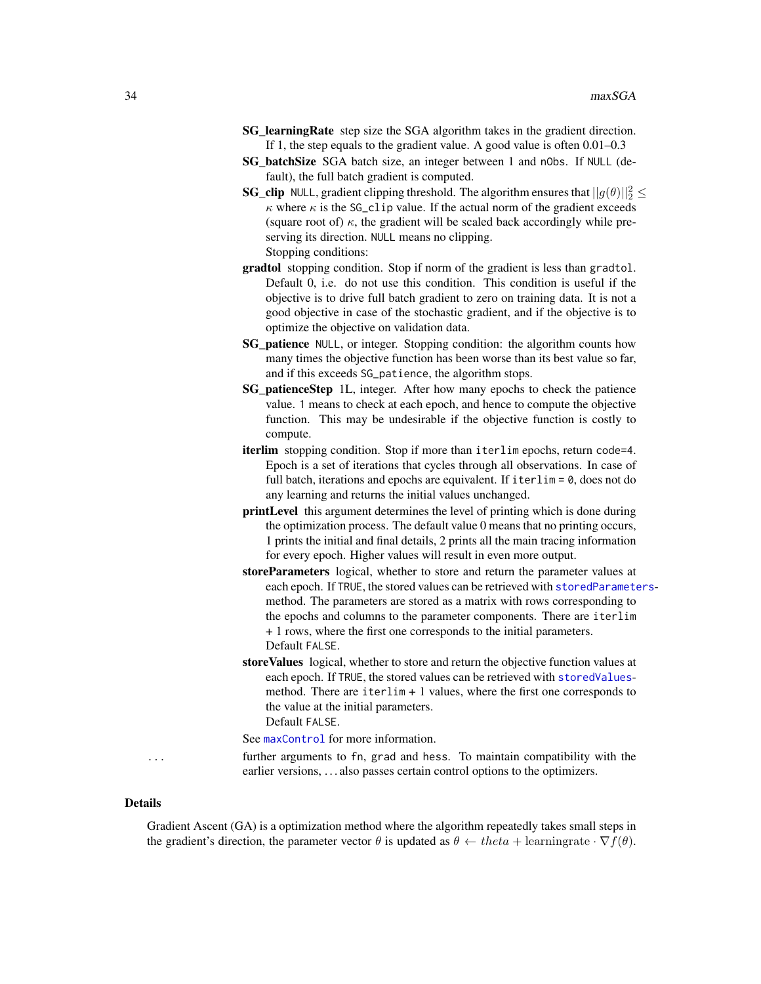- <span id="page-33-0"></span>SG\_learningRate step size the SGA algorithm takes in the gradient direction. If 1, the step equals to the gradient value. A good value is often 0.01–0.3
- SG\_batchSize SGA batch size, an integer between 1 and nObs. If NULL (default), the full batch gradient is computed.
- **SG\_clip** NULL, gradient clipping threshold. The algorithm ensures that  $||g(\theta)||_2^2 \le$  $\kappa$  where  $\kappa$  is the SG\_clip value. If the actual norm of the gradient exceeds (square root of)  $\kappa$ , the gradient will be scaled back accordingly while preserving its direction. NULL means no clipping. Stopping conditions:
- gradtol stopping condition. Stop if norm of the gradient is less than gradtol. Default 0, i.e. do not use this condition. This condition is useful if the objective is to drive full batch gradient to zero on training data. It is not a good objective in case of the stochastic gradient, and if the objective is to optimize the objective on validation data.
- SG patience NULL, or integer. Stopping condition: the algorithm counts how many times the objective function has been worse than its best value so far, and if this exceeds SG\_patience, the algorithm stops.
- SG\_patienceStep 1L, integer. After how many epochs to check the patience value. 1 means to check at each epoch, and hence to compute the objective function. This may be undesirable if the objective function is costly to compute.
- iterlim stopping condition. Stop if more than iterlim epochs, return code=4. Epoch is a set of iterations that cycles through all observations. In case of full batch, iterations and epochs are equivalent. If  $iterlim = 0$ , does not do any learning and returns the initial values unchanged.
- printLevel this argument determines the level of printing which is done during the optimization process. The default value 0 means that no printing occurs, 1 prints the initial and final details, 2 prints all the main tracing information for every epoch. Higher values will result in even more output.
- storeParameters logical, whether to store and return the parameter values at each epoch. If TRUE, the stored values can be retrieved with [storedParameters](#page-44-1)method. The parameters are stored as a matrix with rows corresponding to the epochs and columns to the parameter components. There are iterlim + 1 rows, where the first one corresponds to the initial parameters. Default FALSE.
- storeValues logical, whether to store and return the objective function values at each epoch. If TRUE, the stored values can be retrieved with [storedValues](#page-44-2)method. There are  $iterlim + 1$  values, where the first one corresponds to the value at the initial parameters. Default FALSE.

See [maxControl](#page-19-2) for more information.

... further arguments to fn, grad and hess. To maintain compatibility with the earlier versions, . . . also passes certain control options to the optimizers.

#### Details

Gradient Ascent (GA) is a optimization method where the algorithm repeatedly takes small steps in the gradient's direction, the parameter vector  $\theta$  is updated as  $\theta \leftarrow theta + learningrate \cdot \nabla f(\theta)$ .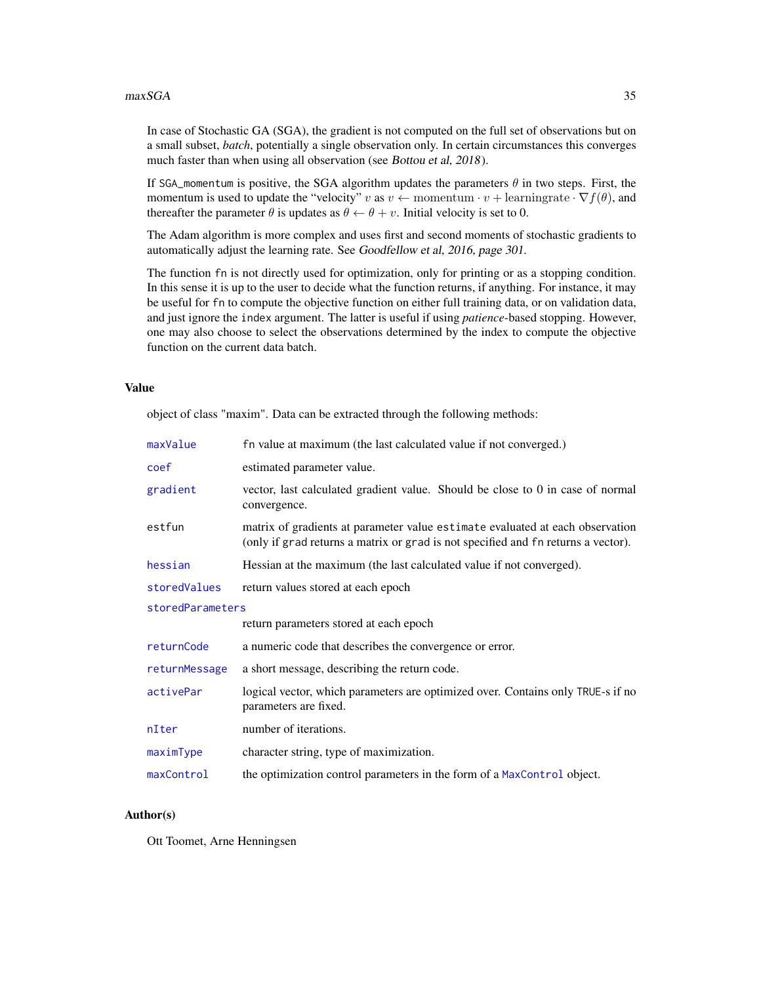<span id="page-34-0"></span>In case of Stochastic GA (SGA), the gradient is not computed on the full set of observations but on a small subset, *batch*, potentially a single observation only. In certain circumstances this converges much faster than when using all observation (see Bottou et al, 2018).

If SGA\_momentum is positive, the SGA algorithm updates the parameters  $\theta$  in two steps. First, the momentum is used to update the "velocity" v as  $v \leftarrow$  momentum  $\cdot v +$  learningrate  $\cdot \nabla f(\theta)$ , and thereafter the parameter  $\theta$  is updates as  $\theta \leftarrow \theta + v$ . Initial velocity is set to 0.

The Adam algorithm is more complex and uses first and second moments of stochastic gradients to automatically adjust the learning rate. See Goodfellow et al, 2016, page 301.

The function fn is not directly used for optimization, only for printing or as a stopping condition. In this sense it is up to the user to decide what the function returns, if anything. For instance, it may be useful for fn to compute the objective function on either full training data, or on validation data, and just ignore the index argument. The latter is useful if using *patience*-based stopping. However, one may also choose to select the observations determined by the index to compute the objective function on the current data batch.

### Value

object of class "maxim". Data can be extracted through the following methods:

| maxValue         | fn value at maximum (the last calculated value if not converged.)                                                                                                  |  |
|------------------|--------------------------------------------------------------------------------------------------------------------------------------------------------------------|--|
| coef             | estimated parameter value.                                                                                                                                         |  |
| gradient         | vector, last calculated gradient value. Should be close to 0 in case of normal<br>convergence.                                                                     |  |
| estfun           | matrix of gradients at parameter value estimate evaluated at each observation<br>(only if grad returns a matrix or grad is not specified and fn returns a vector). |  |
| hessian          | Hessian at the maximum (the last calculated value if not converged).                                                                                               |  |
| storedValues     | return values stored at each epoch                                                                                                                                 |  |
| storedParameters |                                                                                                                                                                    |  |
|                  | return parameters stored at each epoch                                                                                                                             |  |
| returnCode       | a numeric code that describes the convergence or error.                                                                                                            |  |
| returnMessage    | a short message, describing the return code.                                                                                                                       |  |
| activePar        | logical vector, which parameters are optimized over. Contains only TRUE-s if no<br>parameters are fixed.                                                           |  |
| nIter            | number of iterations.                                                                                                                                              |  |
| maximType        | character string, type of maximization.                                                                                                                            |  |
| maxControl       | the optimization control parameters in the form of a MaxControl object.                                                                                            |  |

### Author(s)

Ott Toomet, Arne Henningsen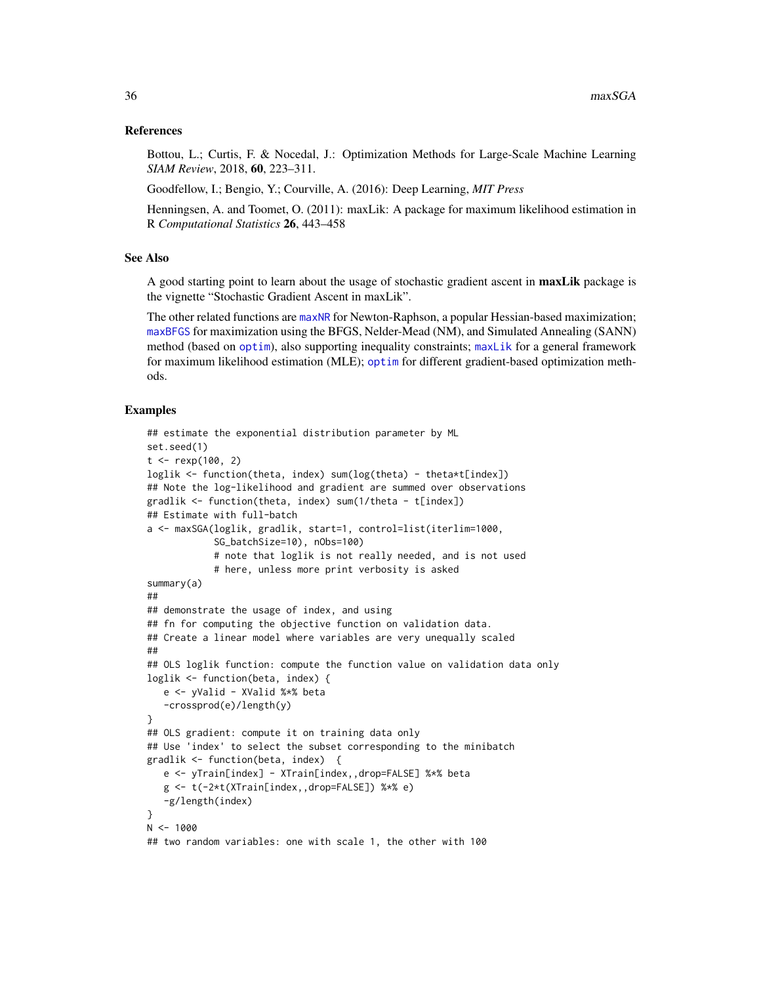### <span id="page-35-0"></span>References

Bottou, L.; Curtis, F. & Nocedal, J.: Optimization Methods for Large-Scale Machine Learning *SIAM Review*, 2018, 60, 223–311.

Goodfellow, I.; Bengio, Y.; Courville, A. (2016): Deep Learning, *MIT Press*

Henningsen, A. and Toomet, O. (2011): maxLik: A package for maximum likelihood estimation in R *Computational Statistics* 26, 443–458

### See Also

A good starting point to learn about the usage of stochastic gradient ascent in **maxLik** package is the vignette "Stochastic Gradient Ascent in maxLik".

The other related functions are [maxNR](#page-25-2) for Newton-Raphson, a popular Hessian-based maximization; [maxBFGS](#page-15-1) for maximization using the BFGS, Nelder-Mead (NM), and Simulated Annealing (SANN) method (based on [optim](#page-0-0)), also supporting inequality constraints; [maxLik](#page-23-1) for a general framework for maximum likelihood estimation (MLE); [optim](#page-0-0) for different gradient-based optimization methods.

```
## estimate the exponential distribution parameter by ML
set.seed(1)
t < - rexp(100, 2)
loglik <- function(theta, index) sum(log(theta) - theta*t[index])
## Note the log-likelihood and gradient are summed over observations
gradlik <- function(theta, index) sum(1/theta - t[index])
## Estimate with full-batch
a <- maxSGA(loglik, gradlik, start=1, control=list(iterlim=1000,
            SG_batchSize=10), nObs=100)
            # note that loglik is not really needed, and is not used
            # here, unless more print verbosity is asked
summary(a)
##
## demonstrate the usage of index, and using
## fn for computing the objective function on validation data.
## Create a linear model where variables are very unequally scaled
##
## OLS loglik function: compute the function value on validation data only
loglik <- function(beta, index) {
  e <- yValid - XValid %*% beta
   -crossprod(e)/length(y)
}
## OLS gradient: compute it on training data only
## Use 'index' to select the subset corresponding to the minibatch
gradlik <- function(beta, index) {
  e <- yTrain[index] - XTrain[index,,drop=FALSE] %*% beta
  g <- t(-2*t(XTrain[index,,drop=FALSE]) %*% e)
   -g/length(index)
}
N < -1000## two random variables: one with scale 1, the other with 100
```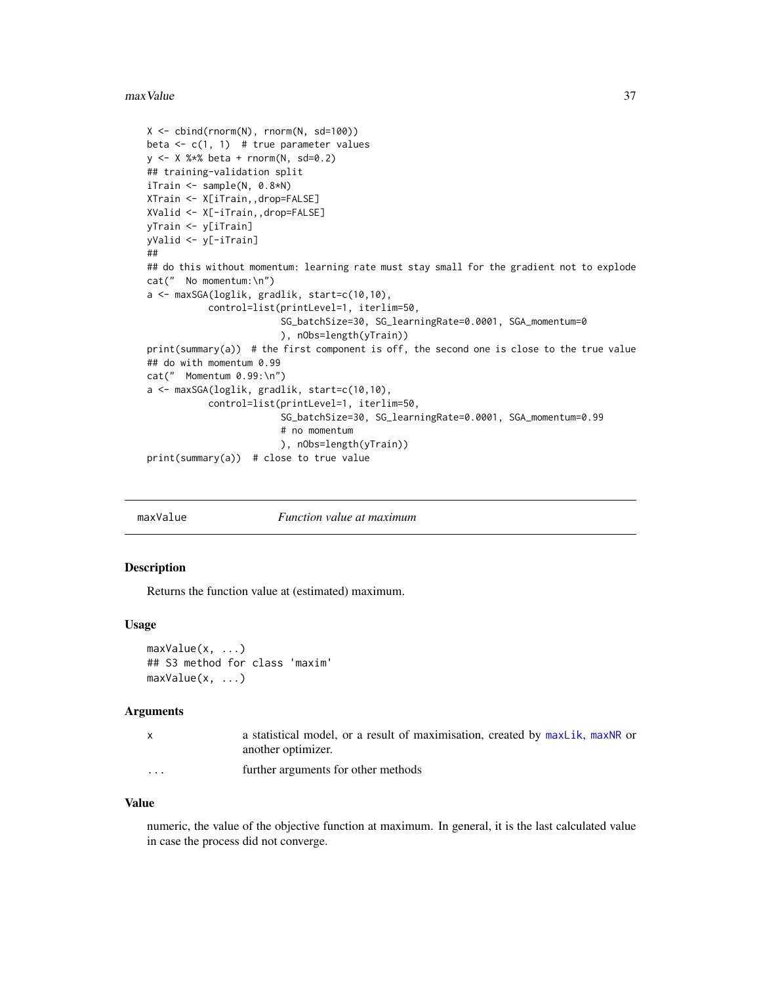#### <span id="page-36-0"></span>max Value 37

```
X \leftarrow \text{cbind}(\text{rnorm}(N), \text{rnorm}(N, \text{sd=100}))beta \leq c(1, 1) # true parameter values
y <- X %*% beta + rnorm(N, sd=0.2)
## training-validation split
iTrain <- sample(N, 0.8*N)
XTrain <- X[iTrain,,drop=FALSE]
XValid <- X[-iTrain,,drop=FALSE]
yTrain <- y[iTrain]
yValid <- y[-iTrain]
##
## do this without momentum: learning rate must stay small for the gradient not to explode
cat(" No momentum:\n")
a <- maxSGA(loglik, gradlik, start=c(10,10),
            control=list(printLevel=1, iterlim=50,
                         SG_batchSize=30, SG_learningRate=0.0001, SGA_momentum=0
                         ), nObs=length(yTrain))
print(summary(a)) # the first component is off, the second one is close to the true value
## do with momentum 0.99
cat(" Momentum 0.99:\n")
a <- maxSGA(loglik, gradlik, start=c(10,10),
           control=list(printLevel=1, iterlim=50,
                         SG_batchSize=30, SG_learningRate=0.0001, SGA_momentum=0.99
                         # no momentum
                         ), nObs=length(yTrain))
print(summary(a)) # close to true value
```
<span id="page-36-1"></span>maxValue *Function value at maximum*

#### Description

Returns the function value at (estimated) maximum.

#### Usage

```
maxValue(x, ...)
## S3 method for class 'maxim'
maxValue(x, ...)
```
### Arguments

|          | a statistical model, or a result of maximisation, created by maxLik, maxNR or |
|----------|-------------------------------------------------------------------------------|
|          | another optimizer.                                                            |
| $\cdots$ | further arguments for other methods                                           |

#### Value

numeric, the value of the objective function at maximum. In general, it is the last calculated value in case the process did not converge.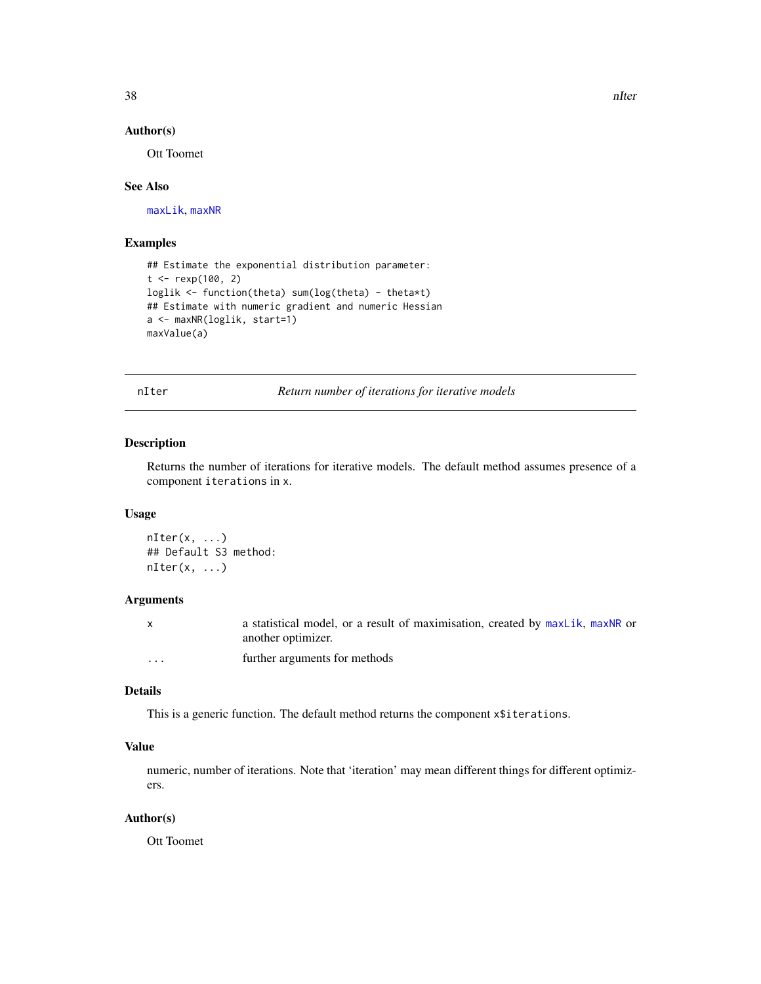<span id="page-37-0"></span>38 nIter and the contract of the contract of the contract of the contract of the contract of the contract of the contract of the contract of the contract of the contract of the contract of the contract of the contract of t

### Author(s)

Ott Toomet

### See Also

[maxLik](#page-23-1), [maxNR](#page-25-2)

### Examples

```
## Estimate the exponential distribution parameter:
t < - rexp(100, 2)
loglik <- function(theta) sum(log(theta) - theta*t)
## Estimate with numeric gradient and numeric Hessian
a <- maxNR(loglik, start=1)
maxValue(a)
```
<span id="page-37-1"></span>nIter *Return number of iterations for iterative models*

### Description

Returns the number of iterations for iterative models. The default method assumes presence of a component iterations in x.

#### Usage

```
nIter(x, \ldots)## Default S3 method:
nIter(x, \ldots)
```
### Arguments

|         | a statistical model, or a result of maximisation, created by maxLik, maxNR or |
|---------|-------------------------------------------------------------------------------|
|         | another optimizer.                                                            |
| $\cdot$ | further arguments for methods                                                 |

### Details

This is a generic function. The default method returns the component x\$iterations.

### Value

numeric, number of iterations. Note that 'iteration' may mean different things for different optimizers.

### Author(s)

Ott Toomet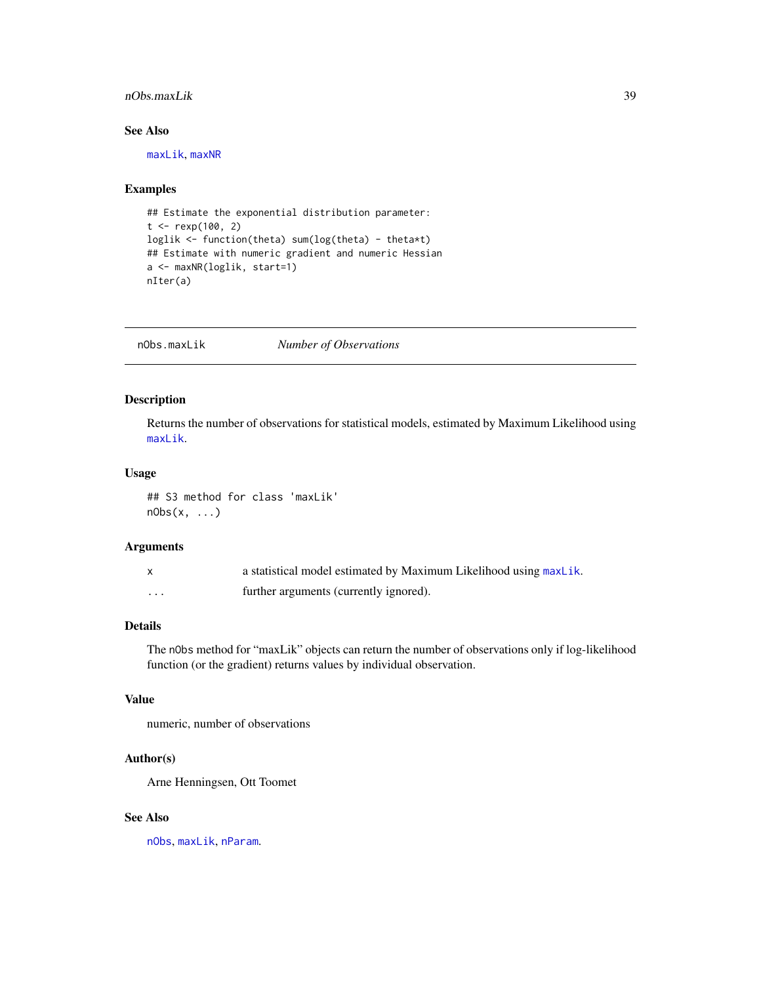### <span id="page-38-0"></span>nObs.maxLik 39

### See Also

[maxLik](#page-23-1), [maxNR](#page-25-2)

### Examples

```
## Estimate the exponential distribution parameter:
t < - rexp(100, 2)
loglik <- function(theta) sum(log(theta) - theta*t)
## Estimate with numeric gradient and numeric Hessian
a <- maxNR(loglik, start=1)
nIter(a)
```
nObs.maxLik *Number of Observations*

### Description

Returns the number of observations for statistical models, estimated by Maximum Likelihood using [maxLik](#page-23-1).

### Usage

## S3 method for class 'maxLik' nObs(x, ...)

### Arguments

|         | a statistical model estimated by Maximum Likelihood using maxLik. |
|---------|-------------------------------------------------------------------|
| $\cdot$ | further arguments (currently ignored).                            |

### Details

The nObs method for "maxLik" objects can return the number of observations only if log-likelihood function (or the gradient) returns values by individual observation.

### Value

numeric, number of observations

### Author(s)

Arne Henningsen, Ott Toomet

### See Also

[nObs](#page-0-0), [maxLik](#page-23-1), [nParam](#page-0-0).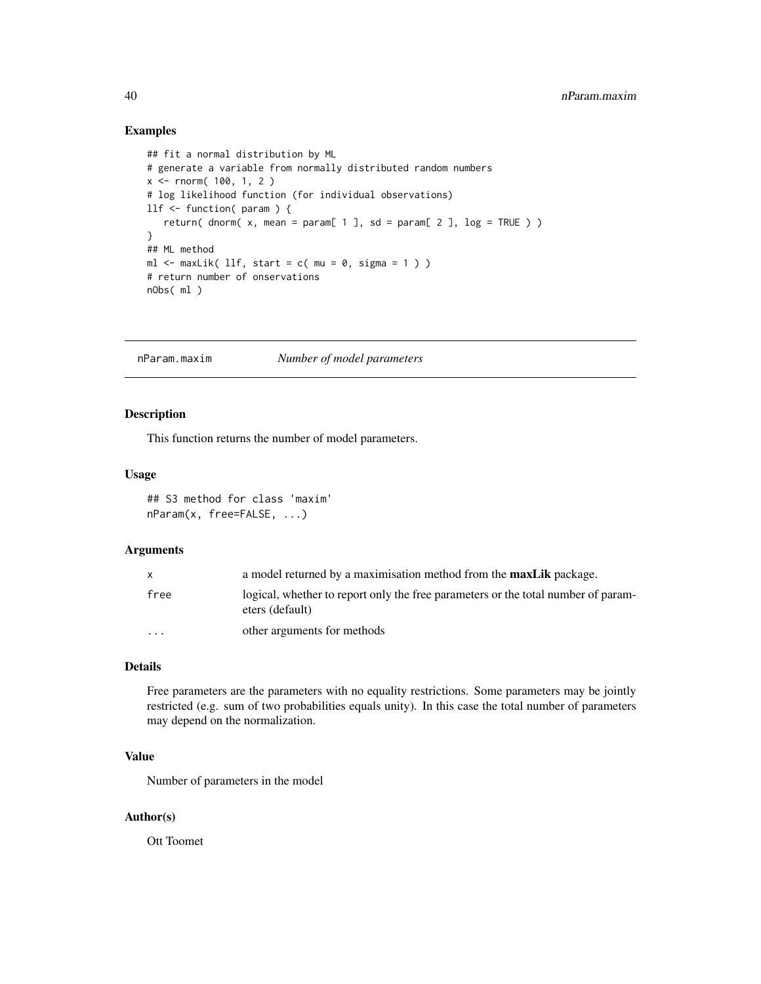### Examples

```
## fit a normal distribution by ML
# generate a variable from normally distributed random numbers
x \le - rnorm( 100, 1, 2)
# log likelihood function (for individual observations)
llf <- function( param ) {
   return( dnorm( x, mean = param[ 1 ], sd = param[ 2 ], log = TRUE ) )
}
## ML method
ml \le maxLik( llf, start = c( mu = 0, sigma = 1 ) )
# return number of onservations
nObs( ml )
```
nParam.maxim *Number of model parameters*

### Description

This function returns the number of model parameters.

### Usage

## S3 method for class 'maxim' nParam(x, free=FALSE, ...)

#### Arguments

| X        | a model returned by a maximisation method from the <b>maxLik</b> package.                            |
|----------|------------------------------------------------------------------------------------------------------|
| free     | logical, whether to report only the free parameters or the total number of param-<br>eters (default) |
| $\cdots$ | other arguments for methods                                                                          |

### Details

Free parameters are the parameters with no equality restrictions. Some parameters may be jointly restricted (e.g. sum of two probabilities equals unity). In this case the total number of parameters may depend on the normalization.

### Value

Number of parameters in the model

### Author(s)

Ott Toomet

<span id="page-39-0"></span>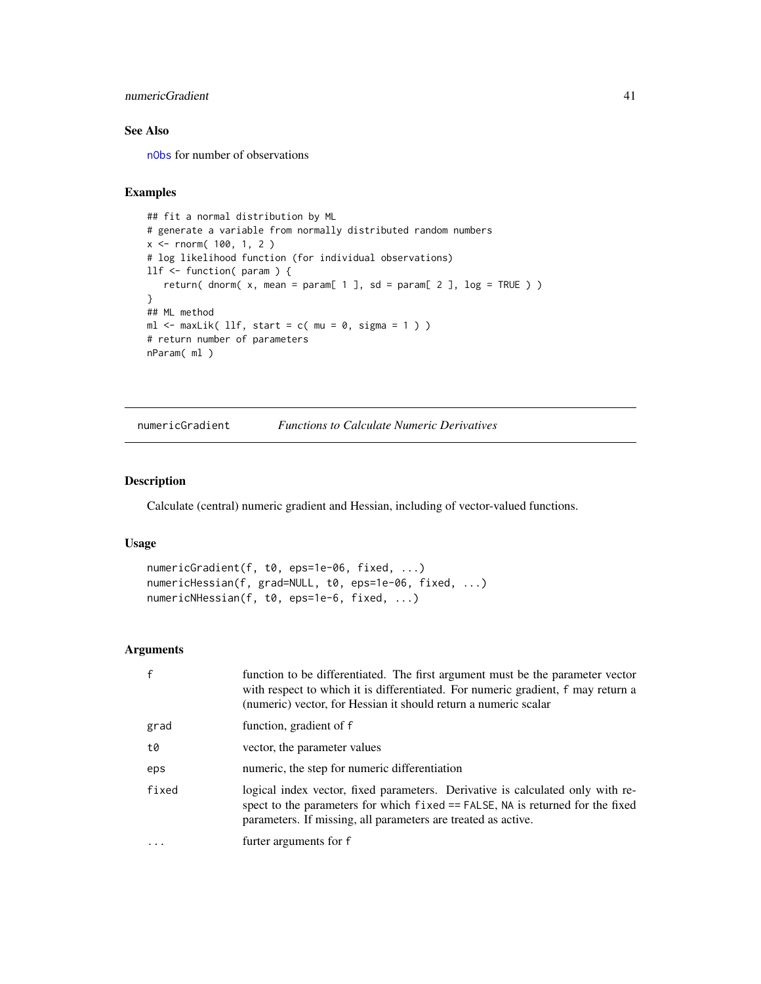### <span id="page-40-0"></span>numericGradient 41

### See Also

[nObs](#page-0-0) for number of observations

### Examples

```
## fit a normal distribution by ML
# generate a variable from normally distributed random numbers
x <- rnorm( 100, 1, 2 )
# log likelihood function (for individual observations)
llf <- function( param ) {
   return( dnorm(x, mean = param[ 1 ], sd = param[ 2 ], log = TRUE ) )
}
## ML method
ml \le maxLik( llf, start = c( mu = 0, sigma = 1 ) )
# return number of parameters
nParam( ml )
```

```
numericGradient Functions to Calculate Numeric Derivatives
```
### Description

Calculate (central) numeric gradient and Hessian, including of vector-valued functions.

#### Usage

```
numericGradient(f, t0, eps=1e-06, fixed, ...)
numericHessian(f, grad=NULL, t0, eps=1e-06, fixed, ...)
numericNHessian(f, t0, eps=1e-6, fixed, ...)
```
### Arguments

| $\mathsf{f}$ | function to be differentiated. The first argument must be the parameter vector<br>with respect to which it is differentiated. For numeric gradient, f may return a<br>(numeric) vector, for Hessian it should return a numeric scalar |
|--------------|---------------------------------------------------------------------------------------------------------------------------------------------------------------------------------------------------------------------------------------|
| grad         | function, gradient of f                                                                                                                                                                                                               |
| t0           | vector, the parameter values                                                                                                                                                                                                          |
| eps          | numeric, the step for numeric differentiation                                                                                                                                                                                         |
| fixed        | logical index vector, fixed parameters. Derivative is calculated only with re-<br>spect to the parameters for which fixed == FALSE, NA is returned for the fixed<br>parameters. If missing, all parameters are treated as active.     |
|              | furter arguments for f                                                                                                                                                                                                                |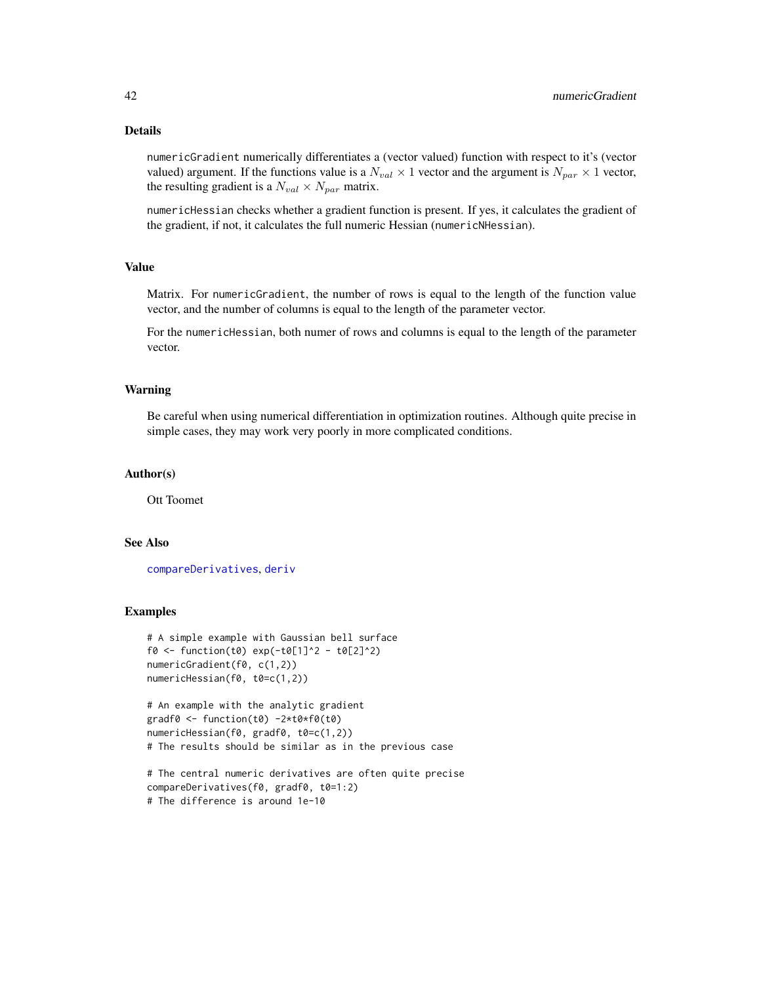### Details

numericGradient numerically differentiates a (vector valued) function with respect to it's (vector valued) argument. If the functions value is a  $N_{val} \times 1$  vector and the argument is  $N_{par} \times 1$  vector, the resulting gradient is a  $N_{val} \times N_{par}$  matrix.

numericHessian checks whether a gradient function is present. If yes, it calculates the gradient of the gradient, if not, it calculates the full numeric Hessian (numericNHessian).

### Value

Matrix. For numericGradient, the number of rows is equal to the length of the function value vector, and the number of columns is equal to the length of the parameter vector.

For the numericHessian, both numer of rows and columns is equal to the length of the parameter vector.

#### Warning

Be careful when using numerical differentiation in optimization routines. Although quite precise in simple cases, they may work very poorly in more complicated conditions.

#### Author(s)

Ott Toomet

#### See Also

[compareDerivatives](#page-6-1), [deriv](#page-0-0)

```
# A simple example with Gaussian bell surface
f0 \le - function(t0) exp(-f0[1]^2 - t0[2]^2)
numericGradient(f0, c(1,2))
numericHessian(f0, t0=c(1,2))
```

```
# An example with the analytic gradient
gradf0 <- function(t0) -2*t0*f0(t0)
numericHessian(f0, gradf0, t0=c(1,2))
# The results should be similar as in the previous case
```

```
# The central numeric derivatives are often quite precise
compareDerivatives(f0, gradf0, t0=1:2)
# The difference is around 1e-10
```
<span id="page-41-0"></span>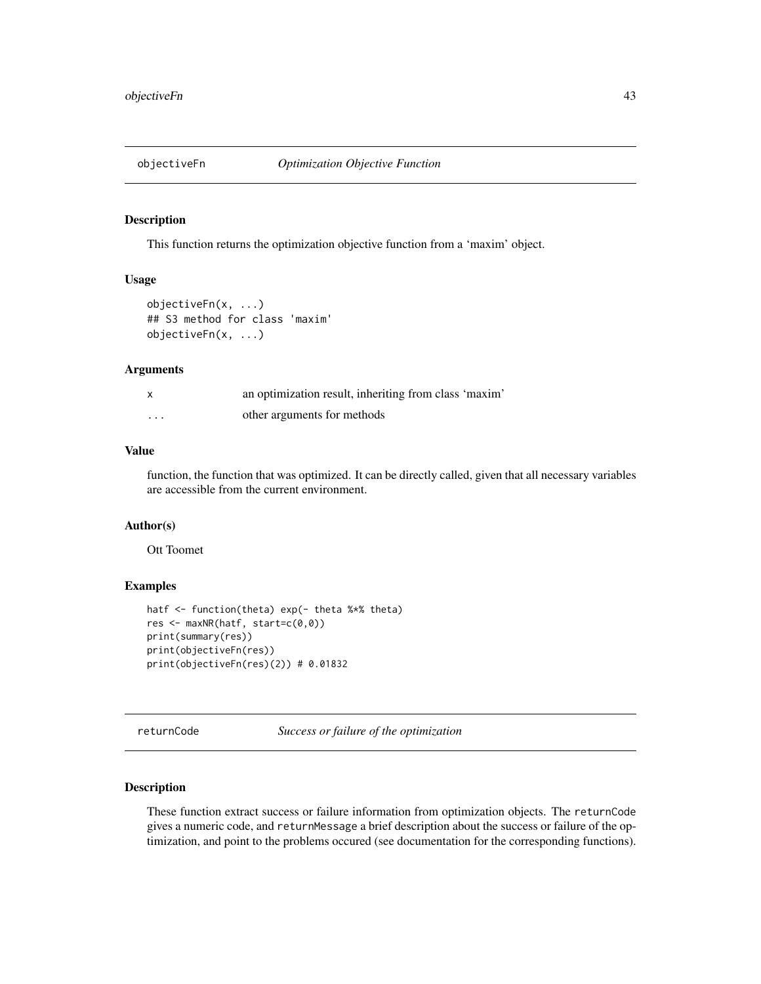<span id="page-42-0"></span>

#### Description

This function returns the optimization objective function from a 'maxim' object.

### Usage

```
objectiveFn(x, ...)
## S3 method for class 'maxim'
objectiveFn(x, ...)
```
### Arguments

|          | an optimization result, inheriting from class 'maxim' |
|----------|-------------------------------------------------------|
| $\cdots$ | other arguments for methods                           |

### Value

function, the function that was optimized. It can be directly called, given that all necessary variables are accessible from the current environment.

### Author(s)

Ott Toomet

### Examples

```
hatf <- function(theta) exp(- theta %*% theta)
res <- maxNR(hatf, start=c(0,0))
print(summary(res))
print(objectiveFn(res))
print(objectiveFn(res)(2)) # 0.01832
```
<span id="page-42-1"></span>returnCode *Success or failure of the optimization*

#### <span id="page-42-2"></span>Description

These function extract success or failure information from optimization objects. The returnCode gives a numeric code, and returnMessage a brief description about the success or failure of the optimization, and point to the problems occured (see documentation for the corresponding functions).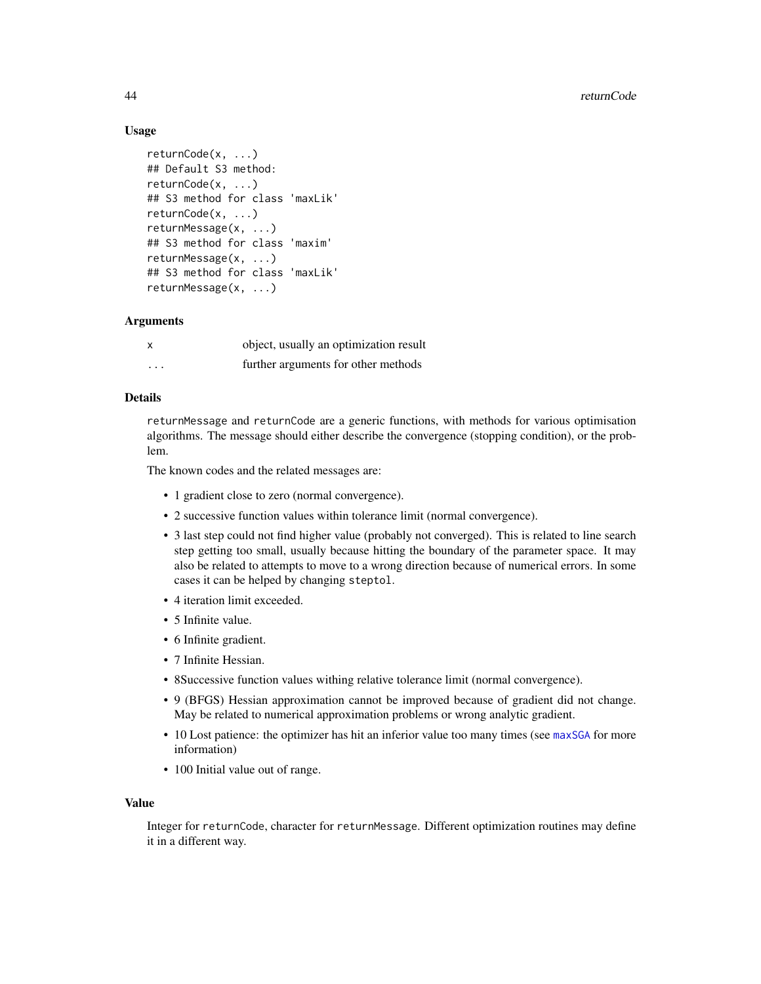### <span id="page-43-0"></span>Usage

```
returnCode(x, ...)
## Default S3 method:
returnCode(x, ...)
## S3 method for class 'maxLik'
returnCode(x, ...)
returnMessage(x, ...)
## S3 method for class 'maxim'
returnMessage(x, ...)
## S3 method for class 'maxLik'
returnMessage(x, ...)
```
### Arguments

|                         | object, usually an optimization result |
|-------------------------|----------------------------------------|
| $\cdot$ $\cdot$ $\cdot$ | further arguments for other methods    |

### Details

returnMessage and returnCode are a generic functions, with methods for various optimisation algorithms. The message should either describe the convergence (stopping condition), or the problem.

The known codes and the related messages are:

- 1 gradient close to zero (normal convergence).
- 2 successive function values within tolerance limit (normal convergence).
- 3 last step could not find higher value (probably not converged). This is related to line search step getting too small, usually because hitting the boundary of the parameter space. It may also be related to attempts to move to a wrong direction because of numerical errors. In some cases it can be helped by changing steptol.
- 4 iteration limit exceeded.
- 5 Infinite value.
- 6 Infinite gradient.
- 7 Infinite Hessian.
- 8Successive function values withing relative tolerance limit (normal convergence).
- 9 (BFGS) Hessian approximation cannot be improved because of gradient did not change. May be related to numerical approximation problems or wrong analytic gradient.
- 10 Lost patience: the optimizer has hit an inferior value too many times (see [maxSGA](#page-31-1) for more information)
- 100 Initial value out of range.

#### Value

Integer for returnCode, character for returnMessage. Different optimization routines may define it in a different way.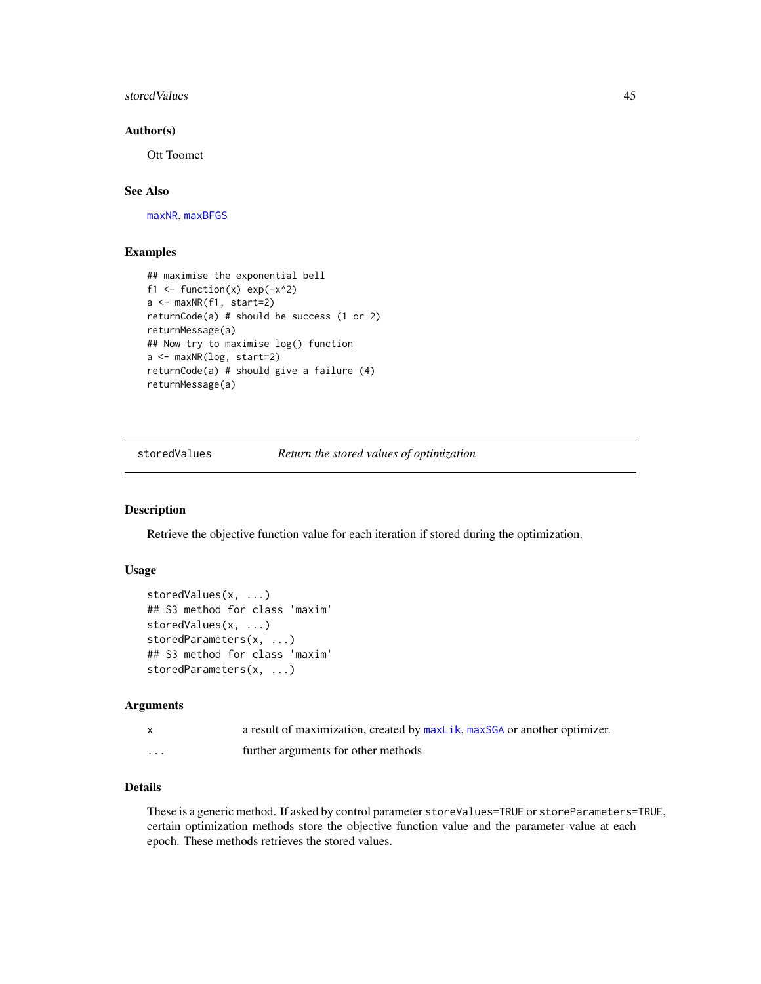#### <span id="page-44-0"></span>storedValues **45**

### Author(s)

Ott Toomet

### See Also

[maxNR](#page-25-2), [maxBFGS](#page-15-1)

### Examples

```
## maximise the exponential bell
f1 \leftarrow function(x) exp(-x^2)
a <- maxNR(f1, start=2)
returnCode(a) # should be success (1 or 2)
returnMessage(a)
## Now try to maximise log() function
a <- maxNR(log, start=2)
returnCode(a) # should give a failure (4)
returnMessage(a)
```
<span id="page-44-2"></span>storedValues *Return the stored values of optimization*

### <span id="page-44-1"></span>Description

Retrieve the objective function value for each iteration if stored during the optimization.

### Usage

```
storedValues(x, ...)
## S3 method for class 'maxim'
storedValues(x, ...)
storedParameters(x, ...)
## S3 method for class 'maxim'
storedParameters(x, ...)
```
#### Arguments

|         | a result of maximization, created by maxLik, maxSGA or another optimizer. |
|---------|---------------------------------------------------------------------------|
| $\cdot$ | further arguments for other methods                                       |

### Details

These is a generic method. If asked by control parameter storeValues=TRUE or storeParameters=TRUE, certain optimization methods store the objective function value and the parameter value at each epoch. These methods retrieves the stored values.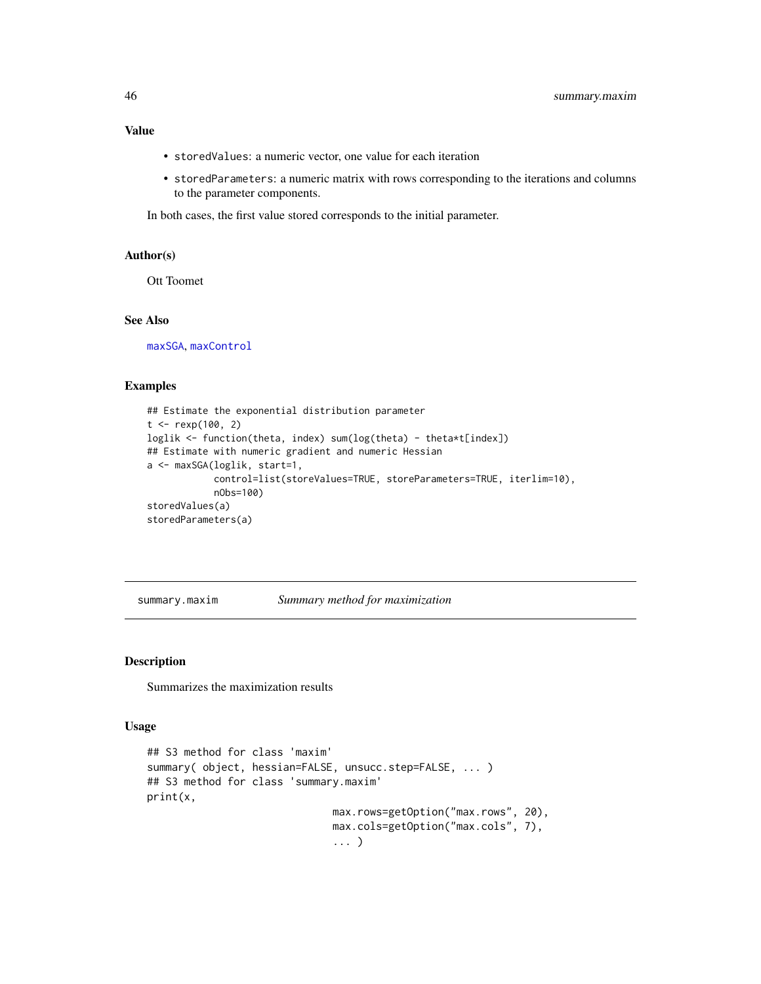### <span id="page-45-0"></span>Value

- storedValues: a numeric vector, one value for each iteration
- storedParameters: a numeric matrix with rows corresponding to the iterations and columns to the parameter components.

In both cases, the first value stored corresponds to the initial parameter.

#### Author(s)

Ott Toomet

### See Also

[maxSGA](#page-31-1), [maxControl](#page-19-2)

### Examples

```
## Estimate the exponential distribution parameter
t <- rexp(100, 2)
loglik <- function(theta, index) sum(log(theta) - theta*t[index])
## Estimate with numeric gradient and numeric Hessian
a <- maxSGA(loglik, start=1,
            control=list(storeValues=TRUE, storeParameters=TRUE, iterlim=10),
            nObs=100)
storedValues(a)
storedParameters(a)
```
summary.maxim *Summary method for maximization*

#### Description

Summarizes the maximization results

#### Usage

```
## S3 method for class 'maxim'
summary( object, hessian=FALSE, unsucc.step=FALSE, ... )
## S3 method for class 'summary.maxim'
print(x,
                              max.rows=getOption("max.rows", 20),
                              max.cols=getOption("max.cols", 7),
                              ... )
```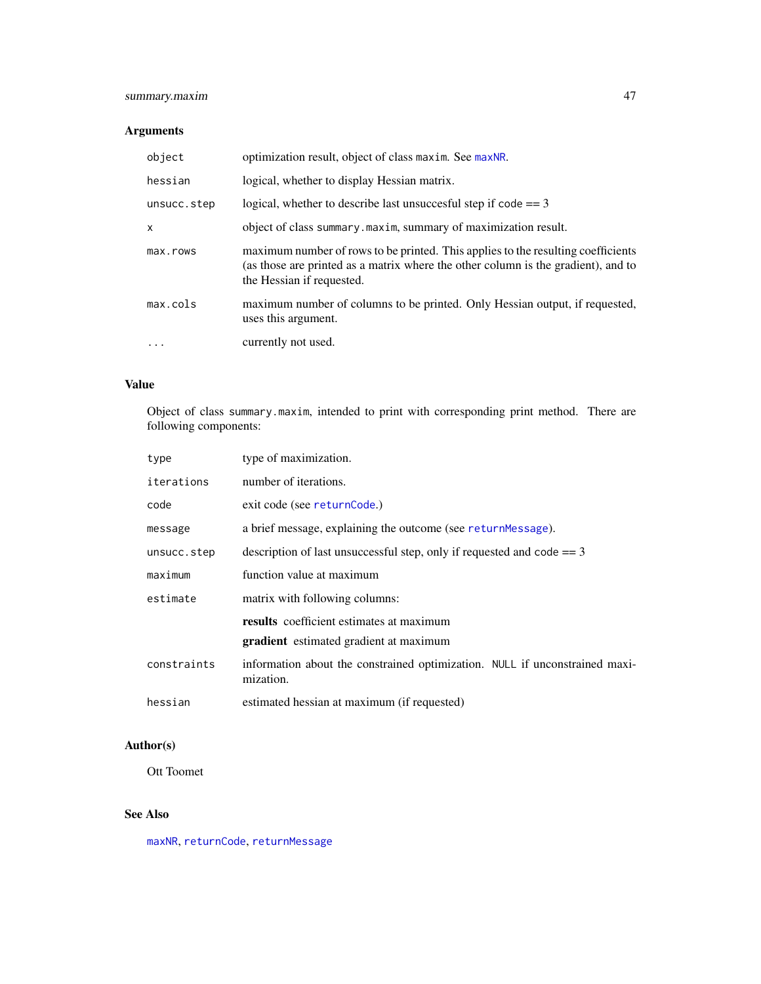### <span id="page-46-0"></span>summary.maxim 47

### Arguments

| object      | optimization result, object of class maxim. See maxNR.                                                                                                                                             |
|-------------|----------------------------------------------------------------------------------------------------------------------------------------------------------------------------------------------------|
| hessian     | logical, whether to display Hessian matrix.                                                                                                                                                        |
| unsucc.step | logical, whether to describe last unsuccesful step if $code == 3$                                                                                                                                  |
| x           | object of class summary maxim, summary of maximization result.                                                                                                                                     |
| max.rows    | maximum number of rows to be printed. This applies to the resulting coefficients<br>(as those are printed as a matrix where the other column is the gradient), and to<br>the Hessian if requested. |
| max.cols    | maximum number of columns to be printed. Only Hessian output, if requested,<br>uses this argument.                                                                                                 |
| $\ddots$    | currently not used.                                                                                                                                                                                |

### Value

Object of class summary.maxim, intended to print with corresponding print method. There are following components:

| type        | type of maximization.                                                                            |  |
|-------------|--------------------------------------------------------------------------------------------------|--|
| iterations  | number of iterations.                                                                            |  |
| code        | exit code (see returnCode.)                                                                      |  |
| message     | a brief message, explaining the outcome (see returnMessage).                                     |  |
| unsucc.step | description of last unsuccessful step, only if requested and code $== 3$                         |  |
| maximum     | function value at maximum                                                                        |  |
| estimate    | matrix with following columns:                                                                   |  |
|             | <b>results</b> coefficient estimates at maximum<br><b>gradient</b> estimated gradient at maximum |  |
| constraints | information about the constrained optimization. NULL if unconstrained maxi-<br>mization.         |  |
| hessian     | estimated hessian at maximum (if requested)                                                      |  |

### Author(s)

Ott Toomet

### See Also

[maxNR](#page-25-2), [returnCode](#page-42-1), [returnMessage](#page-42-2)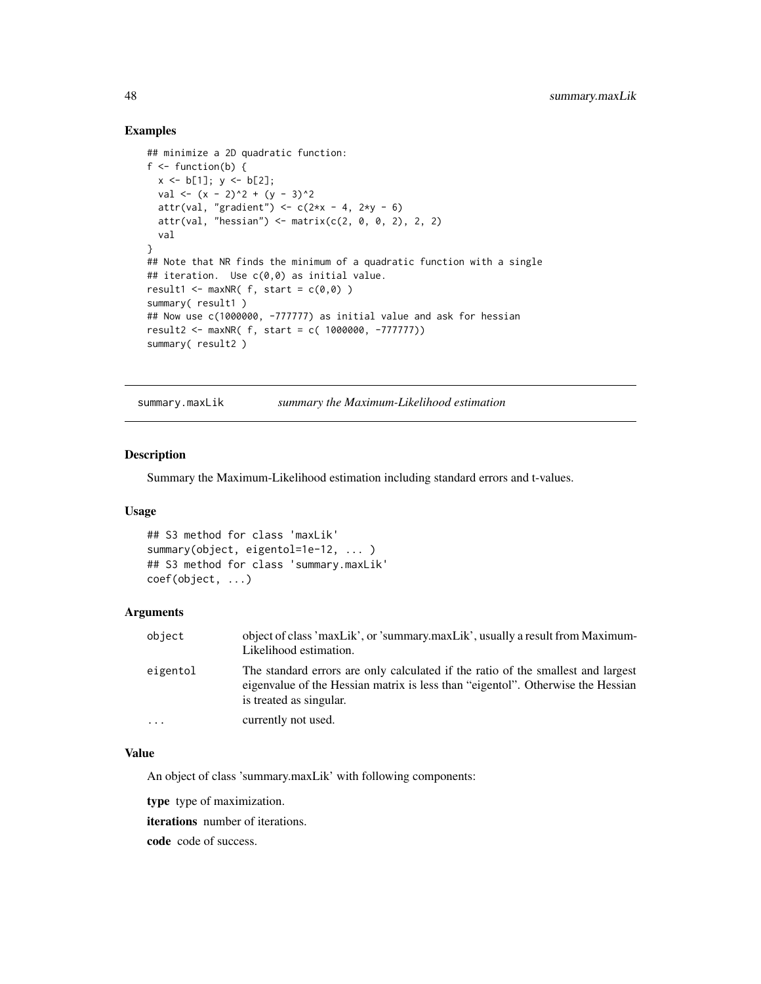### Examples

```
## minimize a 2D quadratic function:
f \leftarrow function(b) {
 x \le b[1]; y \le b[2];val \langle x - 2 \rangle^2 + (y - 3)^2attr(val, "gradient") \le c(2*x - 4, 2*y - 6)attr(val, "hessian") \leq matrix(c(2, 0, 0, 2), 2, 2)val
}
## Note that NR finds the minimum of a quadratic function with a single
## iteration. Use c(0,0) as initial value.
result1 \leftarrow maxNR( f, start = c(0,0) )summary( result1)
## Now use c(1000000, -777777) as initial value and ask for hessian
result2 <- maxNR( f, start = c( 1000000, -777777))
summary( result2 )
```
<span id="page-47-1"></span>summary.maxLik *summary the Maximum-Likelihood estimation*

### Description

Summary the Maximum-Likelihood estimation including standard errors and t-values.

### Usage

```
## S3 method for class 'maxLik'
summary(object, eigentol=1e-12, ... )
## S3 method for class 'summary.maxLik'
coef(object, ...)
```
### Arguments

| object     | object of class 'maxLik', or 'summary.maxLik', usually a result from Maximum-<br>Likelihood estimation.                                                                                        |
|------------|------------------------------------------------------------------------------------------------------------------------------------------------------------------------------------------------|
| eigentol   | The standard errors are only calculated if the ratio of the smallest and largest<br>eigenvalue of the Hessian matrix is less than "eigentol". Otherwise the Hessian<br>is treated as singular. |
| $\ddots$ . | currently not used.                                                                                                                                                                            |

#### Value

An object of class 'summary.maxLik' with following components:

type type of maximization.

iterations number of iterations.

code code of success.

<span id="page-47-0"></span>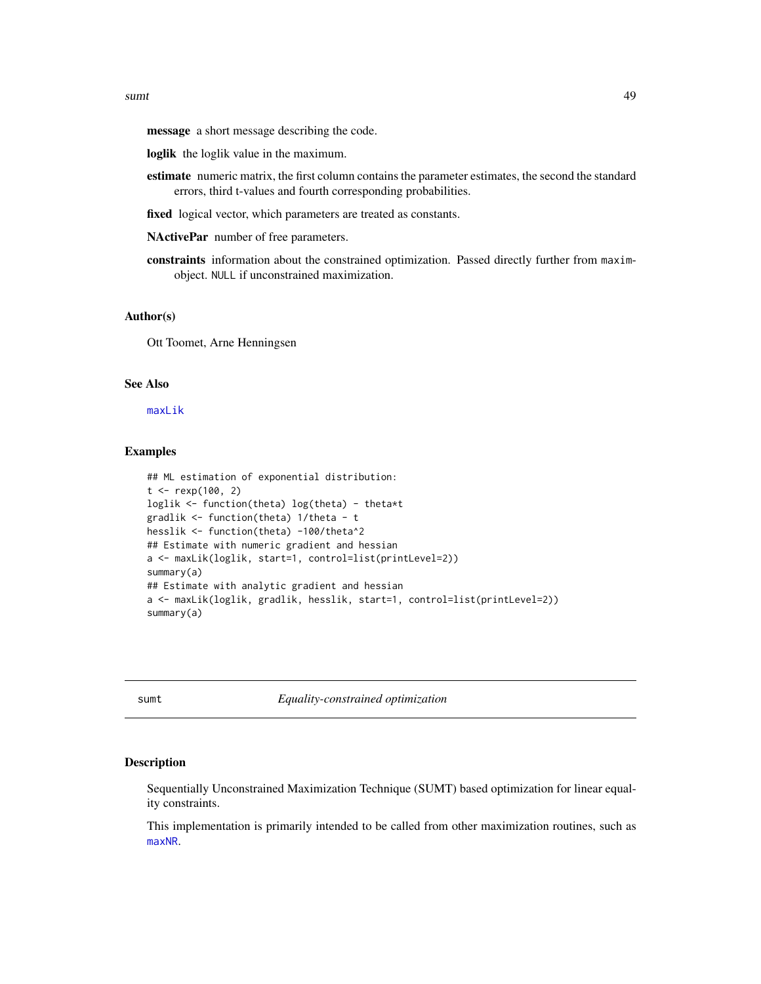<span id="page-48-0"></span>message a short message describing the code.

- loglik the loglik value in the maximum.
- estimate numeric matrix, the first column contains the parameter estimates, the second the standard errors, third t-values and fourth corresponding probabilities.
- fixed logical vector, which parameters are treated as constants.

NActivePar number of free parameters.

constraints information about the constrained optimization. Passed directly further from maximobject. NULL if unconstrained maximization.

#### Author(s)

Ott Toomet, Arne Henningsen

### See Also

[maxLik](#page-23-1)

### Examples

```
## ML estimation of exponential distribution:
t < - rexp(100, 2)
loglik <- function(theta) log(theta) - theta*t
gradlik <- function(theta) 1/theta - t
hesslik <- function(theta) -100/theta^2
## Estimate with numeric gradient and hessian
a <- maxLik(loglik, start=1, control=list(printLevel=2))
summary(a)
## Estimate with analytic gradient and hessian
a <- maxLik(loglik, gradlik, hesslik, start=1, control=list(printLevel=2))
summary(a)
```
<span id="page-48-1"></span>sumt *Equality-constrained optimization*

#### Description

Sequentially Unconstrained Maximization Technique (SUMT) based optimization for linear equality constraints.

This implementation is primarily intended to be called from other maximization routines, such as [maxNR](#page-25-2).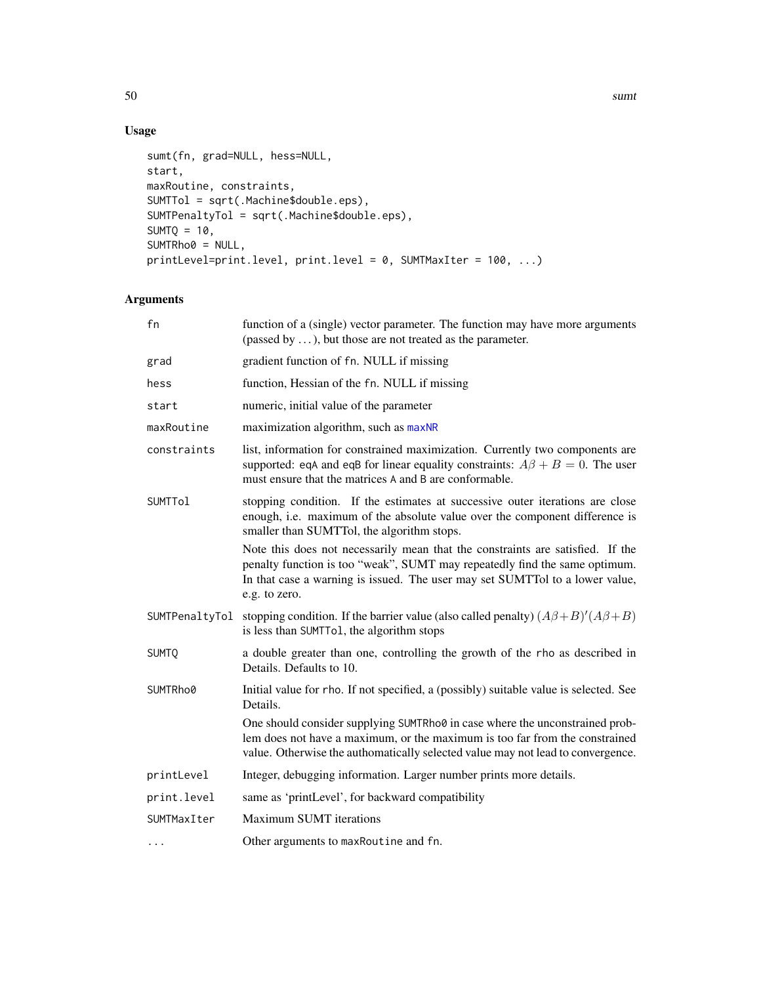50 sumt

## Usage

```
sumt(fn, grad=NULL, hess=NULL,
start,
maxRoutine, constraints,
SUMTTol = sqrt(.Machine$double.eps),
SUMTPenaltyTol = sqrt(.Machine$double.eps),
SUMTQ = 10,
SUMTRho0 = NULL,
printLevel=print.level, print.level = 0, SUMTMaxIter = 100, ...)
```
### Arguments

| fn             | function of a (single) vector parameter. The function may have more arguments<br>(passed by $\dots$ ), but those are not treated as the parameter.                                                                                                            |
|----------------|---------------------------------------------------------------------------------------------------------------------------------------------------------------------------------------------------------------------------------------------------------------|
| grad           | gradient function of fn. NULL if missing                                                                                                                                                                                                                      |
| hess           | function, Hessian of the fn. NULL if missing                                                                                                                                                                                                                  |
| start          | numeric, initial value of the parameter                                                                                                                                                                                                                       |
| maxRoutine     | maximization algorithm, such as maxNR                                                                                                                                                                                                                         |
| constraints    | list, information for constrained maximization. Currently two components are<br>supported: eqA and eqB for linear equality constraints: $A\beta + B = 0$ . The user<br>must ensure that the matrices A and B are conformable.                                 |
| <b>SUMTTol</b> | stopping condition. If the estimates at successive outer iterations are close<br>enough, i.e. maximum of the absolute value over the component difference is<br>smaller than SUMTTol, the algorithm stops.                                                    |
|                | Note this does not necessarily mean that the constraints are satisfied. If the<br>penalty function is too "weak", SUMT may repeatedly find the same optimum.<br>In that case a warning is issued. The user may set SUMTTol to a lower value,<br>e.g. to zero. |
| SUMTPenaltyTol | stopping condition. If the barrier value (also called penalty) $(A\beta+B)'(A\beta+B)$<br>is less than SUMTTo1, the algorithm stops                                                                                                                           |
| <b>SUMTQ</b>   | a double greater than one, controlling the growth of the rho as described in<br>Details. Defaults to 10.                                                                                                                                                      |
| SUMTRho0       | Initial value for rho. If not specified, a (possibly) suitable value is selected. See<br>Details.                                                                                                                                                             |
|                | One should consider supplying SUMTRho0 in case where the unconstrained prob-<br>lem does not have a maximum, or the maximum is too far from the constrained<br>value. Otherwise the authomatically selected value may not lead to convergence.                |
| printLevel     | Integer, debugging information. Larger number prints more details.                                                                                                                                                                                            |
| print.level    | same as 'printLevel', for backward compatibility                                                                                                                                                                                                              |
| SUMTMaxIter    | <b>Maximum SUMT</b> iterations                                                                                                                                                                                                                                |
| $\cdots$       | Other arguments to maxRoutine and fn.                                                                                                                                                                                                                         |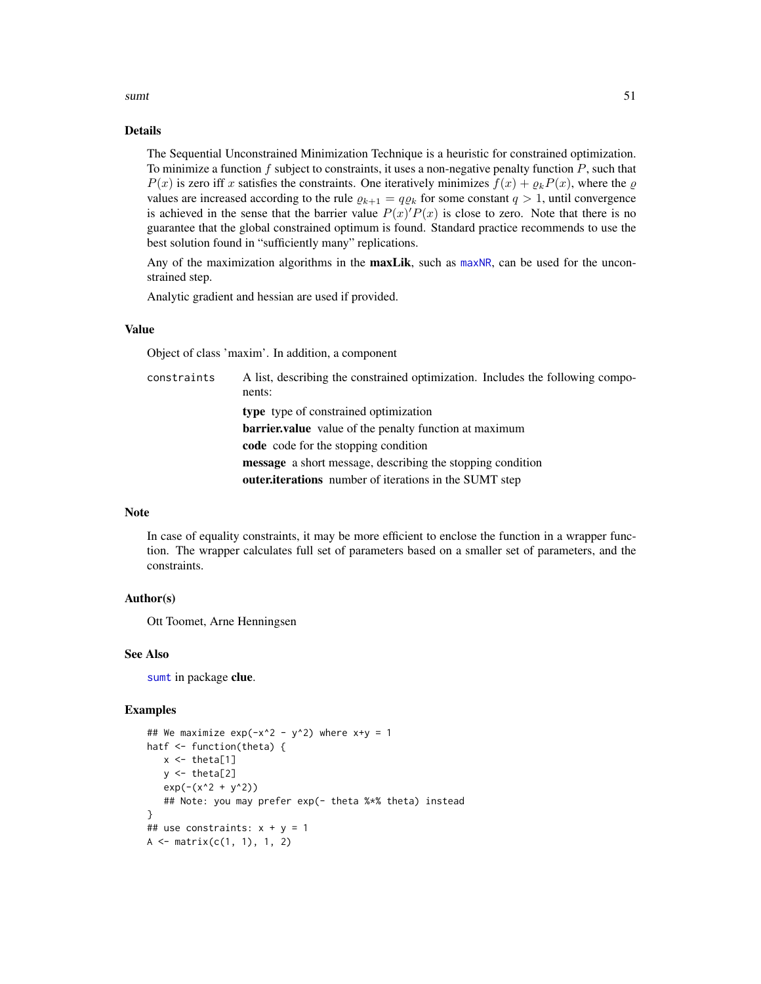<span id="page-50-0"></span>sumt 51

### Details

The Sequential Unconstrained Minimization Technique is a heuristic for constrained optimization. To minimize a function  $f$  subject to constraints, it uses a non-negative penalty function  $P$ , such that  $P(x)$  is zero iff x satisfies the constraints. One iteratively minimizes  $f(x) + \rho_k P(x)$ , where the  $\varrho$ values are increased according to the rule  $\varrho_{k+1} = q \varrho_k$  for some constant  $q > 1$ , until convergence is achieved in the sense that the barrier value  $P(x)P(x)$  is close to zero. Note that there is no guarantee that the global constrained optimum is found. Standard practice recommends to use the best solution found in "sufficiently many" replications.

Any of the maximization algorithms in the **maxLik**, such as [maxNR](#page-25-2), can be used for the unconstrained step.

Analytic gradient and hessian are used if provided.

### Value

Object of class 'maxim'. In addition, a component

constraints A list, describing the constrained optimization. Includes the following components: type type of constrained optimization barrier.value value of the penalty function at maximum code code for the stopping condition message a short message, describing the stopping condition outer.iterations number of iterations in the SUMT step

### Note

In case of equality constraints, it may be more efficient to enclose the function in a wrapper function. The wrapper calculates full set of parameters based on a smaller set of parameters, and the constraints.

### Author(s)

Ott Toomet, Arne Henningsen

#### See Also

[sumt](#page-48-1) in package clue.

```
## We maximize exp(-x^2 - y^2) where x+y = 1hatf <- function(theta) {
   x \leftarrow \text{theta}[1]y \leftarrow \text{theta}[2]exp(-(x^2 + y^2))## Note: you may prefer exp(- theta %*% theta) instead
}
## use constraints: x + y = 1A \leftarrow matrix(c(1, 1), 1, 2)
```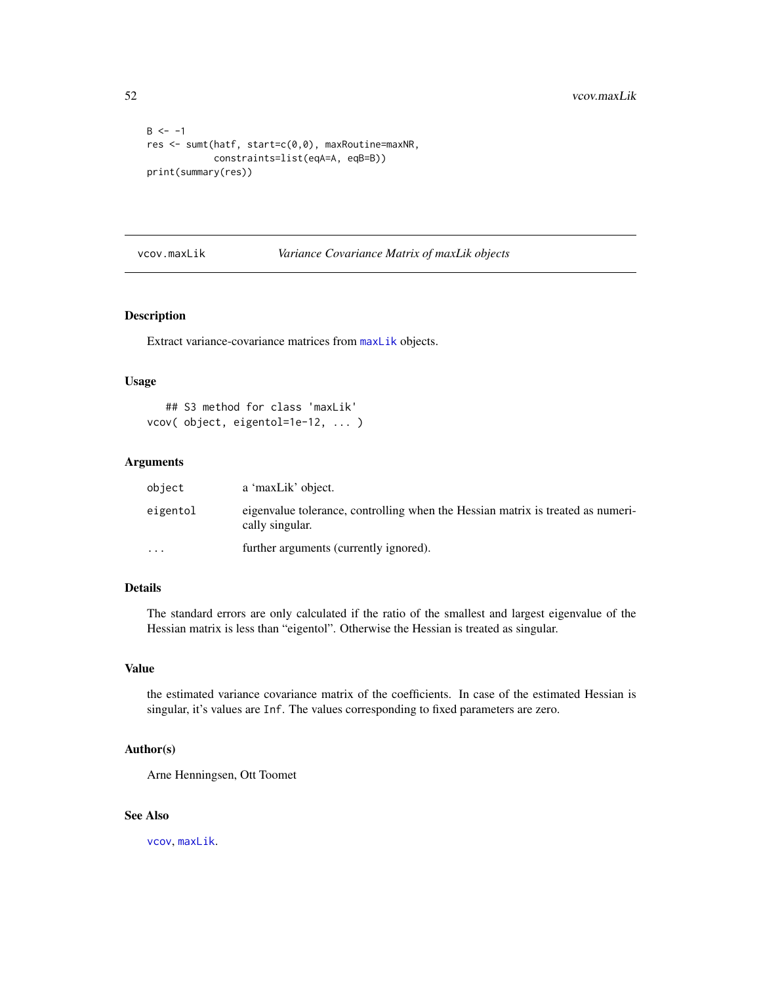```
B < - -1res <- sumt(hatf, start=c(0,0), maxRoutine=maxNR,
            constraints=list(eqA=A, eqB=B))
print(summary(res))
```
### <span id="page-51-1"></span>vcov.maxLik *Variance Covariance Matrix of maxLik objects*

### Description

Extract variance-covariance matrices from [maxLik](#page-23-1) objects.

### Usage

```
## S3 method for class 'maxLik'
vcov( object, eigentol=1e-12, ... )
```
### Arguments

| object   | a 'maxLik' object.                                                                                 |
|----------|----------------------------------------------------------------------------------------------------|
| eigentol | eigenvalue tolerance, controlling when the Hessian matrix is treated as numeri-<br>cally singular. |
| $\cdots$ | further arguments (currently ignored).                                                             |

### Details

The standard errors are only calculated if the ratio of the smallest and largest eigenvalue of the Hessian matrix is less than "eigentol". Otherwise the Hessian is treated as singular.

### Value

the estimated variance covariance matrix of the coefficients. In case of the estimated Hessian is singular, it's values are Inf. The values corresponding to fixed parameters are zero.

### Author(s)

Arne Henningsen, Ott Toomet

### See Also

[vcov](#page-0-0), [maxLik](#page-23-1).

<span id="page-51-0"></span>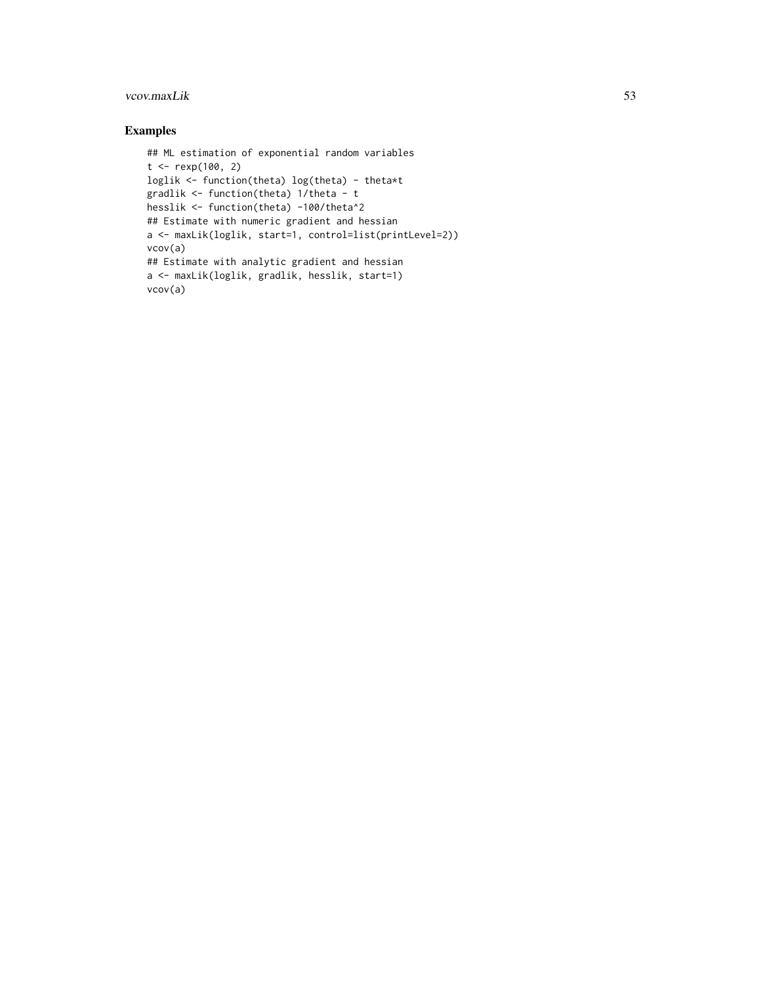### vcov.maxLik 53

```
## ML estimation of exponential random variables
t < - rexp(100, 2)
loglik <- function(theta) log(theta) - theta*t
gradlik <- function(theta) 1/theta - t
hesslik <- function(theta) -100/theta^2
## Estimate with numeric gradient and hessian
a <- maxLik(loglik, start=1, control=list(printLevel=2))
vcov(a)
## Estimate with analytic gradient and hessian
a <- maxLik(loglik, gradlik, hesslik, start=1)
vcov(a)
```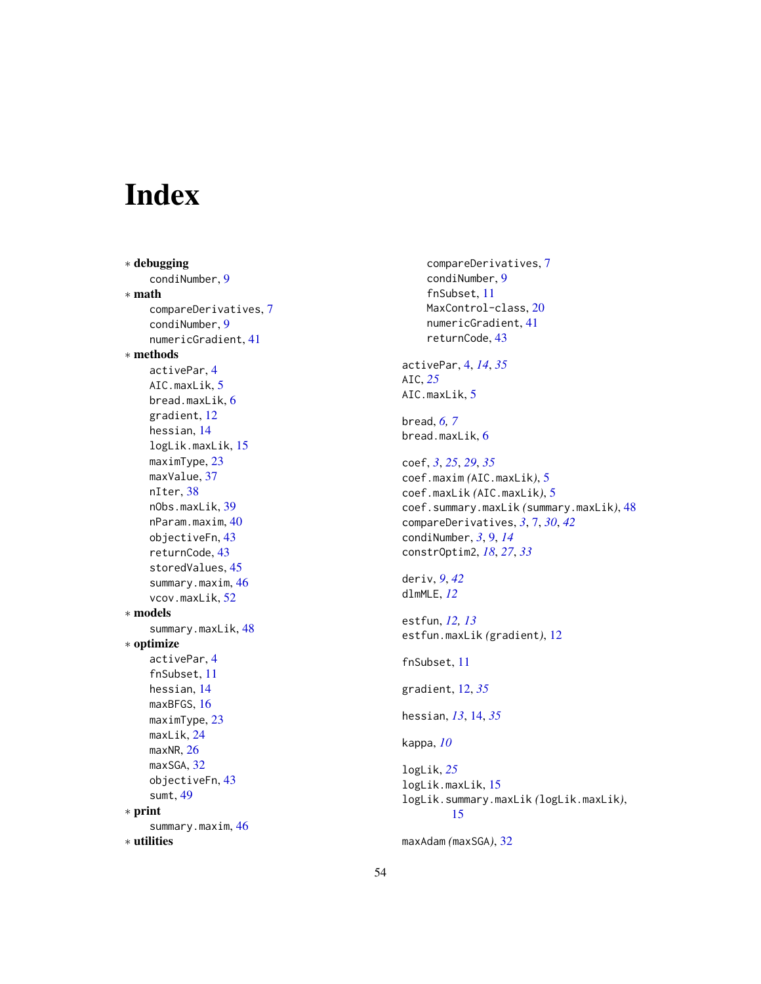# <span id="page-53-0"></span>Index

∗ debugging condiNumber, [9](#page-8-0) ∗ math compareDerivatives, [7](#page-6-0) condiNumber, [9](#page-8-0) numericGradient, [41](#page-40-0) ∗ methods activePar, [4](#page-3-0) AIC.maxLik, [5](#page-4-0) bread.maxLik, [6](#page-5-0) gradient, [12](#page-11-0) hessian, [14](#page-13-0) logLik.maxLik, [15](#page-14-0) maximType, [23](#page-22-0) maxValue, [37](#page-36-0) nIter, [38](#page-37-0) nObs.maxLik, [39](#page-38-0) nParam.maxim, [40](#page-39-0) objectiveFn, [43](#page-42-0) returnCode, [43](#page-42-0) storedValues, [45](#page-44-0) summary.maxim, [46](#page-45-0) vcov.maxLik, [52](#page-51-0) ∗ models summary.maxLik, [48](#page-47-0) ∗ optimize activePar, [4](#page-3-0) fnSubset, [11](#page-10-0) hessian, [14](#page-13-0) maxBFGS, [16](#page-15-0) maximType, [23](#page-22-0) maxLik, [24](#page-23-0) maxNR, [26](#page-25-0) maxSGA, [32](#page-31-0) objectiveFn, [43](#page-42-0) sumt, [49](#page-48-0) ∗ print summary.maxim, [46](#page-45-0) ∗ utilities

compareDerivatives, [7](#page-6-0) condiNumber, [9](#page-8-0) fnSubset, [11](#page-10-0) MaxControl-class, [20](#page-19-0) numericGradient, [41](#page-40-0) returnCode, [43](#page-42-0) activePar, [4,](#page-3-0) *[14](#page-13-0)*, *[35](#page-34-0)* AIC, *[25](#page-24-0)* AIC.maxLik, [5](#page-4-0) bread, *[6,](#page-5-0) [7](#page-6-0)* bread.maxLik, [6](#page-5-0) coef, *[3](#page-2-0)*, *[25](#page-24-0)*, *[29](#page-28-0)*, *[35](#page-34-0)* coef.maxim *(*AIC.maxLik*)*, [5](#page-4-0) coef.maxLik *(*AIC.maxLik*)*, [5](#page-4-0) coef.summary.maxLik *(*summary.maxLik*)*, [48](#page-47-0) compareDerivatives, *[3](#page-2-0)*, [7,](#page-6-0) *[30](#page-29-0)*, *[42](#page-41-0)* condiNumber, *[3](#page-2-0)*, [9,](#page-8-0) *[14](#page-13-0)* constrOptim2, *[18](#page-17-0)*, *[27](#page-26-0)*, *[33](#page-32-0)* deriv, *[9](#page-8-0)*, *[42](#page-41-0)* dlmMLE, *[12](#page-11-0)* estfun, *[12,](#page-11-0) [13](#page-12-0)* estfun.maxLik *(*gradient*)*, [12](#page-11-0) fnSubset, [11](#page-10-0) gradient, [12,](#page-11-0) *[35](#page-34-0)* hessian, *[13](#page-12-0)*, [14,](#page-13-0) *[35](#page-34-0)* kappa, *[10](#page-9-0)* logLik, *[25](#page-24-0)* logLik.maxLik, [15](#page-14-0) logLik.summary.maxLik *(*logLik.maxLik*)*, [15](#page-14-0) maxAdam *(*maxSGA*)*, [32](#page-31-0)